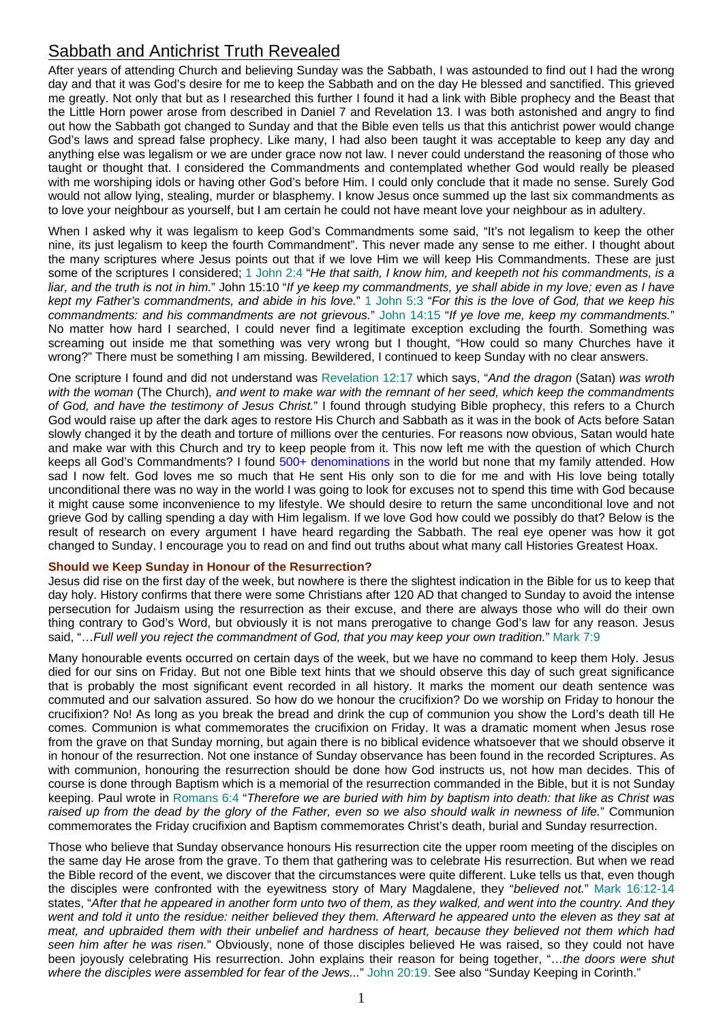# Sabbath and Antichrist Truth Revealed

After years of attending Church and believing Sunday was the Sabbath, I was astounded to find out I had the wrong day and that it was God's desire for me to keep the Sabbath and on the day He blessed and sanctified. This grieved me greatly. Not only that but as I researched this further I found it had a link with Bible prophecy and the Beast that the Little Horn power arose from described in Daniel 7 and Revelation 13. I was both astonished and angry to find out how the Sabbath got changed to Sunday and that the Bible even tells us that this antichrist power would change God's laws and spread false prophecy. Like many, I had also been taught it was acceptable to keep any day and anything else was legalism or we are under grace now not law. I never could understand the reasoning of those who taught or thought that. I considered the Commandments and contemplated whether God would really be pleased with me worshiping idols or having other God's before Him. I could only conclude that it made no sense. Surely God would not allow lying, stealing, murder or blasphemy. I know Jesus once summed up the last six commandments as to love your neighbour as yourself, but I am certain he could not have meant love your neighbour as in adultery.

When I asked why it was legalism to keep God's Commandments some said, "It's not legalism to keep the other nine, its just legalism to keep the fourth Commandment". This never made any sense to me either. I thought about the many scriptures where Jesus points out that if we love Him we will keep His Commandments. These are just some of the scriptures I considered; 1 John 2:4 "*He that saith, I know him, and keepeth not his commandments, is a liar, and the truth is not in him.*" John 15:10 "*If ye keep my commandments, ye shall abide in my love; even as I have kept my Father's commandments, and abide in his love.*" 1 John 5:3 "*For this is the love of God, that we keep his commandments: and his commandments are not grievous.*" John 14:15 "*If ye love me, keep my commandments.*" No matter how hard I searched, I could never find a legitimate exception excluding the fourth. Something was screaming out inside me that something was very wrong but I thought, "How could so many Churches have it wrong?" There must be something I am missing. Bewildered, I continued to keep Sunday with no clear answers.

One scripture I found and did not understand was Revelation 12:17 which says, "*And the dragon* (Satan) *was wroth with the woman* (The Church)*, and went to make war with the remnant of her seed, which keep the commandments of God, and have the testimony of Jesus Christ.*" I found through studying Bible prophecy, this refers to a Church God would raise up after the dark ages to restore His Church and Sabbath as it was in the book of Acts before Satan slowly changed it by the death and torture of millions over the centuries. For reasons now obvious, Satan would hate and make war with this Church and try to keep people from it. This now left me with the question of which Church keeps all God's Commandments? I found [500+ denominations](http://www.the-ten-commandments.org/sabbathkeepingchurches.html) in the world but none that my family attended. How sad I now felt. God loves me so much that He sent His only son to die for me and with His love being totally unconditional there was no way in the world I was going to look for excuses not to spend this time with God because it might cause some inconvenience to my lifestyle. We should desire to return the same unconditional love and not grieve God by calling spending a day with Him legalism. If we love God how could we possibly do that? Below is the result of research on every argument I have heard regarding the Sabbath. The real eye opener was how it got changed to Sunday. I encourage you to read on and find out truths about what many call Histories Greatest Hoax.

## **Should we Keep Sunday in Honour of the Resurrection?**

Jesus did rise on the first day of the week, but nowhere is there the slightest indication in the Bible for us to keep that day holy. History confirms that there were some Christians after 120 AD that changed to Sunday to avoid the intense persecution for Judaism using the resurrection as their excuse, and there are always those who will do their own thing contrary to God's Word, but obviously it is not mans prerogative to change God's law for any reason. Jesus said, "…*Full well you reject the commandment of God, that you may keep your own tradition.*" Mark 7:9

Many honourable events occurred on certain days of the week, but we have no command to keep them Holy. Jesus died for our sins on Friday. But not one Bible text hints that we should observe this day of such great significance that is probably the most significant event recorded in all history. It marks the moment our death sentence was commuted and our salvation assured. So how do we honour the crucifixion? Do we worship on Friday to honour the crucifixion? No! As long as you break the bread and drink the cup of communion you show the Lord's death till He comes. Communion is what commemorates the crucifixion on Friday. It was a dramatic moment when Jesus rose from the grave on that Sunday morning, but again there is no biblical evidence whatsoever that we should observe it in honour of the resurrection. Not one instance of Sunday observance has been found in the recorded Scriptures. As with communion, honouring the resurrection should be done how God instructs us, not how man decides. This of course is done through Baptism which is a memorial of the resurrection commanded in the Bible, but it is not Sunday keeping. Paul wrote in Romans 6:4 "*Therefore we are buried with him by baptism into death: that like as Christ was raised up from the dead by the glory of the Father, even so we also should walk in newness of life.*" Communion commemorates the Friday crucifixion and Baptism commemorates Christ's death, burial and Sunday resurrection.

Those who believe that Sunday observance honours His resurrection cite the upper room meeting of the disciples on the same day He arose from the grave. To them that gathering was to celebrate His resurrection. But when we read the Bible record of the event, we discover that the circumstances were quite different. Luke tells us that, even though the disciples were confronted with the eyewitness story of Mary Magdalene, they "*believed not.*" Mark 16:12-14 states, "*After that he appeared in another form unto two of them, as they walked, and went into the country. And they*  went and told it unto the residue: neither believed they them. Afterward he appeared unto the eleven as they sat at *meat, and upbraided them with their unbelief and hardness of heart, because they believed not them which had seen him after he was risen.*" Obviously, none of those disciples believed He was raised, so they could not have been joyously celebrating His resurrection. John explains their reason for being together, "…*the doors were shut where the disciples were assembled for fear of the Jews...*" John 20:19. See also "Sunday Keeping in Corinth."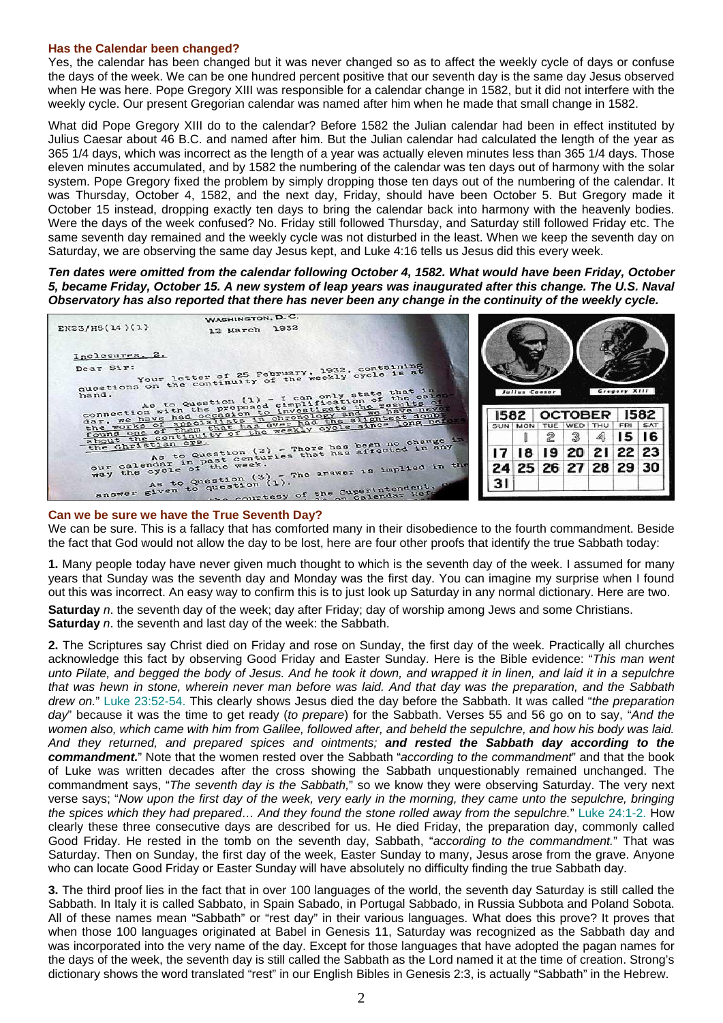## **Has the Calendar been changed?**

Yes, the calendar has been changed but it was never changed so as to affect the weekly cycle of days or confuse the days of the week. We can be one hundred percent positive that our seventh day is the same day Jesus observed when He was here. Pope Gregory XIII was responsible for a calendar change in 1582, but it did not interfere with the weekly cycle. Our present Gregorian calendar was named after him when he made that small change in 1582.

What did Pope Gregory XIII do to the calendar? Before 1582 the Julian calendar had been in effect instituted by Julius Caesar about 46 B.C. and named after him. But the Julian calendar had calculated the length of the year as 365 1/4 days, which was incorrect as the length of a year was actually eleven minutes less than 365 1/4 days. Those eleven minutes accumulated, and by 1582 the numbering of the calendar was ten days out of harmony with the solar system. Pope Gregory fixed the problem by simply dropping those ten days out of the numbering of the calendar. It was Thursday, October 4, 1582, and the next day, Friday, should have been October 5. But Gregory made it October 15 instead, dropping exactly ten days to bring the calendar back into harmony with the heavenly bodies. Were the days of the week confused? No. Friday still followed Thursday, and Saturday still followed Friday etc. The same seventh day remained and the weekly cycle was not disturbed in the least. When we keep the seventh day on Saturday, we are observing the same day Jesus kept, and Luke 4:16 tells us Jesus did this every week.

*Ten dates were omitted from the calendar following October 4, 1582. What would have been Friday, October 5, became Friday, October 15. A new system of leap years was inaugurated after this change. The U.S. Naval Observatory has also reported that there has never been any change in the continuity of the weekly cycle.*



## **Can we be sure we have the True Seventh Day?**

We can be sure. This is a fallacy that has comforted many in their disobedience to the fourth commandment. Beside the fact that God would not allow the day to be lost, here are four other proofs that identify the true Sabbath today:

**1.** Many people today have never given much thought to which is the seventh day of the week. I assumed for many years that Sunday was the seventh day and Monday was the first day. You can imagine my surprise when I found out this was incorrect. An easy way to confirm this is to just look up Saturday in any normal dictionary. Here are two.

**Saturday** *n*. the seventh day of the week; day after Friday; day of worship among Jews and some Christians. **Saturday** *n*. the seventh and last day of the week: the Sabbath.

**2.** The Scriptures say Christ died on Friday and rose on Sunday, the first day of the week. Practically all churches acknowledge this fact by observing Good Friday and Easter Sunday. Here is the Bible evidence: "*This man went*  unto Pilate, and begged the body of Jesus. And he took it down, and wrapped it in linen, and laid it in a sepulchre *that was hewn in stone, wherein never man before was laid. And that day was the preparation, and the Sabbath drew on.*" Luke 23:52-54. This clearly shows Jesus died the day before the Sabbath. It was called "*the preparation day*" because it was the time to get ready (*to prepare*) for the Sabbath. Verses 55 and 56 go on to say, "*And the*  women also, which came with him from Galilee, followed after, and beheld the sepulchre, and how his body was laid. *And they returned, and prepared spices and ointments; and rested the Sabbath day according to the commandment.*" Note that the women rested over the Sabbath "*according to the commandment*" and that the book of Luke was written decades after the cross showing the Sabbath unquestionably remained unchanged. The commandment says, "*The seventh day is the Sabbath,*" so we know they were observing Saturday. The very next verse says; "*Now upon the first day of the week, very early in the morning, they came unto the sepulchre, bringing the spices which they had prepared… And they found the stone rolled away from the sepulchre.*" Luke 24:1-2. How clearly these three consecutive days are described for us. He died Friday, the preparation day, commonly called Good Friday. He rested in the tomb on the seventh day, Sabbath, "*according to the commandment.*" That was Saturday. Then on Sunday, the first day of the week, Easter Sunday to many, Jesus arose from the grave. Anyone who can locate Good Friday or Easter Sunday will have absolutely no difficulty finding the true Sabbath day.

**3.** The third proof lies in the fact that in over 100 languages of the world, the seventh day Saturday is still called the Sabbath. In Italy it is called Sabbato, in Spain Sabado, in Portugal Sabbado, in Russia Subbota and Poland Sobota. All of these names mean "Sabbath" or "rest day" in their various languages. What does this prove? It proves that when those 100 languages originated at Babel in Genesis 11, Saturday was recognized as the Sabbath day and was incorporated into the very name of the day. Except for those languages that have adopted the pagan names for the days of the week, the seventh day is still called the Sabbath as the Lord named it at the time of creation. Strong's dictionary shows the word translated "rest" in our English Bibles in Genesis 2:3, is actually "Sabbath" in the Hebrew.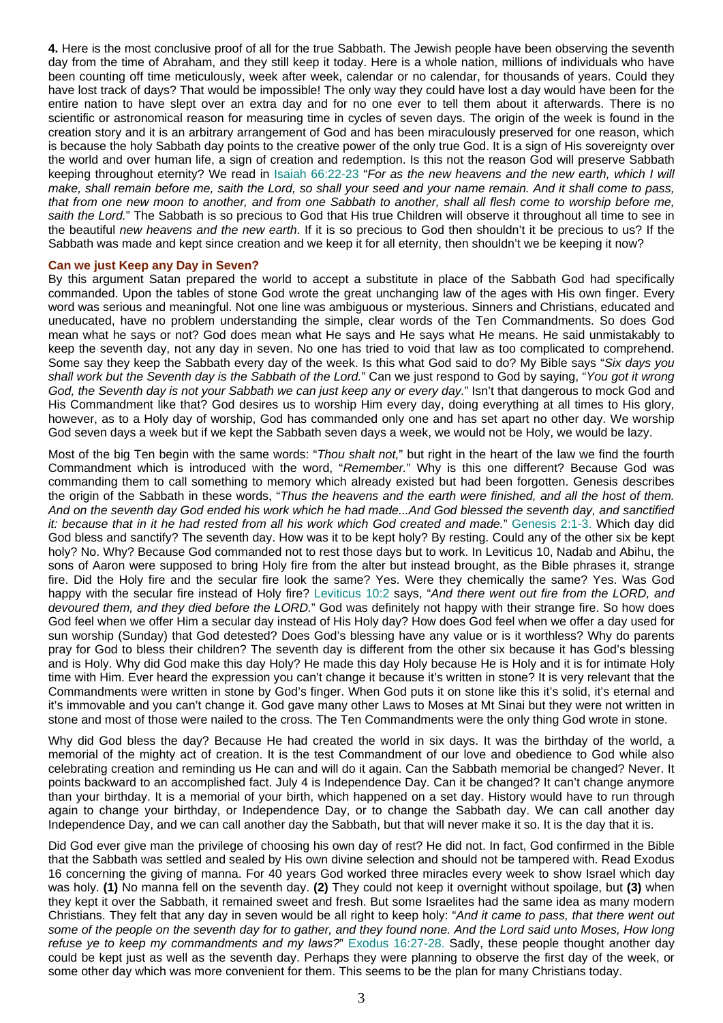**4.** Here is the most conclusive proof of all for the true Sabbath. The Jewish people have been observing the seventh day from the time of Abraham, and they still keep it today. Here is a whole nation, millions of individuals who have been counting off time meticulously, week after week, calendar or no calendar, for thousands of years. Could they have lost track of days? That would be impossible! The only way they could have lost a day would have been for the entire nation to have slept over an extra day and for no one ever to tell them about it afterwards. There is no scientific or astronomical reason for measuring time in cycles of seven days. The origin of the week is found in the creation story and it is an arbitrary arrangement of God and has been miraculously preserved for one reason, which is because the holy Sabbath day points to the creative power of the only true God. It is a sign of His sovereignty over the world and over human life, a sign of creation and redemption. Is this not the reason God will preserve Sabbath keeping throughout eternity? We read in Isaiah 66:22-23 "*For as the new heavens and the new earth, which I will make, shall remain before me, saith the Lord, so shall your seed and your name remain. And it shall come to pass, that from one new moon to another, and from one Sabbath to another, shall all flesh come to worship before me, saith the Lord.*" The Sabbath is so precious to God that His true Children will observe it throughout all time to see in the beautiful *new heavens and the new earth*. If it is so precious to God then shouldn't it be precious to us? If the Sabbath was made and kept since creation and we keep it for all eternity, then shouldn't we be keeping it now?

## **Can we just Keep any Day in Seven?**

By this argument Satan prepared the world to accept a substitute in place of the Sabbath God had specifically commanded. Upon the tables of stone God wrote the great unchanging law of the ages with His own finger. Every word was serious and meaningful. Not one line was ambiguous or mysterious. Sinners and Christians, educated and uneducated, have no problem understanding the simple, clear words of the Ten Commandments. So does God mean what he says or not? God does mean what He says and He says what He means. He said unmistakably to keep the seventh day, not any day in seven. No one has tried to void that law as too complicated to comprehend. Some say they keep the Sabbath every day of the week. Is this what God said to do? My Bible says "*Six days you shall work but the Seventh day is the Sabbath of the Lord.*" Can we just respond to God by saying, "*You got it wrong God, the Seventh day is not your Sabbath we can just keep any or every day.*" Isn't that dangerous to mock God and His Commandment like that? God desires us to worship Him every day, doing everything at all times to His glory, however, as to a Holy day of worship, God has commanded only one and has set apart no other day. We worship God seven days a week but if we kept the Sabbath seven days a week, we would not be Holy, we would be lazy.

Most of the big Ten begin with the same words: "*Thou shalt not,*" but right in the heart of the law we find the fourth Commandment which is introduced with the word, "*Remember.*" Why is this one different? Because God was commanding them to call something to memory which already existed but had been forgotten. Genesis describes the origin of the Sabbath in these words, "*Thus the heavens and the earth were finished, and all the host of them. And on the seventh day God ended his work which he had made...And God blessed the seventh day, and sanctified it: because that in it he had rested from all his work which God created and made.*" Genesis 2:1-3. Which day did God bless and sanctify? The seventh day. How was it to be kept holy? By resting. Could any of the other six be kept holy? No. Why? Because God commanded not to rest those days but to work. In Leviticus 10, Nadab and Abihu, the sons of Aaron were supposed to bring Holy fire from the alter but instead brought, as the Bible phrases it, strange fire. Did the Holy fire and the secular fire look the same? Yes. Were they chemically the same? Yes. Was God happy with the secular fire instead of Holy fire? Leviticus 10:2 says, "*And there went out fire from the LORD, and devoured them, and they died before the LORD.*" God was definitely not happy with their strange fire. So how does God feel when we offer Him a secular day instead of His Holy day? How does God feel when we offer a day used for sun worship (Sunday) that God detested? Does God's blessing have any value or is it worthless? Why do parents pray for God to bless their children? The seventh day is different from the other six because it has God's blessing and is Holy. Why did God make this day Holy? He made this day Holy because He is Holy and it is for intimate Holy time with Him. Ever heard the expression you can't change it because it's written in stone? It is very relevant that the Commandments were written in stone by God's finger. When God puts it on stone like this it's solid, it's eternal and it's immovable and you can't change it. God gave many other Laws to Moses at Mt Sinai but they were not written in stone and most of those were nailed to the cross. The Ten Commandments were the only thing God wrote in stone.

Why did God bless the day? Because He had created the world in six days. It was the birthday of the world, a memorial of the mighty act of creation. It is the test Commandment of our love and obedience to God while also celebrating creation and reminding us He can and will do it again. Can the Sabbath memorial be changed? Never. It points backward to an accomplished fact. July 4 is Independence Day. Can it be changed? It can't change anymore than your birthday. It is a memorial of your birth, which happened on a set day. History would have to run through again to change your birthday, or Independence Day, or to change the Sabbath day. We can call another day Independence Day, and we can call another day the Sabbath, but that will never make it so. It is the day that it is.

Did God ever give man the privilege of choosing his own day of rest? He did not. In fact, God confirmed in the Bible that the Sabbath was settled and sealed by His own divine selection and should not be tampered with. Read Exodus 16 concerning the giving of manna. For 40 years God worked three miracles every week to show Israel which day was holy. **(1)** No manna fell on the seventh day. **(2)** They could not keep it overnight without spoilage, but **(3)** when they kept it over the Sabbath, it remained sweet and fresh. But some Israelites had the same idea as many modern Christians. They felt that any day in seven would be all right to keep holy: "*And it came to pass, that there went out some of the people on the seventh day for to gather, and they found none. And the Lord said unto Moses, How long refuse ye to keep my commandments and my laws?*" Exodus 16:27-28. Sadly, these people thought another day could be kept just as well as the seventh day. Perhaps they were planning to observe the first day of the week, or some other day which was more convenient for them. This seems to be the plan for many Christians today.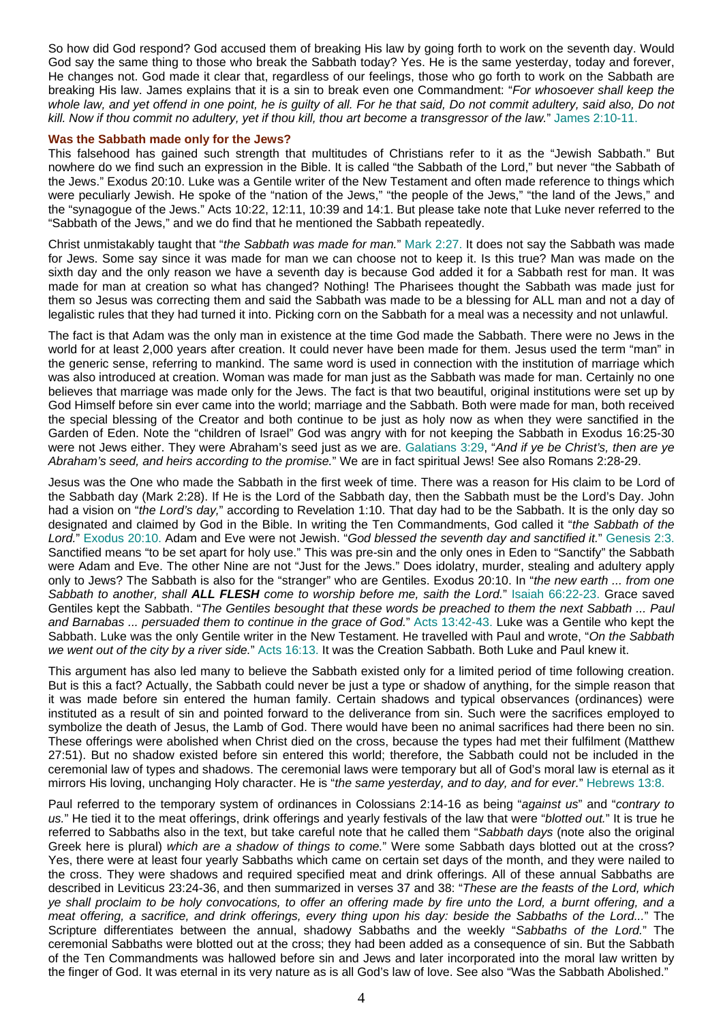So how did God respond? God accused them of breaking His law by going forth to work on the seventh day. Would God say the same thing to those who break the Sabbath today? Yes. He is the same yesterday, today and forever, He changes not. God made it clear that, regardless of our feelings, those who go forth to work on the Sabbath are breaking His law. James explains that it is a sin to break even one Commandment: "*For whosoever shall keep the whole law, and yet offend in one point, he is guilty of all. For he that said, Do not commit adultery, said also, Do not kill. Now if thou commit no adultery, yet if thou kill, thou art become a transgressor of the law.*" James 2:10-11.

## **Was the Sabbath made only for the Jews?**

This falsehood has gained such strength that multitudes of Christians refer to it as the "Jewish Sabbath." But nowhere do we find such an expression in the Bible. It is called "the Sabbath of the Lord," but never "the Sabbath of the Jews." Exodus 20:10. Luke was a Gentile writer of the New Testament and often made reference to things which were peculiarly Jewish. He spoke of the "nation of the Jews," "the people of the Jews," "the land of the Jews," and the "synagogue of the Jews." Acts 10:22, 12:11, 10:39 and 14:1. But please take note that Luke never referred to the "Sabbath of the Jews," and we do find that he mentioned the Sabbath repeatedly.

Christ unmistakably taught that "*the Sabbath was made for man.*" Mark 2:27. It does not say the Sabbath was made for Jews. Some say since it was made for man we can choose not to keep it. Is this true? Man was made on the sixth day and the only reason we have a seventh day is because God added it for a Sabbath rest for man. It was made for man at creation so what has changed? Nothing! The Pharisees thought the Sabbath was made just for them so Jesus was correcting them and said the Sabbath was made to be a blessing for ALL man and not a day of legalistic rules that they had turned it into. Picking corn on the Sabbath for a meal was a necessity and not unlawful.

The fact is that Adam was the only man in existence at the time God made the Sabbath. There were no Jews in the world for at least 2,000 years after creation. It could never have been made for them. Jesus used the term "man" in the generic sense, referring to mankind. The same word is used in connection with the institution of marriage which was also introduced at creation. Woman was made for man just as the Sabbath was made for man. Certainly no one believes that marriage was made only for the Jews. The fact is that two beautiful, original institutions were set up by God Himself before sin ever came into the world; marriage and the Sabbath. Both were made for man, both received the special blessing of the Creator and both continue to be just as holy now as when they were sanctified in the Garden of Eden. Note the "children of Israel" God was angry with for not keeping the Sabbath in Exodus 16:25-30 were not Jews either. They were Abraham's seed just as we are. Galatians 3:29, "*And if ye be Christ's, then are ye Abraham's seed, and heirs according to the promise.*" We are in fact spiritual Jews! See also Romans 2:28-29.

Jesus was the One who made the Sabbath in the first week of time. There was a reason for His claim to be Lord of the Sabbath day (Mark 2:28). If He is the Lord of the Sabbath day, then the Sabbath must be the Lord's Day. John had a vision on "*the Lord's day,*" according to Revelation 1:10. That day had to be the Sabbath. It is the only day so designated and claimed by God in the Bible. In writing the Ten Commandments, God called it "*the Sabbath of the Lord.*" Exodus 20:10. Adam and Eve were not Jewish. "*God blessed the seventh day and sanctified it.*" Genesis 2:3. Sanctified means "to be set apart for holy use." This was pre-sin and the only ones in Eden to "Sanctify" the Sabbath were Adam and Eve. The other Nine are not "Just for the Jews." Does idolatry, murder, stealing and adultery apply only to Jews? The Sabbath is also for the "stranger" who are Gentiles. Exodus 20:10. In "*the new earth ... from one Sabbath to another, shall ALL FLESH come to worship before me, saith the Lord.*" Isaiah 66:22-23. Grace saved Gentiles kept the Sabbath. "*The Gentiles besought that these words be preached to them the next Sabbath ... Paul and Barnabas ... persuaded them to continue in the grace of God.*" Acts 13:42-43. Luke was a Gentile who kept the Sabbath. Luke was the only Gentile writer in the New Testament. He travelled with Paul and wrote, "*On the Sabbath we went out of the city by a river side.*" Acts 16:13. It was the Creation Sabbath. Both Luke and Paul knew it.

This argument has also led many to believe the Sabbath existed only for a limited period of time following creation. But is this a fact? Actually, the Sabbath could never be just a type or shadow of anything, for the simple reason that it was made before sin entered the human family. Certain shadows and typical observances (ordinances) were instituted as a result of sin and pointed forward to the deliverance from sin. Such were the sacrifices employed to symbolize the death of Jesus, the Lamb of God. There would have been no animal sacrifices had there been no sin. These offerings were abolished when Christ died on the cross, because the types had met their fulfilment (Matthew 27:51). But no shadow existed before sin entered this world; therefore, the Sabbath could not be included in the ceremonial law of types and shadows. The ceremonial laws were temporary but all of God's moral law is eternal as it mirrors His loving, unchanging Holy character. He is "*the same yesterday, and to day, and for ever.*" Hebrews 13:8.

Paul referred to the temporary system of ordinances in Colossians 2:14-16 as being "*against us*" and "*contrary to us.*" He tied it to the meat offerings, drink offerings and yearly festivals of the law that were "*blotted out.*" It is true he referred to Sabbaths also in the text, but take careful note that he called them "*Sabbath days* (note also the original Greek here is plural) *which are a shadow of things to come.*" Were some Sabbath days blotted out at the cross? Yes, there were at least four yearly Sabbaths which came on certain set days of the month, and they were nailed to the cross. They were shadows and required specified meat and drink offerings. All of these annual Sabbaths are described in Leviticus 23:24-36, and then summarized in verses 37 and 38: "*These are the feasts of the Lord, which ye shall proclaim to be holy convocations, to offer an offering made by fire unto the Lord, a burnt offering, and a meat offering, a sacrifice, and drink offerings, every thing upon his day: beside the Sabbaths of the Lord...*" The Scripture differentiates between the annual, shadowy Sabbaths and the weekly "*Sabbaths of the Lord.*" The ceremonial Sabbaths were blotted out at the cross; they had been added as a consequence of sin. But the Sabbath of the Ten Commandments was hallowed before sin and Jews and later incorporated into the moral law written by the finger of God. It was eternal in its very nature as is all God's law of love. See also "Was the Sabbath Abolished."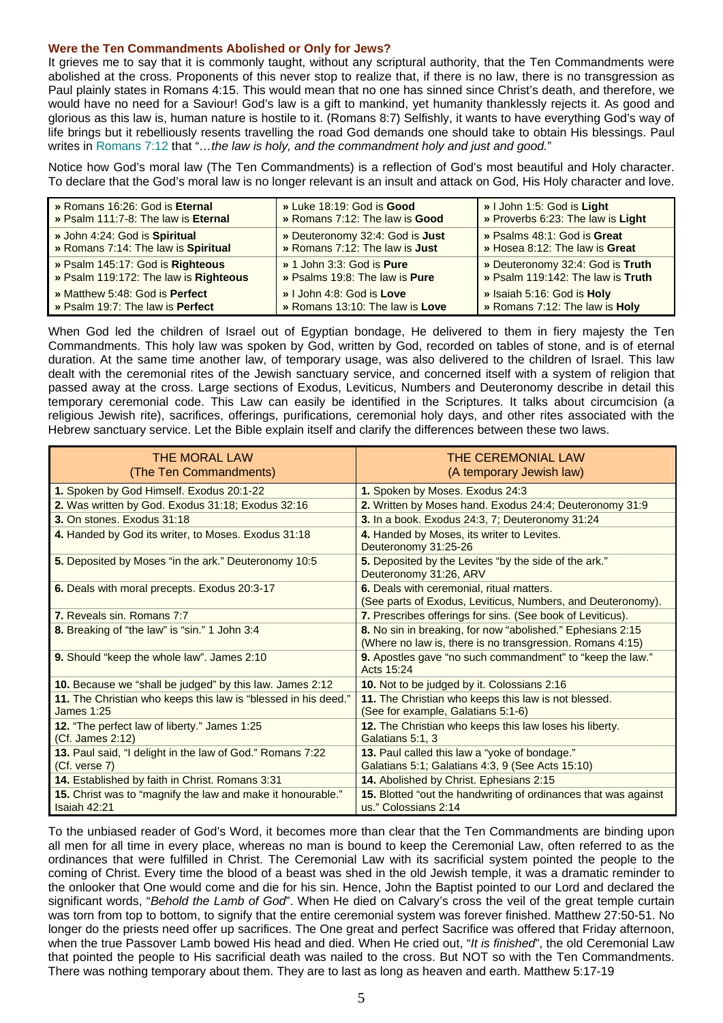## **Were the Ten Commandments Abolished or Only for Jews?**

It grieves me to say that it is commonly taught, without any scriptural authority, that the Ten Commandments were abolished at the cross. Proponents of this never stop to realize that, if there is no law, there is no transgression as Paul plainly states in Romans 4:15. This would mean that no one has sinned since Christ's death, and therefore, we would have no need for a Saviour! God's law is a gift to mankind, yet humanity thanklessly rejects it. As good and glorious as this law is, human nature is hostile to it. (Romans 8:7) Selfishly, it wants to have everything God's way of life brings but it rebelliously resents travelling the road God demands one should take to obtain His blessings. Paul writes in Romans 7:12 that "*…the law is holy, and the commandment holy and just and good.*"

Notice how God's moral law (The Ten Commandments) is a reflection of God's most beautiful and Holy character. To declare that the God's moral law is no longer relevant is an insult and attack on God, His Holy character and love.

| » Romans 16:26: God is Eternal        | » Luke 18:19: God is Good       | » I John 1:5: God is Light        |
|---------------------------------------|---------------------------------|-----------------------------------|
| » Psalm 111:7-8: The law is Eternal   | » Romans 7:12: The law is Good  | » Proverbs 6:23: The law is Light |
| » John 4:24: God is Spiritual         | » Deuteronomy 32:4: God is Just | » Psalms 48:1: God is Great       |
| » Romans 7:14: The law is Spiritual   | » Romans 7:12: The law is Just  | » Hosea 8:12: The law is Great    |
| » Psalm 145:17: God is Righteous      | » 1 John 3:3: God is Pure       | » Deuteronomy 32:4: God is Truth  |
| » Psalm 119:172: The law is Righteous | » Psalms 19:8: The law is Pure  | » Psalm 119:142: The law is Truth |
| » Matthew 5:48: God is Perfect        | » I John 4:8: God is Love       | » Isaiah 5:16: God is Holy        |
| » Psalm 19:7: The law is Perfect      | » Romans 13:10: The law is Love | » Romans 7:12: The law is Holy    |

When God led the children of Israel out of Egyptian bondage, He delivered to them in fiery majesty the Ten Commandments. This holy law was spoken by God, written by God, recorded on tables of stone, and is of eternal duration. At the same time another law, of temporary usage, was also delivered to the children of Israel. This law dealt with the ceremonial rites of the Jewish sanctuary service, and concerned itself with a system of religion that passed away at the cross. Large sections of Exodus, Leviticus, Numbers and Deuteronomy describe in detail this temporary ceremonial code. This Law can easily be identified in the Scriptures. It talks about circumcision (a religious Jewish rite), sacrifices, offerings, purifications, ceremonial holy days, and other rites associated with the Hebrew sanctuary service. Let the Bible explain itself and clarify the differences between these two laws.

| THE MORAL LAW<br>(The Ten Commandments)                                      | <b>THE CEREMONIAL LAW</b><br>(A temporary Jewish law)                                                                   |  |  |
|------------------------------------------------------------------------------|-------------------------------------------------------------------------------------------------------------------------|--|--|
| 1. Spoken by God Himself. Exodus 20:1-22                                     | 1. Spoken by Moses. Exodus 24:3                                                                                         |  |  |
| 2. Was written by God. Exodus 31:18; Exodus 32:16                            | 2. Written by Moses hand. Exodus 24:4; Deuteronomy 31:9                                                                 |  |  |
| 3. On stones, Exodus 31:18                                                   | 3. In a book. Exodus 24:3, 7; Deuteronomy 31:24                                                                         |  |  |
| 4. Handed by God its writer, to Moses. Exodus 31:18                          | 4. Handed by Moses, its writer to Levites.<br>Deuteronomy 31:25-26                                                      |  |  |
| 5. Deposited by Moses "in the ark." Deuteronomy 10:5                         | 5. Deposited by the Levites "by the side of the ark."<br>Deuteronomy 31:26, ARV                                         |  |  |
| 6. Deals with moral precepts. Exodus 20:3-17                                 | 6. Deals with ceremonial, ritual matters.<br>(See parts of Exodus, Leviticus, Numbers, and Deuteronomy).                |  |  |
| 7. Reveals sin, Romans 7:7                                                   | 7. Prescribes offerings for sins. (See book of Leviticus).                                                              |  |  |
| 8. Breaking of "the law" is "sin." 1 John 3:4                                | 8. No sin in breaking, for now "abolished." Ephesians 2:15<br>(Where no law is, there is no transgression. Romans 4:15) |  |  |
| 9. Should "keep the whole law". James 2:10                                   | 9. Apostles gave "no such commandment" to "keep the law."<br>Acts 15:24                                                 |  |  |
| 10. Because we "shall be judged" by this law. James 2:12                     | 10. Not to be judged by it. Colossians 2:16                                                                             |  |  |
| 11. The Christian who keeps this law is "blessed in his deed."<br>James 1:25 | 11. The Christian who keeps this law is not blessed.<br>(See for example, Galatians 5:1-6)                              |  |  |
| 12. "The perfect law of liberty." James 1:25<br>(Cf. James 2:12)             | 12. The Christian who keeps this law loses his liberty.<br>Galatians 5:1, 3                                             |  |  |
| 13. Paul said, "I delight in the law of God." Romans 7:22<br>(Cf. verse 7)   | 13. Paul called this law a "yoke of bondage."<br>Galatians 5:1; Galatians 4:3, 9 (See Acts 15:10)                       |  |  |
| 14. Established by faith in Christ. Romans 3:31                              | 14. Abolished by Christ. Ephesians 2:15                                                                                 |  |  |
| 15. Christ was to "magnify the law and make it honourable."<br>Isaiah 42:21  | 15. Blotted "out the handwriting of ordinances that was against<br>us." Colossians 2:14                                 |  |  |

To the unbiased reader of God's Word, it becomes more than clear that the Ten Commandments are binding upon all men for all time in every place, whereas no man is bound to keep the Ceremonial Law, often referred to as the ordinances that were fulfilled in Christ. The Ceremonial Law with its sacrificial system pointed the people to the coming of Christ. Every time the blood of a beast was shed in the old Jewish temple, it was a dramatic reminder to the onlooker that One would come and die for his sin. Hence, John the Baptist pointed to our Lord and declared the significant words, "*Behold the Lamb of God*". When He died on Calvary's cross the veil of the great temple curtain was torn from top to bottom, to signify that the entire ceremonial system was forever finished. Matthew 27:50-51. No longer do the priests need offer up sacrifices. The One great and perfect Sacrifice was offered that Friday afternoon, when the true Passover Lamb bowed His head and died. When He cried out, "*It is finished*", the old Ceremonial Law that pointed the people to His sacrificial death was nailed to the cross. But NOT so with the Ten Commandments. There was nothing temporary about them. They are to last as long as heaven and earth. Matthew 5:17-19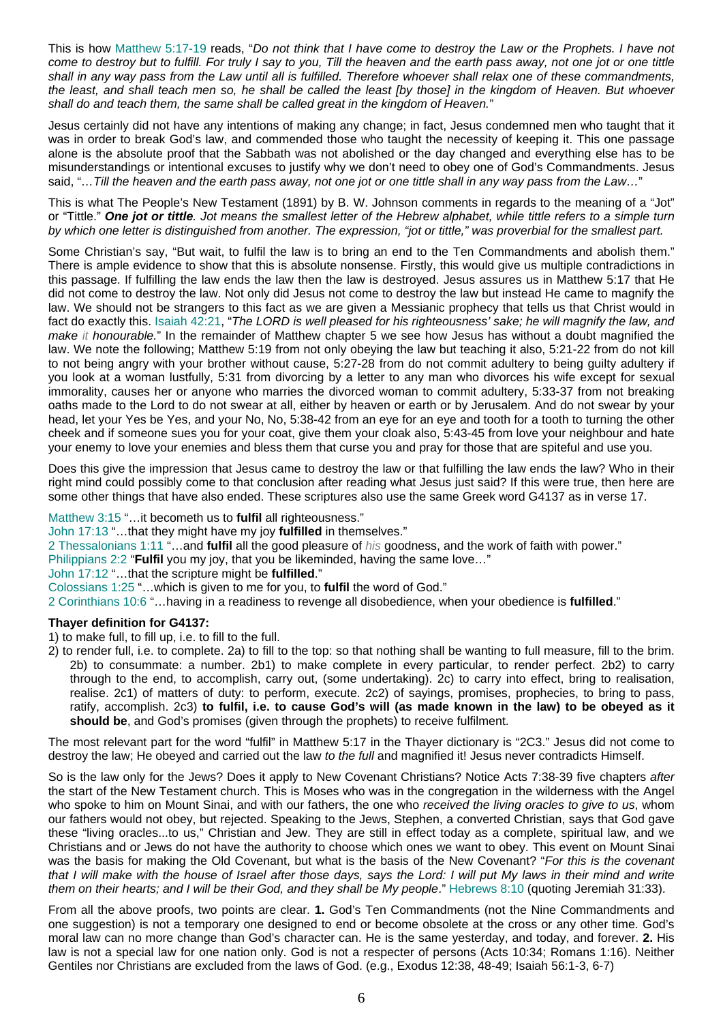This is how Matthew 5:17-19 reads, "*Do not think that I have come to destroy the Law or the Prophets. I have not come to destroy but to fulfill. For truly I say to you, Till the heaven and the earth pass away, not one jot or one tittle shall in any way pass from the Law until all is fulfilled. Therefore whoever shall relax one of these commandments, the least, and shall teach men so, he shall be called the least [by those] in the kingdom of Heaven. But whoever shall do and teach them, the same shall be called great in the kingdom of Heaven.*"

Jesus certainly did not have any intentions of making any change; in fact, Jesus condemned men who taught that it was in order to break God's law, and commended those who taught the necessity of keeping it. This one passage alone is the absolute proof that the Sabbath was not abolished or the day changed and everything else has to be misunderstandings or intentional excuses to justify why we don't need to obey one of God's Commandments. Jesus said, "*…Till the heaven and the earth pass away, not one jot or one tittle shall in any way pass from the Law…*"

This is what The People's New Testament (1891) by B. W. Johnson comments in regards to the meaning of a "Jot" or "Tittle." *One jot or tittle. Jot means the smallest letter of the Hebrew alphabet, while tittle refers to a simple turn by which one letter is distinguished from another. The expression, "jot or tittle," was proverbial for the smallest part.* 

Some Christian's say, "But wait, to fulfil the law is to bring an end to the Ten Commandments and abolish them." There is ample evidence to show that this is absolute nonsense. Firstly, this would give us multiple contradictions in this passage. If fulfilling the law ends the law then the law is destroyed. Jesus assures us in Matthew 5:17 that He did not come to destroy the law. Not only did Jesus not come to destroy the law but instead He came to magnify the law. We should not be strangers to this fact as we are given a Messianic prophecy that tells us that Christ would in fact do exactly this. Isaiah 42:21, "*The LORD is well pleased for his righteousness' sake; he will magnify the law, and make it honourable.*" In the remainder of Matthew chapter 5 we see how Jesus has without a doubt magnified the law. We note the following; Matthew 5:19 from not only obeying the law but teaching it also, 5:21-22 from do not kill to not being angry with your brother without cause, 5:27-28 from do not commit adultery to being guilty adultery if you look at a woman lustfully, 5:31 from divorcing by a letter to any man who divorces his wife except for sexual immorality, causes her or anyone who marries the divorced woman to commit adultery, 5:33-37 from not breaking oaths made to the Lord to do not swear at all, either by heaven or earth or by Jerusalem. And do not swear by your head, let your Yes be Yes, and your No, No, 5:38-42 from an eye for an eye and tooth for a tooth to turning the other cheek and if someone sues you for your coat, give them your cloak also, 5:43-45 from love your neighbour and hate your enemy to love your enemies and bless them that curse you and pray for those that are spiteful and use you.

Does this give the impression that Jesus came to destroy the law or that fulfilling the law ends the law? Who in their right mind could possibly come to that conclusion after reading what Jesus just said? If this were true, then here are some other things that have also ended. These scriptures also use the same Greek word G4137 as in verse 17.

Matthew 3:15 "…it becometh us to **fulfil** all righteousness."

John 17:13 "…that they might have my joy **fulfilled** in themselves."

2 Thessalonians 1:11 "…and **fulfil** all the good pleasure of *his* goodness, and the work of faith with power."

Philippians 2:2 "**Fulfil** you my joy, that you be likeminded, having the same love…"

John 17:12 "…that the scripture might be **fulfilled**."

Colossians 1:25 "…which is given to me for you, to **fulfil** the word of God."

2 Corinthians 10:6 "…having in a readiness to revenge all disobedience, when your obedience is **fulfilled**."

## **Thayer definition for G4137:**

1) to make full, to fill up, i.e. to fill to the full.

2) to render full, i.e. to complete. 2a) to fill to the top: so that nothing shall be wanting to full measure, fill to the brim. 2b) to consummate: a number. 2b1) to make complete in every particular, to render perfect. 2b2) to carry through to the end, to accomplish, carry out, (some undertaking). 2c) to carry into effect, bring to realisation, realise. 2c1) of matters of duty: to perform, execute. 2c2) of sayings, promises, prophecies, to bring to pass, ratify, accomplish. 2c3) **to fulfil, i.e. to cause God's will (as made known in the law) to be obeyed as it should be**, and God's promises (given through the prophets) to receive fulfilment.

The most relevant part for the word "fulfil" in Matthew 5:17 in the Thayer dictionary is "2C3." Jesus did not come to destroy the law; He obeyed and carried out the law *to the full* and magnified it! Jesus never contradicts Himself.

So is the law only for the Jews? Does it apply to New Covenant Christians? Notice Acts 7:38-39 five chapters *after* the start of the New Testament church. This is Moses who was in the congregation in the wilderness with the Angel who spoke to him on Mount Sinai, and with our fathers, the one who *received the living oracles to give to us*, whom our fathers would not obey, but rejected. Speaking to the Jews, Stephen, a converted Christian, says that God gave these "living oracles...to us," Christian and Jew. They are still in effect today as a complete, spiritual law, and we Christians and or Jews do not have the authority to choose which ones we want to obey. This event on Mount Sinai was the basis for making the Old Covenant, but what is the basis of the New Covenant? "*For this is the covenant that I will make with the house of Israel after those days, says the Lord: I will put My laws in their mind and write them on their hearts; and I will be their God, and they shall be My people.*" Hebrews 8:10 (quoting Jeremiah 31:33).

From all the above proofs, two points are clear. **1.** God's Ten Commandments (not the Nine Commandments and one suggestion) is not a temporary one designed to end or become obsolete at the cross or any other time. God's moral law can no more change than God's character can. He is the same yesterday, and today, and forever. **2.** His law is not a special law for one nation only. God is not a respecter of persons (Acts 10:34; Romans 1:16). Neither Gentiles nor Christians are excluded from the laws of God. (e.g., Exodus 12:38, 48-49; Isaiah 56:1-3, 6-7)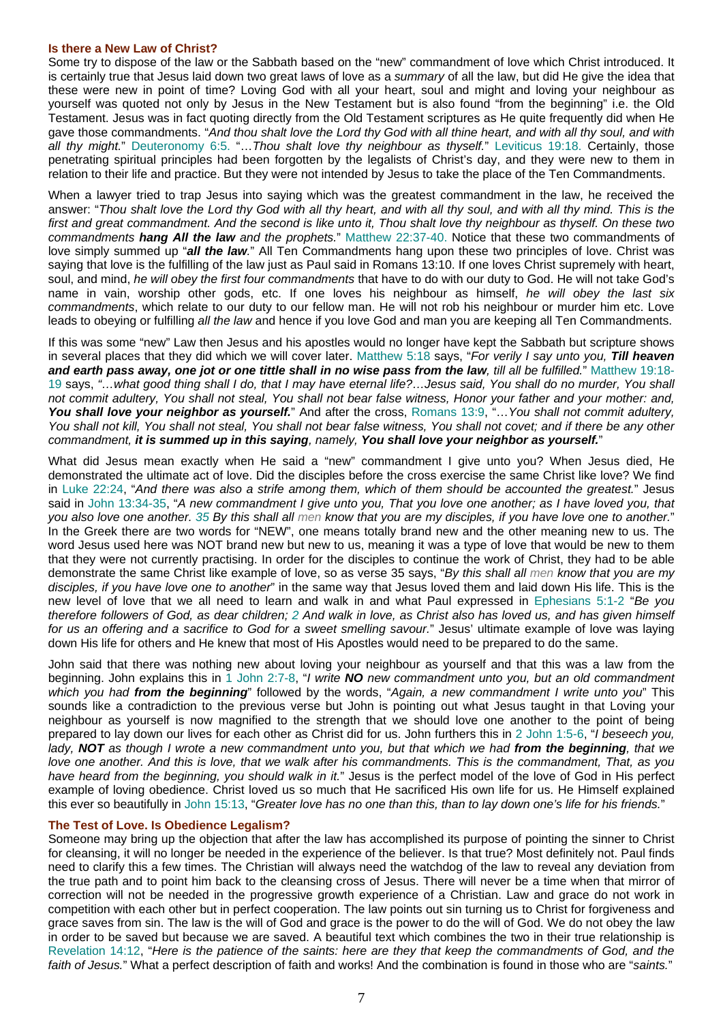#### **Is there a New Law of Christ?**

Some try to dispose of the law or the Sabbath based on the "new" commandment of love which Christ introduced. It is certainly true that Jesus laid down two great laws of love as a *summary* of all the law, but did He give the idea that these were new in point of time? Loving God with all your heart, soul and might and loving your neighbour as yourself was quoted not only by Jesus in the New Testament but is also found "from the beginning" i.e. the Old Testament. Jesus was in fact quoting directly from the Old Testament scriptures as He quite frequently did when He gave those commandments. "*And thou shalt love the Lord thy God with all thine heart, and with all thy soul, and with all thy might.*" Deuteronomy 6:5. "…*Thou shalt love thy neighbour as thyself.*" Leviticus 19:18. Certainly, those penetrating spiritual principles had been forgotten by the legalists of Christ's day, and they were new to them in relation to their life and practice. But they were not intended by Jesus to take the place of the Ten Commandments.

When a lawyer tried to trap Jesus into saying which was the greatest commandment in the law, he received the answer: "*Thou shalt love the Lord thy God with all thy heart, and with all thy soul, and with all thy mind. This is the first and great commandment. And the second is like unto it, Thou shalt love thy neighbour as thyself. On these two commandments hang All the law and the prophets.*" Matthew 22:37-40. Notice that these two commandments of love simply summed up "*all the law.*" All Ten Commandments hang upon these two principles of love. Christ was saying that love is the fulfilling of the law just as Paul said in Romans 13:10. If one loves Christ supremely with heart, soul, and mind, *he will obey the first four commandments* that have to do with our duty to God. He will not take God's name in vain, worship other gods, etc. If one loves his neighbour as himself, *he will obey the last six commandments*, which relate to our duty to our fellow man. He will not rob his neighbour or murder him etc. Love leads to obeying or fulfilling *all the law* and hence if you love God and man you are keeping all Ten Commandments.

If this was some "new" Law then Jesus and his apostles would no longer have kept the Sabbath but scripture shows in several places that they did which we will cover later. Matthew 5:18 says, "*For verily I say unto you, Till heaven and earth pass away, one jot or one tittle shall in no wise pass from the law, till all be fulfilled.*" Matthew 19:18- 19 says, *"…what good thing shall I do, that I may have eternal life?…Jesus said, You shall do no murder, You shall not commit adultery, You shall not steal, You shall not bear false witness, Honor your father and your mother: and, You shall love your neighbor as yourself.*" And after the cross, Romans 13:9, "…*You shall not commit adultery, You shall not kill, You shall not steal, You shall not bear false witness, You shall not covet; and if there be any other commandment, it is summed up in this saying, namely, You shall love your neighbor as yourself.*"

What did Jesus mean exactly when He said a "new" commandment I give unto you? When Jesus died, He demonstrated the ultimate act of love. Did the disciples before the cross exercise the same Christ like love? We find in Luke 22:24, "*And there was also a strife among them, which of them should be accounted the greatest.*" Jesus said in John 13:34-35, "*A new commandment I give unto you, That you love one another; as I have loved you, that you also love one another. 35 By this shall all men know that you are my disciples, if you have love one to another.*" In the Greek there are two words for "NEW", one means totally brand new and the other meaning new to us. The word Jesus used here was NOT brand new but new to us, meaning it was a type of love that would be new to them that they were not currently practising. In order for the disciples to continue the work of Christ, they had to be able demonstrate the same Christ like example of love, so as verse 35 says, "*By this shall all men know that you are my disciples, if you have love one to another*" in the same way that Jesus loved them and laid down His life. This is the new level of love that we all need to learn and walk in and what Paul expressed in Ephesians 5:1-2 "*Be you therefore followers of God, as dear children; 2 And walk in love, as Christ also has loved us, and has given himself for us an offering and a sacrifice to God for a sweet smelling savour.*" Jesus' ultimate example of love was laying down His life for others and He knew that most of His Apostles would need to be prepared to do the same.

John said that there was nothing new about loving your neighbour as yourself and that this was a law from the beginning. John explains this in 1 John 2:7-8, "*I write NO new commandment unto you, but an old commandment which you had from the beginning*" followed by the words, "*Again, a new commandment I write unto you*" This sounds like a contradiction to the previous verse but John is pointing out what Jesus taught in that Loving your neighbour as yourself is now magnified to the strength that we should love one another to the point of being prepared to lay down our lives for each other as Christ did for us. John furthers this in 2 John 1:5-6, "*I beseech you,*  lady, **NOT** as though I wrote a new commandment unto you, but that which we had *from the beginning*, that we *love one another. And this is love, that we walk after his commandments. This is the commandment, That, as you have heard from the beginning, you should walk in it.*" Jesus is the perfect model of the love of God in His perfect example of loving obedience. Christ loved us so much that He sacrificed His own life for us. He Himself explained this ever so beautifully in John 15:13, "*Greater love has no one than this, than to lay down one's life for his friends.*"

## **The Test of Love. Is Obedience Legalism?**

Someone may bring up the objection that after the law has accomplished its purpose of pointing the sinner to Christ for cleansing, it will no longer be needed in the experience of the believer. Is that true? Most definitely not. Paul finds need to clarify this a few times. The Christian will always need the watchdog of the law to reveal any deviation from the true path and to point him back to the cleansing cross of Jesus. There will never be a time when that mirror of correction will not be needed in the progressive growth experience of a Christian. Law and grace do not work in competition with each other but in perfect cooperation. The law points out sin turning us to Christ for forgiveness and grace saves from sin. The law is the will of God and grace is the power to do the will of God. We do not obey the law in order to be saved but because we are saved. A beautiful text which combines the two in their true relationship is Revelation 14:12, "*Here is the patience of the saints: here are they that keep the commandments of God, and the faith of Jesus.*" What a perfect description of faith and works! And the combination is found in those who are "*saints.*"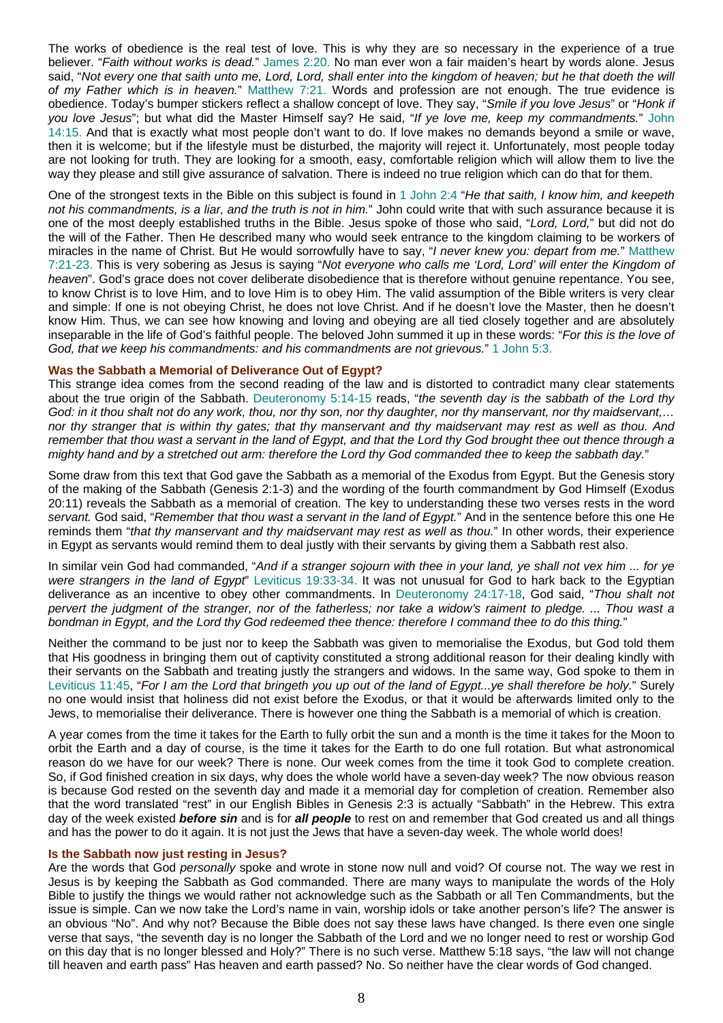The works of obedience is the real test of love. This is why they are so necessary in the experience of a true believer. "*Faith without works is dead.*" James 2:20. No man ever won a fair maiden's heart by words alone. Jesus said, "*Not every one that saith unto me, Lord, Lord, shall enter into the kingdom of heaven; but he that doeth the will of my Father which is in heaven.*" Matthew 7:21. Words and profession are not enough. The true evidence is obedience. Today's bumper stickers reflect a shallow concept of love. They say, "*Smile if you love Jesus*" or "*Honk if you love Jesus*"; but what did the Master Himself say? He said, "*If ye love me, keep my commandments.*" John 14:15. And that is exactly what most people don't want to do. If love makes no demands beyond a smile or wave, then it is welcome; but if the lifestyle must be disturbed, the majority will reject it. Unfortunately, most people today are not looking for truth. They are looking for a smooth, easy, comfortable religion which will allow them to live the way they please and still give assurance of salvation. There is indeed no true religion which can do that for them.

One of the strongest texts in the Bible on this subject is found in 1 John 2:4 "*He that saith, I know him, and keepeth not his commandments, is a liar, and the truth is not in him.*" John could write that with such assurance because it is one of the most deeply established truths in the Bible. Jesus spoke of those who said, "*Lord, Lord,*" but did not do the will of the Father. Then He described many who would seek entrance to the kingdom claiming to be workers of miracles in the name of Christ. But He would sorrowfully have to say, "*I never knew you: depart from me.*" Matthew 7:21-23. This is very sobering as Jesus is saying "*Not everyone who calls me 'Lord, Lord' will enter the Kingdom of heaven*". God's grace does not cover deliberate disobedience that is therefore without genuine repentance. You see, to know Christ is to love Him, and to love Him is to obey Him. The valid assumption of the Bible writers is very clear and simple: If one is not obeying Christ, he does not love Christ. And if he doesn't love the Master, then he doesn't know Him. Thus, we can see how knowing and loving and obeying are all tied closely together and are absolutely inseparable in the life of God's faithful people. The beloved John summed it up in these words: "*For this is the love of God, that we keep his commandments: and his commandments are not grievous.*" 1 John 5:3.

## **Was the Sabbath a Memorial of Deliverance Out of Egypt?**

This strange idea comes from the second reading of the law and is distorted to contradict many clear statements about the true origin of the Sabbath. Deuteronomy 5:14-15 reads, "*the seventh day is the sabbath of the Lord thy God: in it thou shalt not do any work, thou, nor thy son, nor thy daughter, nor thy manservant, nor thy maidservant,… nor thy stranger that is within thy gates; that thy manservant and thy maidservant may rest as well as thou. And remember that thou wast a servant in the land of Egypt, and that the Lord thy God brought thee out thence through a mighty hand and by a stretched out arm: therefore the Lord thy God commanded thee to keep the sabbath day.*"

Some draw from this text that God gave the Sabbath as a memorial of the Exodus from Egypt. But the Genesis story of the making of the Sabbath (Genesis 2:1-3) and the wording of the fourth commandment by God Himself (Exodus 20:11) reveals the Sabbath as a memorial of creation. The key to understanding these two verses rests in the word *servant.* God said, "*Remember that thou wast a servant in the land of Egypt.*" And in the sentence before this one He reminds them "*that thy manservant and thy maidservant may rest as well as thou.*" In other words, their experience in Egypt as servants would remind them to deal justly with their servants by giving them a Sabbath rest also.

In similar vein God had commanded, "*And if a stranger sojourn with thee in your land, ye shall not vex him ... for ye were strangers in the land of Egypt*" Leviticus 19:33-34. It was not unusual for God to hark back to the Egyptian deliverance as an incentive to obey other commandments. In Deuteronomy 24:17-18, God said, "*Thou shalt not*  pervert the judgment of the stranger, nor of the fatherless; nor take a widow's raiment to pledge. ... Thou wast a *bondman in Egypt, and the Lord thy God redeemed thee thence: therefore I command thee to do this thing.*"

Neither the command to be just nor to keep the Sabbath was given to memorialise the Exodus, but God told them that His goodness in bringing them out of captivity constituted a strong additional reason for their dealing kindly with their servants on the Sabbath and treating justly the strangers and widows. In the same way, God spoke to them in Leviticus 11:45, "*For I am the Lord that bringeth you up out of the land of Egypt...ye shall therefore be holy.*" Surely no one would insist that holiness did not exist before the Exodus, or that it would be afterwards limited only to the Jews, to memorialise their deliverance. There is however one thing the Sabbath is a memorial of which is creation.

A year comes from the time it takes for the Earth to fully orbit the sun and a month is the time it takes for the Moon to orbit the Earth and a day of course, is the time it takes for the Earth to do one full rotation. But what astronomical reason do we have for our week? There is none. Our week comes from the time it took God to complete creation. So, if God finished creation in six days, why does the whole world have a seven-day week? The now obvious reason is because God rested on the seventh day and made it a memorial day for completion of creation. Remember also that the word translated "rest" in our English Bibles in Genesis 2:3 is actually "Sabbath" in the Hebrew. This extra day of the week existed *before sin* and is for *all people* to rest on and remember that God created us and all things and has the power to do it again. It is not just the Jews that have a seven-day week. The whole world does!

## **Is the Sabbath now just resting in Jesus?**

Are the words that God *personally* spoke and wrote in stone now null and void? Of course not. The way we rest in Jesus is by keeping the Sabbath as God commanded. There are many ways to manipulate the words of the Holy Bible to justify the things we would rather not acknowledge such as the Sabbath or all Ten Commandments, but the issue is simple. Can we now take the Lord's name in vain, worship idols or take another person's life? The answer is an obvious "No". And why not? Because the Bible does not say these laws have changed. Is there even one single verse that says, "the seventh day is no longer the Sabbath of the Lord and we no longer need to rest or worship God on this day that is no longer blessed and Holy?" There is no such verse. Matthew 5:18 says, "the law will not change till heaven and earth pass" Has heaven and earth passed? No. So neither have the clear words of God changed.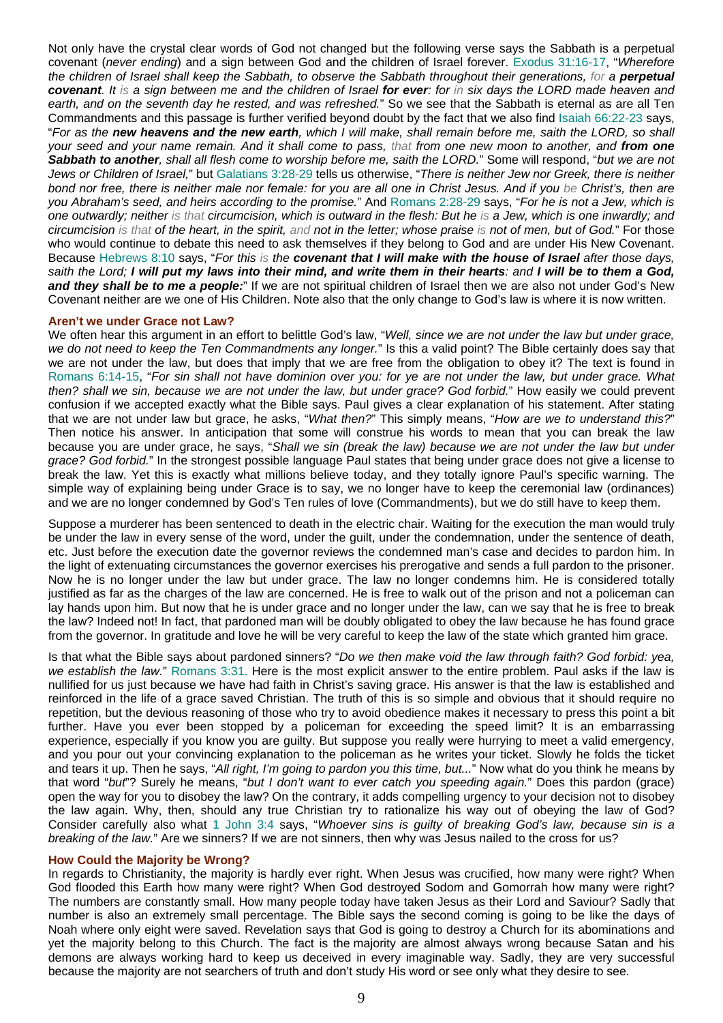Not only have the crystal clear words of God not changed but the following verse says the Sabbath is a perpetual covenant (*never ending*) and a sign between God and the children of Israel forever. Exodus 31:16-17, "*Wherefore the children of Israel shall keep the Sabbath, to observe the Sabbath throughout their generations, for a perpetual covenant. It is a sign between me and the children of Israel for ever: for in six days the LORD made heaven and earth, and on the seventh day he rested, and was refreshed.*" So we see that the Sabbath is eternal as are all Ten Commandments and this passage is further verified beyond doubt by the fact that we also find Isaiah 66:22-23 says, "*For as the new heavens and the new earth, which I will make, shall remain before me, saith the LORD, so shall your seed and your name remain. And it shall come to pass, that from one new moon to another, and from one Sabbath to another, shall all flesh come to worship before me, saith the LORD.*" Some will respond, "*but we are not Jews or Children of Israel,*" but Galatians 3:28-29 tells us otherwise, "*There is neither Jew nor Greek, there is neither bond nor free, there is neither male nor female: for you are all one in Christ Jesus. And if you be Christ's, then are you Abraham's seed, and heirs according to the promise.*" And Romans 2:28-29 says, "*For he is not a Jew, which is one outwardly; neither is that circumcision, which is outward in the flesh: But he is a Jew, which is one inwardly; and circumcision is that of the heart, in the spirit, and not in the letter; whose praise is not of men, but of God.*" For those who would continue to debate this need to ask themselves if they belong to God and are under His New Covenant. Because Hebrews 8:10 says, "*For this is the covenant that I will make with the house of Israel after those days, saith the Lord; I will put my laws into their mind, and write them in their hearts: and I will be to them a God, and they shall be to me a people:*" If we are not spiritual children of Israel then we are also not under God's New Covenant neither are we one of His Children. Note also that the only change to God's law is where it is now written.

## **Aren't we under Grace not Law?**

We often hear this argument in an effort to belittle God's law, "*Well, since we are not under the law but under grace, we do not need to keep the Ten Commandments any longer.*" Is this a valid point? The Bible certainly does say that we are not under the law, but does that imply that we are free from the obligation to obey it? The text is found in Romans 6:14-15, "*For sin shall not have dominion over you: for ye are not under the law, but under grace. What then? shall we sin, because we are not under the law, but under grace? God forbid.*" How easily we could prevent confusion if we accepted exactly what the Bible says. Paul gives a clear explanation of his statement. After stating that we are not under law but grace, he asks, "*What then?*" This simply means, "*How are we to understand this?*" Then notice his answer. In anticipation that some will construe his words to mean that you can break the law because you are under grace, he says, "*Shall we sin (break the law) because we are not under the law but under grace? God forbid.*" In the strongest possible language Paul states that being under grace does not give a license to break the law. Yet this is exactly what millions believe today, and they totally ignore Paul's specific warning. The simple way of explaining being under Grace is to say, we no longer have to keep the ceremonial law (ordinances) and we are no longer condemned by God's Ten rules of love (Commandments), but we do still have to keep them.

Suppose a murderer has been sentenced to death in the electric chair. Waiting for the execution the man would truly be under the law in every sense of the word, under the guilt, under the condemnation, under the sentence of death, etc. Just before the execution date the governor reviews the condemned man's case and decides to pardon him. In the light of extenuating circumstances the governor exercises his prerogative and sends a full pardon to the prisoner. Now he is no longer under the law but under grace. The law no longer condemns him. He is considered totally justified as far as the charges of the law are concerned. He is free to walk out of the prison and not a policeman can lay hands upon him. But now that he is under grace and no longer under the law, can we say that he is free to break the law? Indeed not! In fact, that pardoned man will be doubly obligated to obey the law because he has found grace from the governor. In gratitude and love he will be very careful to keep the law of the state which granted him grace.

Is that what the Bible says about pardoned sinners? "*Do we then make void the law through faith? God forbid: yea, we establish the law.*" Romans 3:31. Here is the most explicit answer to the entire problem. Paul asks if the law is nullified for us just because we have had faith in Christ's saving grace. His answer is that the law is established and reinforced in the life of a grace saved Christian. The truth of this is so simple and obvious that it should require no repetition, but the devious reasoning of those who try to avoid obedience makes it necessary to press this point a bit further. Have you ever been stopped by a policeman for exceeding the speed limit? It is an embarrassing experience, especially if you know you are guilty. But suppose you really were hurrying to meet a valid emergency, and you pour out your convincing explanation to the policeman as he writes your ticket. Slowly he folds the ticket and tears it up. Then he says, "*All right, I'm going to pardon you this time, but...*" Now what do you think he means by that word "*but*"? Surely he means, "*but I don't want to ever catch you speeding again.*" Does this pardon (grace) open the way for you to disobey the law? On the contrary, it adds compelling urgency to your decision not to disobey the law again. Why, then, should any true Christian try to rationalize his way out of obeying the law of God? Consider carefully also what 1 John 3:4 says, "*Whoever sins is guilty of breaking God's law, because sin is a breaking of the law.*" Are we sinners? If we are not sinners, then why was Jesus nailed to the cross for us?

#### **How Could the Majority be Wrong?**

In regards to Christianity, the majority is hardly ever right. When Jesus was crucified, how many were right? When God flooded this Earth how many were right? When God destroyed Sodom and Gomorrah how many were right? The numbers are constantly small. How many people today have taken Jesus as their Lord and Saviour? Sadly that number is also an extremely small percentage. The Bible says the second coming is going to be like the days of Noah where only eight were saved. Revelation says that God is going to destroy a Church for its abominations and yet the majority belong to this Church. The fact is the majority are almost always wrong because Satan and his demons are always working hard to keep us deceived in every imaginable way. Sadly, they are very successful because the majority are not searchers of truth and don't study His word or see only what they desire to see.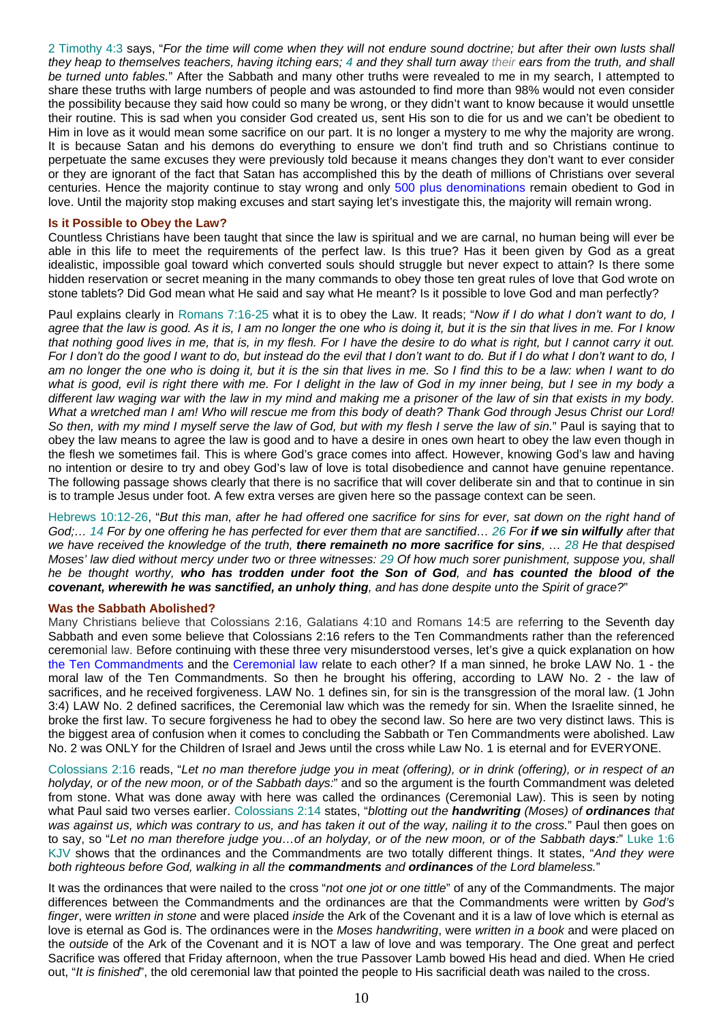2 Timothy 4:3 says, "*For the time will come when they will not endure sound doctrine; but after their own lusts shall they heap to themselves teachers, having itching ears; 4 and they shall turn away their ears from the truth, and shall be turned unto fables.*" After the Sabbath and many other truths were revealed to me in my search, I attempted to share these truths with large numbers of people and was astounded to find more than 98% would not even consider the possibility because they said how could so many be wrong, or they didn't want to know because it would unsettle their routine. This is sad when you consider God created us, sent His son to die for us and we can't be obedient to Him in love as it would mean some sacrifice on our part. It is no longer a mystery to me why the majority are wrong. It is because Satan and his demons do everything to ensure we don't find truth and so Christians continue to perpetuate the same excuses they were previously told because it means changes they don't want to ever consider or they are ignorant of the fact that Satan has accomplished this by the death of millions of Christians over several centuries. Hence the majority continue to stay wrong and only [500 plus denominations](http://www.the-ten-commandments.org/sabbathkeepingchurches.html) remain obedient to God in love. Until the majority stop making excuses and start saying let's investigate this, the majority will remain wrong.

## **Is it Possible to Obey the Law?**

Countless Christians have been taught that since the law is spiritual and we are carnal, no human being will ever be able in this life to meet the requirements of the perfect law. Is this true? Has it been given by God as a great idealistic, impossible goal toward which converted souls should struggle but never expect to attain? Is there some hidden reservation or secret meaning in the many commands to obey those ten great rules of love that God wrote on stone tablets? Did God mean what He said and say what He meant? Is it possible to love God and man perfectly?

Paul explains clearly in Romans 7:16-25 what it is to obey the Law. It reads; "*Now if I do what I don't want to do, I agree that the law is good. As it is, I am no longer the one who is doing it, but it is the sin that lives in me. For I know that nothing good lives in me, that is, in my flesh. For I have the desire to do what is right, but I cannot carry it out. For I don't do the good I want to do, but instead do the evil that I don't want to do. But if I do what I don't want to do, I am no longer the one who is doing it, but it is the sin that lives in me. So I find this to be a law: when I want to do what is good, evil is right there with me. For I delight in the law of God in my inner being, but I see in my body a different law waging war with the law in my mind and making me a prisoner of the law of sin that exists in my body. What a wretched man I am! Who will rescue me from this body of death? Thank God through Jesus Christ our Lord! So then, with my mind I myself serve the law of God, but with my flesh I serve the law of sin.*" Paul is saying that to obey the law means to agree the law is good and to have a desire in ones own heart to obey the law even though in the flesh we sometimes fail. This is where God's grace comes into affect. However, knowing God's law and having no intention or desire to try and obey God's law of love is total disobedience and cannot have genuine repentance. The following passage shows clearly that there is no sacrifice that will cover deliberate sin and that to continue in sin is to trample Jesus under foot. A few extra verses are given here so the passage context can be seen.

Hebrews 10:12-26, "*But this man, after he had offered one sacrifice for sins for ever, sat down on the right hand of God;… 14 For by one offering he has perfected for ever them that are sanctified… 26 For if we sin wilfully after that we have received the knowledge of the truth, there remaineth no more sacrifice for sins, … 28 He that despised Moses' law died without mercy under two or three witnesses: 29 Of how much sorer punishment, suppose you, shall he be thought worthy, who has trodden under foot the Son of God, and has counted the blood of the covenant, wherewith he was sanctified, an unholy thing, and has done despite unto the Spirit of grace?*"

## **Was the Sabbath Abolished?**

Many Christians believe that Colossians 2:16, Galatians 4:10 and Romans 14:5 are referring to the Seventh day Sabbath and even some believe that Colossians 2:16 refers to the Ten Commandments rather than the referenced ceremonial law. Before continuing with these three very misunderstood verses, let's give a quick explanation on how [the Ten Commandments](http://www.the-ten-commandments.org/the-ten-commandments.html) and the [Ceremonial law](http://www.ceremoniallaw.com/) relate to each other? If a man sinned, he broke LAW No. 1 - the moral law of the Ten Commandments. So then he brought his offering, according to LAW No. 2 - the law of sacrifices, and he received forgiveness. LAW No. 1 defines sin, for sin is the transgression of the moral law. (1 John 3:4) LAW No. 2 defined sacrifices, the Ceremonial law which was the remedy for sin. When the Israelite sinned, he broke the first law. To secure forgiveness he had to obey the second law. So here are two very distinct laws. This is the biggest area of confusion when it comes to concluding the Sabbath or Ten Commandments were abolished. Law No. 2 was ONLY for the Children of Israel and Jews until the cross while Law No. 1 is eternal and for EVERYONE.

Colossians 2:16 reads, "*Let no man therefore judge you in meat (offering), or in drink (offering), or in respect of an holyday, or of the new moon, or of the Sabbath days:*" and so the argument is the fourth Commandment was deleted from stone. What was done away with here was called the ordinances (Ceremonial Law). This is seen by noting what Paul said two verses earlier. Colossians 2:14 states, "*blotting out the handwriting (Moses) of ordinances that was against us, which was contrary to us, and has taken it out of the way, nailing it to the cross.*" Paul then goes on to say, so "*Let no man therefore judge you…of an holyday, or of the new moon, or of the Sabbath days:*" Luke 1:6 KJV shows that the ordinances and the Commandments are two totally different things. It states, "*And they were both righteous before God, walking in all the commandments and ordinances of the Lord blameless.*"

It was the ordinances that were nailed to the cross "*not one jot or one tittle*" of any of the Commandments. The major differences between the Commandments and the ordinances are that the Commandments were written by *God's finger*, were *written in stone* and were placed *inside* the Ark of the Covenant and it is a law of love which is eternal as love is eternal as God is. The ordinances were in the *Moses handwriting*, were *written in a book* and were placed on the *outside* of the Ark of the Covenant and it is NOT a law of love and was temporary. The One great and perfect Sacrifice was offered that Friday afternoon, when the true Passover Lamb bowed His head and died. When He cried out, "*It is finished*", the old ceremonial law that pointed the people to His sacrificial death was nailed to the cross.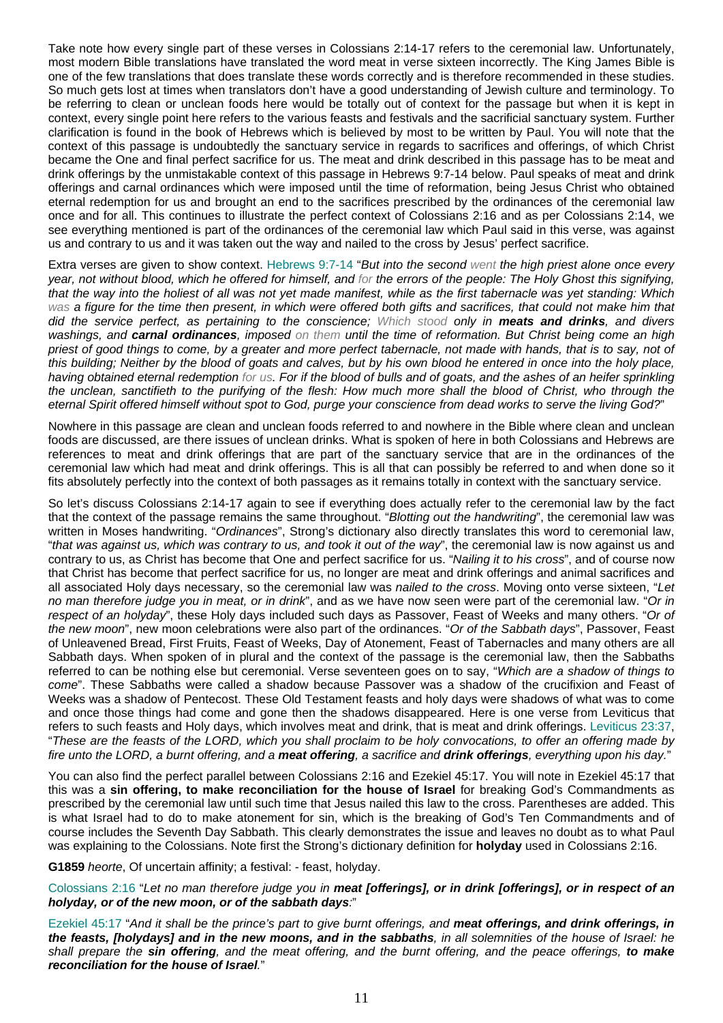Take note how every single part of these verses in Colossians 2:14-17 refers to the ceremonial law. Unfortunately, most modern Bible translations have translated the word meat in verse sixteen incorrectly. The King James Bible is one of the few translations that does translate these words correctly and is therefore recommended in these studies. So much gets lost at times when translators don't have a good understanding of Jewish culture and terminology. To be referring to clean or unclean foods here would be totally out of context for the passage but when it is kept in context, every single point here refers to the various feasts and festivals and the sacrificial sanctuary system. Further clarification is found in the book of Hebrews which is believed by most to be written by Paul. You will note that the context of this passage is undoubtedly the sanctuary service in regards to sacrifices and offerings, of which Christ became the One and final perfect sacrifice for us. The meat and drink described in this passage has to be meat and drink offerings by the unmistakable context of this passage in Hebrews 9:7-14 below. Paul speaks of meat and drink offerings and carnal ordinances which were imposed until the time of reformation, being Jesus Christ who obtained eternal redemption for us and brought an end to the sacrifices prescribed by the ordinances of the ceremonial law once and for all. This continues to illustrate the perfect context of Colossians 2:16 and as per Colossians 2:14, we see everything mentioned is part of the ordinances of the ceremonial law which Paul said in this verse, was against us and contrary to us and it was taken out the way and nailed to the cross by Jesus' perfect sacrifice.

Extra verses are given to show context. Hebrews 9:7-14 "*But into the second went the high priest alone once every year, not without blood, which he offered for himself, and for the errors of the people: The Holy Ghost this signifying, that the way into the holiest of all was not yet made manifest, while as the first tabernacle was yet standing: Which was a figure for the time then present, in which were offered both gifts and sacrifices, that could not make him that did the service perfect, as pertaining to the conscience; Which stood only in meats and drinks, and divers washings, and carnal ordinances, imposed on them until the time of reformation. But Christ being come an high*  priest of good things to come, by a greater and more perfect tabernacle, not made with hands, that is to say, not of *this building; Neither by the blood of goats and calves, but by his own blood he entered in once into the holy place, having obtained eternal redemption for us. For if the blood of bulls and of goats, and the ashes of an heifer sprinkling the unclean, sanctifieth to the purifying of the flesh: How much more shall the blood of Christ, who through the eternal Spirit offered himself without spot to God, purge your conscience from dead works to serve the living God?*"

Nowhere in this passage are clean and unclean foods referred to and nowhere in the Bible where clean and unclean foods are discussed, are there issues of unclean drinks. What is spoken of here in both Colossians and Hebrews are references to meat and drink offerings that are part of the sanctuary service that are in the ordinances of the ceremonial law which had meat and drink offerings. This is all that can possibly be referred to and when done so it fits absolutely perfectly into the context of both passages as it remains totally in context with the sanctuary service.

So let's discuss Colossians 2:14-17 again to see if everything does actually refer to the ceremonial law by the fact that the context of the passage remains the same throughout. "*Blotting out the handwriting*", the ceremonial law was written in Moses handwriting. "*Ordinances*", Strong's dictionary also directly translates this word to ceremonial law, "*that was against us, which was contrary to us, and took it out of the way*", the ceremonial law is now against us and contrary to us, as Christ has become that One and perfect sacrifice for us. "*Nailing it to his cross*", and of course now that Christ has become that perfect sacrifice for us, no longer are meat and drink offerings and animal sacrifices and all associated Holy days necessary, so the ceremonial law was *nailed to the cross*. Moving onto verse sixteen, "*Let no man therefore judge you in meat, or in drink*", and as we have now seen were part of the ceremonial law. "*Or in respect of an holyday*", these Holy days included such days as Passover, Feast of Weeks and many others. "*Or of the new moon*", new moon celebrations were also part of the ordinances. "*Or of the Sabbath days*", Passover, Feast of Unleavened Bread, First Fruits, Feast of Weeks, Day of Atonement, Feast of Tabernacles and many others are all Sabbath days. When spoken of in plural and the context of the passage is the ceremonial law, then the Sabbaths referred to can be nothing else but ceremonial. Verse seventeen goes on to say, "*Which are a shadow of things to come*". These Sabbaths were called a shadow because Passover was a shadow of the crucifixion and Feast of Weeks was a shadow of Pentecost. These Old Testament feasts and holy days were shadows of what was to come and once those things had come and gone then the shadows disappeared. Here is one verse from Leviticus that refers to such feasts and Holy days, which involves meat and drink, that is meat and drink offerings. Leviticus 23:37, "*These are the feasts of the LORD, which you shall proclaim to be holy convocations, to offer an offering made by fire unto the LORD, a burnt offering, and a meat offering, a sacrifice and drink offerings, everything upon his day.*"

You can also find the perfect parallel between Colossians 2:16 and Ezekiel 45:17. You will note in Ezekiel 45:17 that this was a **sin offering, to make reconciliation for the house of Israel** for breaking God's Commandments as prescribed by the ceremonial law until such time that Jesus nailed this law to the cross. Parentheses are added. This is what Israel had to do to make atonement for sin, which is the breaking of God's Ten Commandments and of course includes the Seventh Day Sabbath. This clearly demonstrates the issue and leaves no doubt as to what Paul was explaining to the Colossians. Note first the Strong's dictionary definition for **holyday** used in Colossians 2:16.

**G1859** *heorte*, Of uncertain affinity; a festival: - feast, holyday.

Colossians 2:16 "*Let no man therefore judge you in meat [offerings], or in drink [offerings], or in respect of an holyday, or of the new moon, or of the sabbath days:*"

Ezekiel 45:17 "*And it shall be the prince's part to give burnt offerings, and meat offerings, and drink offerings, in the feasts, [holydays] and in the new moons, and in the sabbaths, in all solemnities of the house of Israel: he shall prepare the sin offering, and the meat offering, and the burnt offering, and the peace offerings, to make reconciliation for the house of Israel.*"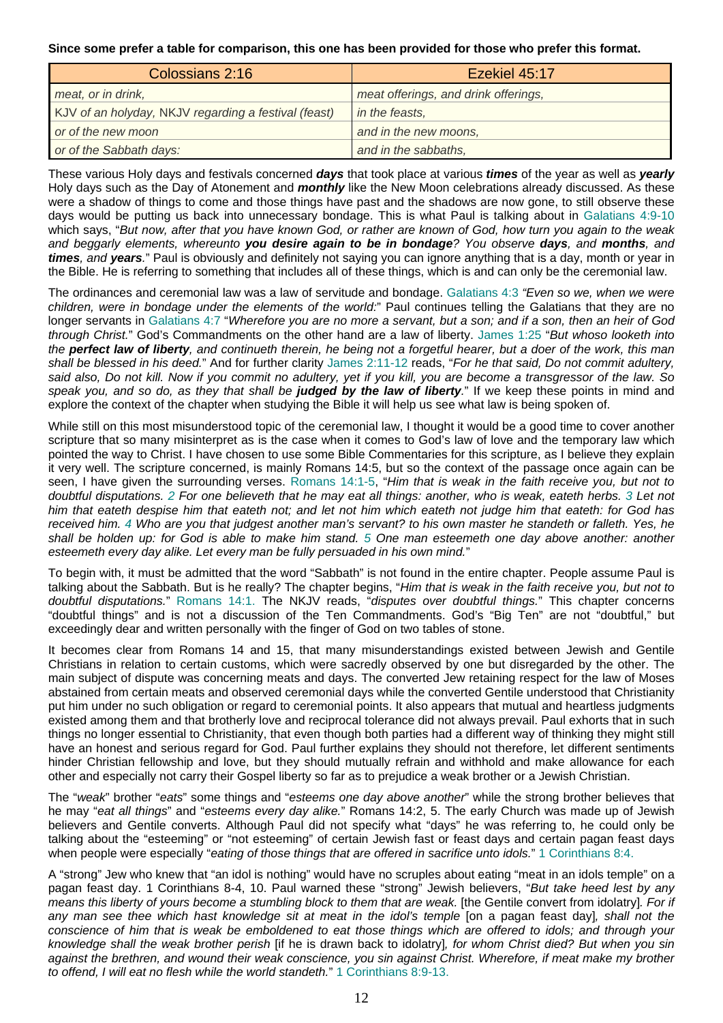## **Since some prefer a table for comparison, this one has been provided for those who prefer this format.**

| Colossians 2:16                                      | Ezekiel 45:17                        |
|------------------------------------------------------|--------------------------------------|
| meat, or in drink,                                   | meat offerings, and drink offerings, |
| KJV of an holyday, NKJV regarding a festival (feast) | in the feasts,                       |
| or of the new moon                                   | and in the new moons,                |
| or of the Sabbath days:                              | and in the sabbaths,                 |

These various Holy days and festivals concerned *days* that took place at various *times* of the year as well as *yearly* Holy days such as the Day of Atonement and *monthly* like the New Moon celebrations already discussed. As these were a shadow of things to come and those things have past and the shadows are now gone, to still observe these days would be putting us back into unnecessary bondage. This is what Paul is talking about in Galatians 4:9-10 which says, "*But now, after that you have known God, or rather are known of God, how turn you again to the weak and beggarly elements, whereunto you desire again to be in bondage? You observe days, and months, and times, and years.*" Paul is obviously and definitely not saying you can ignore anything that is a day, month or year in the Bible. He is referring to something that includes all of these things, which is and can only be the ceremonial law.

The ordinances and ceremonial law was a law of servitude and bondage. Galatians 4:3 *"Even so we, when we were children, were in bondage under the elements of the world:*" Paul continues telling the Galatians that they are no longer servants in Galatians 4:7 "*Wherefore you are no more a servant, but a son; and if a son, then an heir of God through Christ.*" God's Commandments on the other hand are a law of liberty. James 1:25 "*But whoso looketh into the perfect law of liberty, and continueth therein, he being not a forgetful hearer, but a doer of the work, this man shall be blessed in his deed.*" And for further clarity James 2:11-12 reads, "*For he that said, Do not commit adultery, said also, Do not kill. Now if you commit no adultery, yet if you kill, you are become a transgressor of the law. So speak you, and so do, as they that shall be judged by the law of liberty.*" If we keep these points in mind and explore the context of the chapter when studying the Bible it will help us see what law is being spoken of.

While still on this most misunderstood topic of the ceremonial law. I thought it would be a good time to cover another scripture that so many misinterpret as is the case when it comes to God's law of love and the temporary law which pointed the way to Christ. I have chosen to use some Bible Commentaries for this scripture, as I believe they explain it very well. The scripture concerned, is mainly Romans 14:5, but so the context of the passage once again can be seen, I have given the surrounding verses. Romans 14:1-5, "*Him that is weak in the faith receive you, but not to doubtful disputations. 2 For one believeth that he may eat all things: another, who is weak, eateth herbs. 3 Let not him that eateth despise him that eateth not; and let not him which eateth not judge him that eateth: for God has received him. 4 Who are you that judgest another man's servant? to his own master he standeth or falleth. Yes, he shall be holden up: for God is able to make him stand. 5 One man esteemeth one day above another: another esteemeth every day alike. Let every man be fully persuaded in his own mind.*"

To begin with, it must be admitted that the word "Sabbath" is not found in the entire chapter. People assume Paul is talking about the Sabbath. But is he really? The chapter begins, "*Him that is weak in the faith receive you, but not to doubtful disputations.*" Romans 14:1. The NKJV reads, "*disputes over doubtful things.*" This chapter concerns "doubtful things" and is not a discussion of the Ten Commandments. God's "Big Ten" are not "doubtful," but exceedingly dear and written personally with the finger of God on two tables of stone.

It becomes clear from Romans 14 and 15, that many misunderstandings existed between Jewish and Gentile Christians in relation to certain customs, which were sacredly observed by one but disregarded by the other. The main subject of dispute was concerning meats and days. The converted Jew retaining respect for the law of Moses abstained from certain meats and observed ceremonial days while the converted Gentile understood that Christianity put him under no such obligation or regard to ceremonial points. It also appears that mutual and heartless judgments existed among them and that brotherly love and reciprocal tolerance did not always prevail. Paul exhorts that in such things no longer essential to Christianity, that even though both parties had a different way of thinking they might still have an honest and serious regard for God. Paul further explains they should not therefore, let different sentiments hinder Christian fellowship and love, but they should mutually refrain and withhold and make allowance for each other and especially not carry their Gospel liberty so far as to prejudice a weak brother or a Jewish Christian.

The "*weak*" brother "*eats*" some things and "*esteems one day above another*" while the strong brother believes that he may "*eat all things*" and "*esteems every day alike.*" Romans 14:2, 5. The early Church was made up of Jewish believers and Gentile converts. Although Paul did not specify what "days" he was referring to, he could only be talking about the "esteeming" or "not esteeming" of certain Jewish fast or feast days and certain pagan feast days when people were especially "*eating of those things that are offered in sacrifice unto idols*." 1 Corinthians 8:4.

A "strong" Jew who knew that "an idol is nothing" would have no scruples about eating "meat in an idols temple" on a pagan feast day. 1 Corinthians 8-4, 10. Paul warned these "strong" Jewish believers, "*But take heed lest by any means this liberty of yours become a stumbling block to them that are weak.* [the Gentile convert from idolatry]*. For if*  any man see thee which hast knowledge sit at meat in the idol's temple [on a pagan feast day], shall not the *conscience of him that is weak be emboldened to eat those things which are offered to idols; and through your knowledge shall the weak brother perish* [if he is drawn back to idolatry]*, for whom Christ died? But when you sin against the brethren, and wound their weak conscience, you sin against Christ. Wherefore, if meat make my brother to offend, I will eat no flesh while the world standeth.*" 1 Corinthians 8:9-13.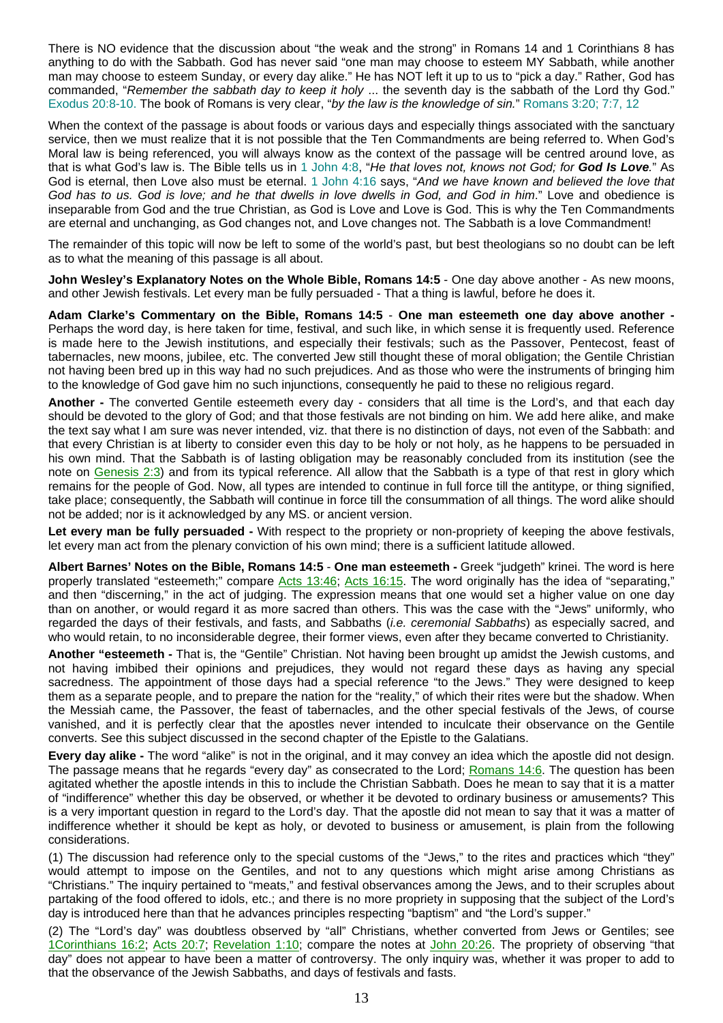There is NO evidence that the discussion about "the weak and the strong" in Romans 14 and 1 Corinthians 8 has anything to do with the Sabbath. God has never said "one man may choose to esteem MY Sabbath, while another man may choose to esteem Sunday, or every day alike." He has NOT left it up to us to "pick a day." Rather, God has commanded, "*Remember the sabbath day to keep it holy* ... the seventh day is the sabbath of the Lord thy God." Exodus 20:8-10. The book of Romans is very clear, "*by the law is the knowledge of sin.*" Romans 3:20; 7:7, 12

When the context of the passage is about foods or various days and especially things associated with the sanctuary service, then we must realize that it is not possible that the Ten Commandments are being referred to. When God's Moral law is being referenced, you will always know as the context of the passage will be centred around love, as that is what God's law is. The Bible tells us in 1 John 4:8, "*He that loves not, knows not God; for God Is Love.*" As God is eternal, then Love also must be eternal. 1 John 4:16 says, "*And we have known and believed the love that God has to us. God is love; and he that dwells in love dwells in God, and God in him*." Love and obedience is inseparable from God and the true Christian, as God is Love and Love is God. This is why the Ten Commandments are eternal and unchanging, as God changes not, and Love changes not. The Sabbath is a love Commandment!

The remainder of this topic will now be left to some of the world's past, but best theologians so no doubt can be left as to what the meaning of this passage is all about.

**John Wesley's Explanatory Notes on the Whole Bible, Romans 14:5** - One day above another - As new moons, and other Jewish festivals. Let every man be fully persuaded - That a thing is lawful, before he does it.

**Adam Clarke's Commentary on the Bible, Romans 14:5** - **One man esteemeth one day above another -**  Perhaps the word day, is here taken for time, festival, and such like, in which sense it is frequently used. Reference is made here to the Jewish institutions, and especially their festivals; such as the Passover, Pentecost, feast of tabernacles, new moons, jubilee, etc. The converted Jew still thought these of moral obligation; the Gentile Christian not having been bred up in this way had no such prejudices. And as those who were the instruments of bringing him to the knowledge of God gave him no such injunctions, consequently he paid to these no religious regard.

**Another -** The converted Gentile esteemeth every day - considers that all time is the Lord's, and that each day should be devoted to the glory of God; and that those festivals are not binding on him. We add here alike, and make the text say what I am sure was never intended, viz. that there is no distinction of days, not even of the Sabbath: and that every Christian is at liberty to consider even this day to be holy or not holy, as he happens to be persuaded in his own mind. That the Sabbath is of lasting obligation may be reasonably concluded from its institution (see the note on Genesis 2:3) and from its typical reference. All allow that the Sabbath is a type of that rest in glory which remains for the people of God. Now, all types are intended to continue in full force till the antitype, or thing signified, take place; consequently, the Sabbath will continue in force till the consummation of all things. The word alike should not be added; nor is it acknowledged by any MS. or ancient version.

Let every man be fully persuaded - With respect to the propriety or non-propriety of keeping the above festivals, let every man act from the plenary conviction of his own mind; there is a sufficient latitude allowed.

**Albert Barnes' Notes on the Bible, Romans 14:5** - **One man esteemeth -** Greek "judgeth" krinei. The word is here properly translated "esteemeth;" compare Acts 13:46; Acts 16:15. The word originally has the idea of "separating," and then "discerning," in the act of judging. The expression means that one would set a higher value on one day than on another, or would regard it as more sacred than others. This was the case with the "Jews" uniformly, who regarded the days of their festivals, and fasts, and Sabbaths (*i.e. ceremonial Sabbaths*) as especially sacred, and who would retain, to no inconsiderable degree, their former views, even after they became converted to Christianity.

**Another "esteemeth -** That is, the "Gentile" Christian. Not having been brought up amidst the Jewish customs, and not having imbibed their opinions and prejudices, they would not regard these days as having any special sacredness. The appointment of those days had a special reference "to the Jews." They were designed to keep them as a separate people, and to prepare the nation for the "reality," of which their rites were but the shadow. When the Messiah came, the Passover, the feast of tabernacles, and the other special festivals of the Jews, of course vanished, and it is perfectly clear that the apostles never intended to inculcate their observance on the Gentile converts. See this subject discussed in the second chapter of the Epistle to the Galatians.

**Every day alike -** The word "alike" is not in the original, and it may convey an idea which the apostle did not design. The passage means that he regards "every day" as consecrated to the Lord; Romans 14:6. The question has been agitated whether the apostle intends in this to include the Christian Sabbath. Does he mean to say that it is a matter of "indifference" whether this day be observed, or whether it be devoted to ordinary business or amusements? This is a very important question in regard to the Lord's day. That the apostle did not mean to say that it was a matter of indifference whether it should be kept as holy, or devoted to business or amusement, is plain from the following considerations.

(1) The discussion had reference only to the special customs of the "Jews," to the rites and practices which "they" would attempt to impose on the Gentiles, and not to any questions which might arise among Christians as "Christians." The inquiry pertained to "meats," and festival observances among the Jews, and to their scruples about partaking of the food offered to idols, etc.; and there is no more propriety in supposing that the subject of the Lord's day is introduced here than that he advances principles respecting "baptism" and "the Lord's supper."

(2) The "Lord's day" was doubtless observed by "all" Christians, whether converted from Jews or Gentiles; see 1Corinthians 16:2; Acts 20:7; Revelation 1:10; compare the notes at John 20:26. The propriety of observing "that day" does not appear to have been a matter of controversy. The only inquiry was, whether it was proper to add to that the observance of the Jewish Sabbaths, and days of festivals and fasts.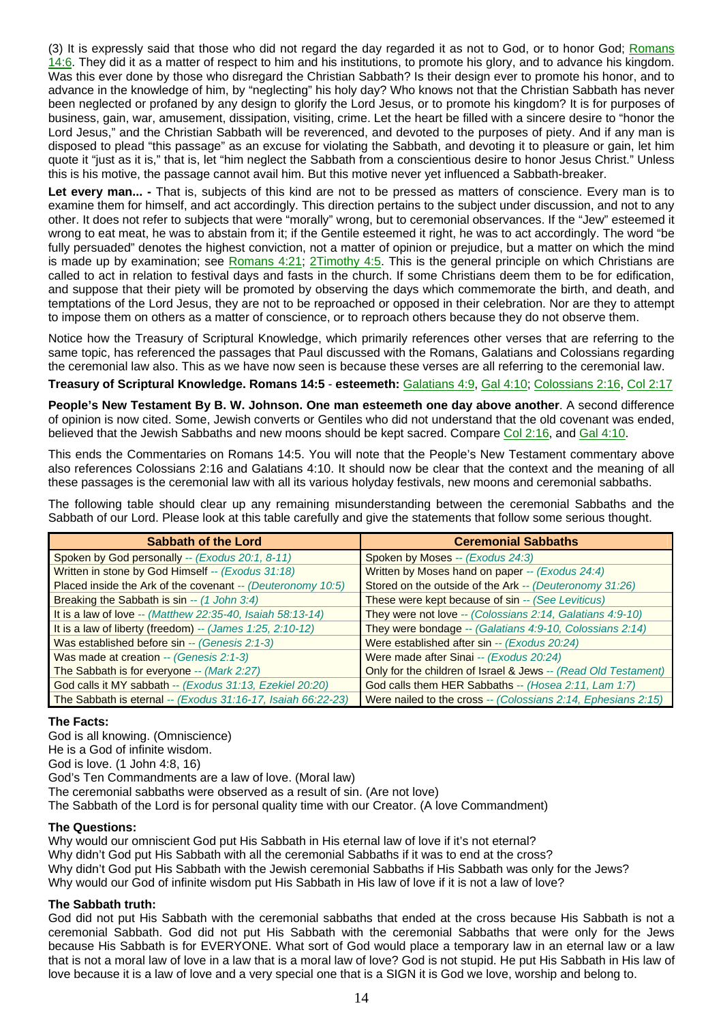(3) It is expressly said that those who did not regard the day regarded it as not to God, or to honor God; Romans 14:6. They did it as a matter of respect to him and his institutions, to promote his glory, and to advance his kingdom. Was this ever done by those who disregard the Christian Sabbath? Is their design ever to promote his honor, and to advance in the knowledge of him, by "neglecting" his holy day? Who knows not that the Christian Sabbath has never been neglected or profaned by any design to glorify the Lord Jesus, or to promote his kingdom? It is for purposes of business, gain, war, amusement, dissipation, visiting, crime. Let the heart be filled with a sincere desire to "honor the Lord Jesus," and the Christian Sabbath will be reverenced, and devoted to the purposes of piety. And if any man is disposed to plead "this passage" as an excuse for violating the Sabbath, and devoting it to pleasure or gain, let him quote it "just as it is," that is, let "him neglect the Sabbath from a conscientious desire to honor Jesus Christ." Unless this is his motive, the passage cannot avail him. But this motive never yet influenced a Sabbath-breaker.

**Let every man... -** That is, subjects of this kind are not to be pressed as matters of conscience. Every man is to examine them for himself, and act accordingly. This direction pertains to the subject under discussion, and not to any other. It does not refer to subjects that were "morally" wrong, but to ceremonial observances. If the "Jew" esteemed it wrong to eat meat, he was to abstain from it; if the Gentile esteemed it right, he was to act accordingly. The word "be fully persuaded" denotes the highest conviction, not a matter of opinion or prejudice, but a matter on which the mind is made up by examination; see Romans 4:21; 2Timothy 4:5. This is the general principle on which Christians are called to act in relation to festival days and fasts in the church. If some Christians deem them to be for edification, and suppose that their piety will be promoted by observing the days which commemorate the birth, and death, and temptations of the Lord Jesus, they are not to be reproached or opposed in their celebration. Nor are they to attempt to impose them on others as a matter of conscience, or to reproach others because they do not observe them.

Notice how the Treasury of Scriptural Knowledge, which primarily references other verses that are referring to the same topic, has referenced the passages that Paul discussed with the Romans, Galatians and Colossians regarding the ceremonial law also. This as we have now seen is because these verses are all referring to the ceremonial law.

**Treasury of Scriptural Knowledge. Romans 14:5** - **esteemeth:** Galatians 4:9, Gal 4:10; Colossians 2:16, Col 2:17

**People's New Testament By B. W. Johnson. One man esteemeth one day above another**. A second difference of opinion is now cited. Some, Jewish converts or Gentiles who did not understand that the old covenant was ended, believed that the Jewish Sabbaths and new moons should be kept sacred. Compare Col 2:16, and Gal 4:10.

This ends the Commentaries on Romans 14:5. You will note that the People's New Testament commentary above also references Colossians 2:16 and Galatians 4:10. It should now be clear that the context and the meaning of all these passages is the ceremonial law with all its various holyday festivals, new moons and ceremonial sabbaths.

The following table should clear up any remaining misunderstanding between the ceremonial Sabbaths and the Sabbath of our Lord. Please look at this table carefully and give the statements that follow some serious thought.

| <b>Sabbath of the Lord</b>                                    | <b>Ceremonial Sabbaths</b>                                     |  |  |
|---------------------------------------------------------------|----------------------------------------------------------------|--|--|
| Spoken by God personally -- (Exodus 20:1, 8-11)               | Spoken by Moses -- (Exodus 24:3)                               |  |  |
| Written in stone by God Himself -- (Exodus 31:18)             | Written by Moses hand on paper -- (Exodus 24:4)                |  |  |
| Placed inside the Ark of the covenant -- (Deuteronomy 10:5)   | Stored on the outside of the Ark -- (Deuteronomy 31:26)        |  |  |
| Breaking the Sabbath is sin -- (1 John 3:4)                   | These were kept because of sin -- (See Leviticus)              |  |  |
| It is a law of love -- (Matthew 22:35-40, Isaiah 58:13-14)    | They were not love -- (Colossians 2:14, Galatians 4:9-10)      |  |  |
| It is a law of liberty (freedom) $-$ (James 1:25, 2:10-12)    | They were bondage -- (Galatians 4:9-10, Colossians 2:14)       |  |  |
| Was established before sin -- (Genesis 2:1-3)                 | Were established after sin -- (Exodus 20:24)                   |  |  |
| Was made at creation -- (Genesis 2:1-3)                       | Were made after Sinai -- (Exodus 20:24)                        |  |  |
| The Sabbath is for everyone -- (Mark 2:27)                    | Only for the children of Israel & Jews -- (Read Old Testament) |  |  |
| God calls it MY sabbath -- (Exodus 31:13, Ezekiel 20:20)      | God calls them HER Sabbaths -- (Hosea 2:11, Lam 1:7)           |  |  |
| The Sabbath is eternal $-$ (Exodus 31:16-17, Isaiah 66:22-23) | Were nailed to the cross -- (Colossians 2:14, Ephesians 2:15)  |  |  |

## **The Facts:**

God is all knowing. (Omniscience) He is a God of infinite wisdom. God is love. (1 John 4:8, 16) God's Ten Commandments are a law of love. (Moral law) The ceremonial sabbaths were observed as a result of sin. (Are not love) The Sabbath of the Lord is for personal quality time with our Creator. (A love Commandment)

## **The Questions:**

Why would our omniscient God put His Sabbath in His eternal law of love if it's not eternal? Why didn't God put His Sabbath with all the ceremonial Sabbaths if it was to end at the cross? Why didn't God put His Sabbath with the Jewish ceremonial Sabbaths if His Sabbath was only for the Jews? Why would our God of infinite wisdom put His Sabbath in His law of love if it is not a law of love?

## **The Sabbath truth:**

God did not put His Sabbath with the ceremonial sabbaths that ended at the cross because His Sabbath is not a ceremonial Sabbath. God did not put His Sabbath with the ceremonial Sabbaths that were only for the Jews because His Sabbath is for EVERYONE. What sort of God would place a temporary law in an eternal law or a law that is not a moral law of love in a law that is a moral law of love? God is not stupid. He put His Sabbath in His law of love because it is a law of love and a very special one that is a SIGN it is God we love, worship and belong to.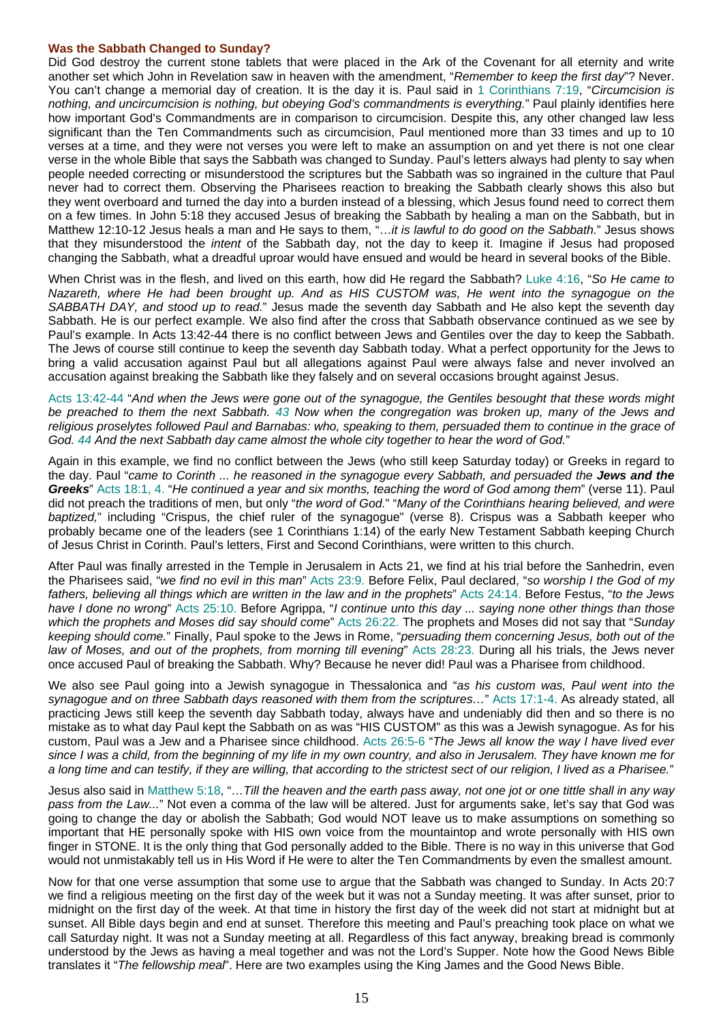## **Was the Sabbath Changed to Sunday?**

Did God destroy the current stone tablets that were placed in the Ark of the Covenant for all eternity and write another set which John in Revelation saw in heaven with the amendment, "*Remember to keep the first day*"? Never. You can't change a memorial day of creation. It is the day it is. Paul said in 1 Corinthians 7:19, "*Circumcision is nothing, and uncircumcision is nothing, but obeying God's commandments is everything.*" Paul plainly identifies here how important God's Commandments are in comparison to circumcision. Despite this, any other changed law less significant than the Ten Commandments such as circumcision, Paul mentioned more than 33 times and up to 10 verses at a time, and they were not verses you were left to make an assumption on and yet there is not one clear verse in the whole Bible that says the Sabbath was changed to Sunday. Paul's letters always had plenty to say when people needed correcting or misunderstood the scriptures but the Sabbath was so ingrained in the culture that Paul never had to correct them. Observing the Pharisees reaction to breaking the Sabbath clearly shows this also but they went overboard and turned the day into a burden instead of a blessing, which Jesus found need to correct them on a few times. In John 5:18 they accused Jesus of breaking the Sabbath by healing a man on the Sabbath, but in Matthew 12:10-12 Jesus heals a man and He says to them, "…*it is lawful to do good on the Sabbath.*" Jesus shows that they misunderstood the *intent* of the Sabbath day, not the day to keep it. Imagine if Jesus had proposed changing the Sabbath, what a dreadful uproar would have ensued and would be heard in several books of the Bible.

When Christ was in the flesh, and lived on this earth, how did He regard the Sabbath? Luke 4:16, "*So He came to Nazareth, where He had been brought up. And as HIS CUSTOM was, He went into the synagogue on the SABBATH DAY, and stood up to read.*" Jesus made the seventh day Sabbath and He also kept the seventh day Sabbath. He is our perfect example. We also find after the cross that Sabbath observance continued as we see by Paul's example. In Acts 13:42-44 there is no conflict between Jews and Gentiles over the day to keep the Sabbath. The Jews of course still continue to keep the seventh day Sabbath today. What a perfect opportunity for the Jews to bring a valid accusation against Paul but all allegations against Paul were always false and never involved an accusation against breaking the Sabbath like they falsely and on several occasions brought against Jesus.

Acts 13:42-44 "*And when the Jews were gone out of the synagogue, the Gentiles besought that these words might be preached to them the next Sabbath. 43 Now when the congregation was broken up, many of the Jews and religious proselytes followed Paul and Barnabas: who, speaking to them, persuaded them to continue in the grace of God. 44 And the next Sabbath day came almost the whole city together to hear the word of God.*"

Again in this example, we find no conflict between the Jews (who still keep Saturday today) or Greeks in regard to the day. Paul "*came to Corinth ... he reasoned in the synagogue every Sabbath, and persuaded the Jews and the Greeks*" Acts 18:1, 4. "*He continued a year and six months, teaching the word of God among them*" (verse 11). Paul did not preach the traditions of men, but only "*the word of God.*" "*Many of the Corinthians hearing believed, and were baptized,*" including "Crispus, the chief ruler of the synagogue" (verse 8). Crispus was a Sabbath keeper who probably became one of the leaders (see 1 Corinthians 1:14) of the early New Testament Sabbath keeping Church of Jesus Christ in Corinth. Paul's letters, First and Second Corinthians, were written to this church.

After Paul was finally arrested in the Temple in Jerusalem in Acts 21, we find at his trial before the Sanhedrin, even the Pharisees said, "*we find no evil in this man*" Acts 23:9. Before Felix, Paul declared, "*so worship I the God of my fathers, believing all things which are written in the law and in the prophets*" Acts 24:14. Before Festus, "*to the Jews have I done no wrong*" Acts 25:10. Before Agrippa, "*I continue unto this day ... saying none other things than those which the prophets and Moses did say should come*" Acts 26:22. The prophets and Moses did not say that "*Sunday keeping should come.*" Finally, Paul spoke to the Jews in Rome, "*persuading them concerning Jesus, both out of the law of Moses, and out of the prophets, from morning till evening*" Acts 28:23. During all his trials, the Jews never once accused Paul of breaking the Sabbath. Why? Because he never did! Paul was a Pharisee from childhood.

We also see Paul going into a Jewish synagogue in Thessalonica and "*as his custom was, Paul went into the synagogue and on three Sabbath days reasoned with them from the scriptures…*" Acts 17:1-4. As already stated, all practicing Jews still keep the seventh day Sabbath today, always have and undeniably did then and so there is no mistake as to what day Paul kept the Sabbath on as was "HIS CUSTOM" as this was a Jewish synagogue. As for his custom, Paul was a Jew and a Pharisee since childhood. Acts 26:5-6 "*The Jews all know the way I have lived ever since I was a child, from the beginning of my life in my own country, and also in Jerusalem. They have known me for a long time and can testify, if they are willing, that according to the strictest sect of our religion, I lived as a Pharisee.*"

Jesus also said in Matthew 5:18, "…*Till the heaven and the earth pass away, not one jot or one tittle shall in any way pass from the Law...*" Not even a comma of the law will be altered. Just for arguments sake, let's say that God was going to change the day or abolish the Sabbath; God would NOT leave us to make assumptions on something so important that HE personally spoke with HIS own voice from the mountaintop and wrote personally with HIS own finger in STONE. It is the only thing that God personally added to the Bible. There is no way in this universe that God would not unmistakably tell us in His Word if He were to alter the Ten Commandments by even the smallest amount.

Now for that one verse assumption that some use to argue that the Sabbath was changed to Sunday. In Acts 20:7 we find a religious meeting on the first day of the week but it was not a Sunday meeting. It was after sunset, prior to midnight on the first day of the week. At that time in history the first day of the week did not start at midnight but at sunset. All Bible days begin and end at sunset. Therefore this meeting and Paul's preaching took place on what we call Saturday night. It was not a Sunday meeting at all. Regardless of this fact anyway, breaking bread is commonly understood by the Jews as having a meal together and was not the Lord's Supper. Note how the Good News Bible translates it "*The fellowship meal*". Here are two examples using the King James and the Good News Bible.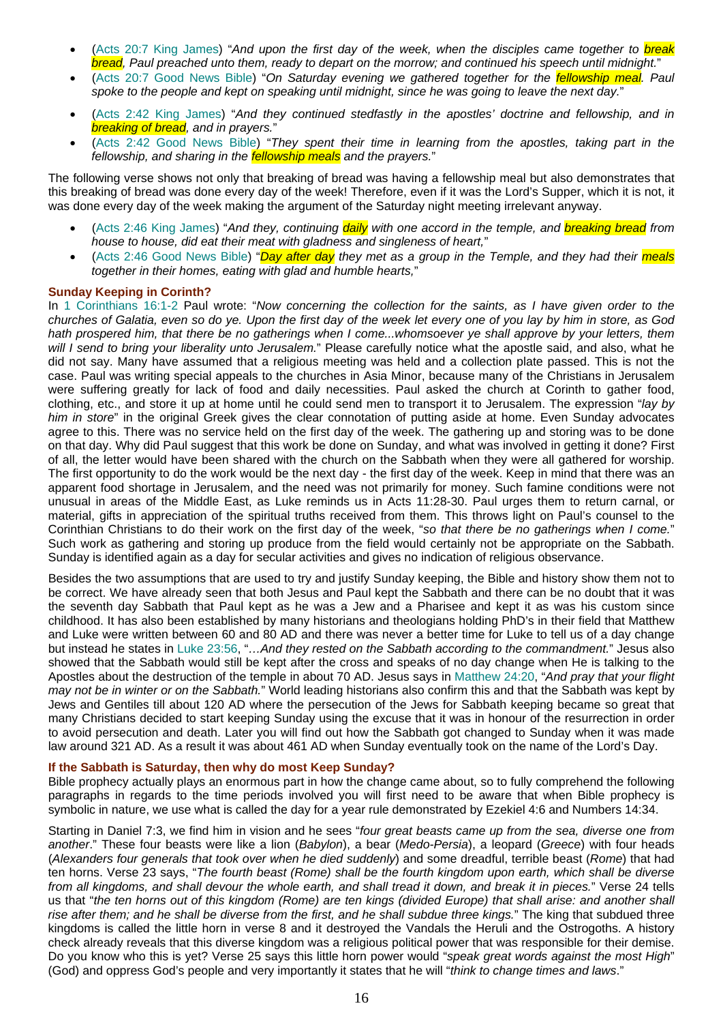- (Acts 20:7 King James) "*And upon the first day of the week, when the disciples came together to break bread, Paul preached unto them, ready to depart on the morrow; and continued his speech until midnight.*"
- (Acts 20:7 Good News Bible) "*On Saturday evening we gathered together for the fellowship meal. Paul spoke to the people and kept on speaking until midnight, since he was going to leave the next day.*"
- (Acts 2:42 King James) "*And they continued stedfastly in the apostles' doctrine and fellowship, and in breaking of bread, and in prayers.*"
- (Acts 2:42 Good News Bible) "*They spent their time in learning from the apostles, taking part in the fellowship, and sharing in the fellowship meals and the prayers.*"

The following verse shows not only that breaking of bread was having a fellowship meal but also demonstrates that this breaking of bread was done every day of the week! Therefore, even if it was the Lord's Supper, which it is not, it was done every day of the week making the argument of the Saturday night meeting irrelevant anyway.

- (Acts 2:46 King James) "*And they, continuing daily with one accord in the temple, and breaking bread from house to house, did eat their meat with gladness and singleness of heart,*"
- (Acts 2:46 Good News Bible) "*Day after day they met as a group in the Temple, and they had their meals together in their homes, eating with glad and humble hearts,*"

## **Sunday Keeping in Corinth?**

In 1 Corinthians 16:1-2 Paul wrote: "Now concerning the collection for the saints, as I have given order to the *churches of Galatia, even so do ye. Upon the first day of the week let every one of you lay by him in store, as God hath prospered him, that there be no gatherings when I come...whomsoever ye shall approve by your letters, them will I send to bring your liberality unto Jerusalem.*" Please carefully notice what the apostle said, and also, what he did not say. Many have assumed that a religious meeting was held and a collection plate passed. This is not the case. Paul was writing special appeals to the churches in Asia Minor, because many of the Christians in Jerusalem were suffering greatly for lack of food and daily necessities. Paul asked the church at Corinth to gather food, clothing, etc., and store it up at home until he could send men to transport it to Jerusalem. The expression "*lay by him in store*" in the original Greek gives the clear connotation of putting aside at home. Even Sunday advocates agree to this. There was no service held on the first day of the week. The gathering up and storing was to be done on that day. Why did Paul suggest that this work be done on Sunday, and what was involved in getting it done? First of all, the letter would have been shared with the church on the Sabbath when they were all gathered for worship. The first opportunity to do the work would be the next day - the first day of the week. Keep in mind that there was an apparent food shortage in Jerusalem, and the need was not primarily for money. Such famine conditions were not unusual in areas of the Middle East, as Luke reminds us in Acts 11:28-30. Paul urges them to return carnal, or material, gifts in appreciation of the spiritual truths received from them. This throws light on Paul's counsel to the Corinthian Christians to do their work on the first day of the week, "*so that there be no gatherings when I come.*" Such work as gathering and storing up produce from the field would certainly not be appropriate on the Sabbath. Sunday is identified again as a day for secular activities and gives no indication of religious observance.

Besides the two assumptions that are used to try and justify Sunday keeping, the Bible and history show them not to be correct. We have already seen that both Jesus and Paul kept the Sabbath and there can be no doubt that it was the seventh day Sabbath that Paul kept as he was a Jew and a Pharisee and kept it as was his custom since childhood. It has also been established by many historians and theologians holding PhD's in their field that Matthew and Luke were written between 60 and 80 AD and there was never a better time for Luke to tell us of a day change but instead he states in Luke 23:56, "*…And they rested on the Sabbath according to the commandment.*" Jesus also showed that the Sabbath would still be kept after the cross and speaks of no day change when He is talking to the Apostles about the destruction of the temple in about 70 AD. Jesus says in Matthew 24:20, "*And pray that your flight may not be in winter or on the Sabbath.*" World leading historians also confirm this and that the Sabbath was kept by Jews and Gentiles till about 120 AD where the persecution of the Jews for Sabbath keeping became so great that many Christians decided to start keeping Sunday using the excuse that it was in honour of the resurrection in order to avoid persecution and death. Later you will find out how the Sabbath got changed to Sunday when it was made law around 321 AD. As a result it was about 461 AD when Sunday eventually took on the name of the Lord's Day.

## **If the Sabbath is Saturday, then why do most Keep Sunday?**

Bible prophecy actually plays an enormous part in how the change came about, so to fully comprehend the following paragraphs in regards to the time periods involved you will first need to be aware that when Bible prophecy is symbolic in nature, we use what is called the day for a year rule demonstrated by Ezekiel 4:6 and Numbers 14:34.

Starting in Daniel 7:3, we find him in vision and he sees "*four great beasts came up from the sea, diverse one from another*." These four beasts were like a lion (*Babylon*), a bear (*Medo-Persia*), a leopard (*Greece*) with four heads (*Alexanders four generals that took over when he died suddenly*) and some dreadful, terrible beast (*Rome*) that had ten horns. Verse 23 says, "*The fourth beast (Rome) shall be the fourth kingdom upon earth, which shall be diverse from all kingdoms, and shall devour the whole earth, and shall tread it down, and break it in pieces.*" Verse 24 tells us that "*the ten horns out of this kingdom (Rome) are ten kings (divided Europe) that shall arise: and another shall rise after them; and he shall be diverse from the first, and he shall subdue three kings.*" The king that subdued three kingdoms is called the little horn in verse 8 and it destroyed the Vandals the Heruli and the Ostrogoths. A history check already reveals that this diverse kingdom was a religious political power that was responsible for their demise. Do you know who this is yet? Verse 25 says this little horn power would "*speak great words against the most High*" (God) and oppress God's people and very importantly it states that he will "*think to change times and laws*."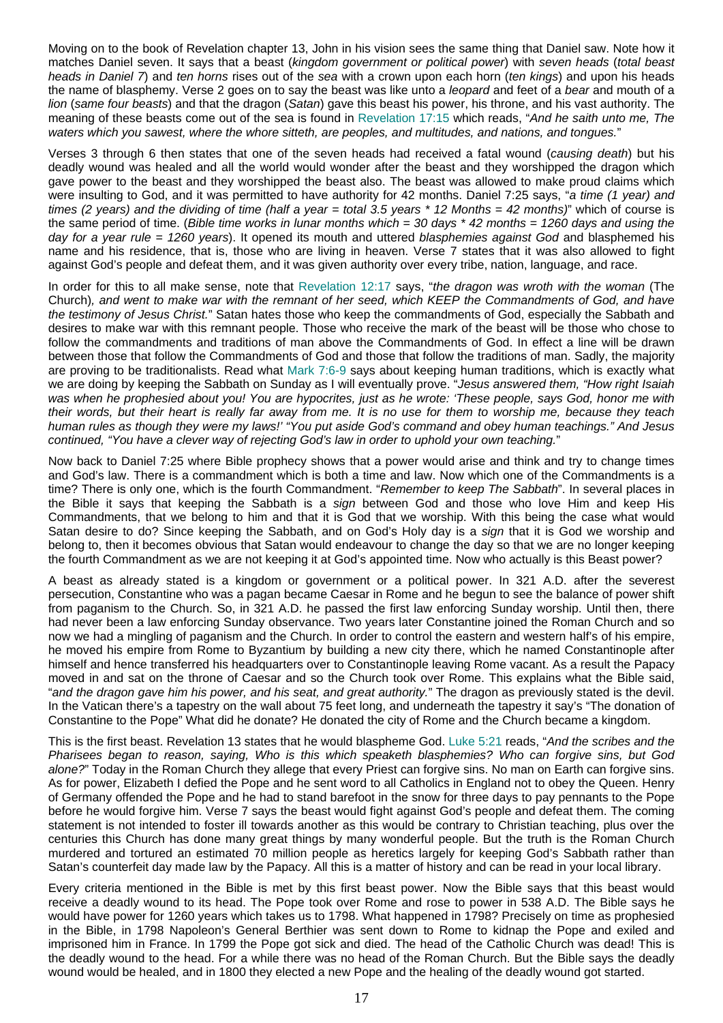Moving on to the book of Revelation chapter 13, John in his vision sees the same thing that Daniel saw. Note how it matches Daniel seven. It says that a beast (*kingdom government or political power*) with *seven heads* (*total beast heads in Daniel 7*) and *ten horns* rises out of the *sea* with a crown upon each horn (*ten kings*) and upon his heads the name of blasphemy. Verse 2 goes on to say the beast was like unto a *leopard* and feet of a *bear* and mouth of a *lion* (*same four beasts*) and that the dragon (*Satan*) gave this beast his power, his throne, and his vast authority. The meaning of these beasts come out of the sea is found in Revelation 17:15 which reads, "*And he saith unto me, The waters which you sawest, where the whore sitteth, are peoples, and multitudes, and nations, and tongues.*"

Verses 3 through 6 then states that one of the seven heads had received a fatal wound (*causing death*) but his deadly wound was healed and all the world would wonder after the beast and they worshipped the dragon which gave power to the beast and they worshipped the beast also. The beast was allowed to make proud claims which were insulting to God, and it was permitted to have authority for 42 months. Daniel 7:25 says, "*a time (1 year) and times (2 years) and the dividing of time (half a year = total 3.5 years \* 12 Months = 42 months)*" which of course is the same period of time. (*Bible time works in lunar months which = 30 days \* 42 months = 1260 days and using the day for a year rule = 1260 years*). It opened its mouth and uttered *blasphemies against God* and blasphemed his name and his residence, that is, those who are living in heaven. Verse 7 states that it was also allowed to fight against God's people and defeat them, and it was given authority over every tribe, nation, language, and race.

In order for this to all make sense, note that Revelation 12:17 says, "*the dragon was wroth with the woman* (The Church)*, and went to make war with the remnant of her seed, which KEEP the Commandments of God, and have the testimony of Jesus Christ.*" Satan hates those who keep the commandments of God, especially the Sabbath and desires to make war with this remnant people. Those who receive the mark of the beast will be those who chose to follow the commandments and traditions of man above the Commandments of God. In effect a line will be drawn between those that follow the Commandments of God and those that follow the traditions of man. Sadly, the majority are proving to be traditionalists. Read what Mark 7:6-9 says about keeping human traditions, which is exactly what we are doing by keeping the Sabbath on Sunday as I will eventually prove. "*Jesus answered them, "How right Isaiah was when he prophesied about you! You are hypocrites, just as he wrote: 'These people, says God, honor me with their words, but their heart is really far away from me. It is no use for them to worship me, because they teach human rules as though they were my laws!' "You put aside God's command and obey human teachings." And Jesus continued, "You have a clever way of rejecting God's law in order to uphold your own teaching.*"

Now back to Daniel 7:25 where Bible prophecy shows that a power would arise and think and try to change times and God's law. There is a commandment which is both a time and law. Now which one of the Commandments is a time? There is only one, which is the fourth Commandment. "*Remember to keep The Sabbath*". In several places in the Bible it says that keeping the Sabbath is a *sign* between God and those who love Him and keep His Commandments, that we belong to him and that it is God that we worship. With this being the case what would Satan desire to do? Since keeping the Sabbath, and on God's Holy day is a *sign* that it is God we worship and belong to, then it becomes obvious that Satan would endeavour to change the day so that we are no longer keeping the fourth Commandment as we are not keeping it at God's appointed time. Now who actually is this Beast power?

A beast as already stated is a kingdom or government or a political power. In 321 A.D. after the severest persecution, Constantine who was a pagan became Caesar in Rome and he begun to see the balance of power shift from paganism to the Church. So, in 321 A.D. he passed the first law enforcing Sunday worship. Until then, there had never been a law enforcing Sunday observance. Two years later Constantine joined the Roman Church and so now we had a mingling of paganism and the Church. In order to control the eastern and western half's of his empire, he moved his empire from Rome to Byzantium by building a new city there, which he named Constantinople after himself and hence transferred his headquarters over to Constantinople leaving Rome vacant. As a result the Papacy moved in and sat on the throne of Caesar and so the Church took over Rome. This explains what the Bible said, "*and the dragon gave him his power, and his seat, and great authority.*" The dragon as previously stated is the devil. In the Vatican there's a tapestry on the wall about 75 feet long, and underneath the tapestry it say's "The donation of Constantine to the Pope" What did he donate? He donated the city of Rome and the Church became a kingdom.

This is the first beast. Revelation 13 states that he would blaspheme God. Luke 5:21 reads, "*And the scribes and the Pharisees began to reason, saying, Who is this which speaketh blasphemies? Who can forgive sins, but God alone?*" Today in the Roman Church they allege that every Priest can forgive sins. No man on Earth can forgive sins. As for power, Elizabeth I defied the Pope and he sent word to all Catholics in England not to obey the Queen. Henry of Germany offended the Pope and he had to stand barefoot in the snow for three days to pay pennants to the Pope before he would forgive him. Verse 7 says the beast would fight against God's people and defeat them. The coming statement is not intended to foster ill towards another as this would be contrary to Christian teaching, plus over the centuries this Church has done many great things by many wonderful people. But the truth is the Roman Church murdered and tortured an estimated 70 million people as heretics largely for keeping God's Sabbath rather than Satan's counterfeit day made law by the Papacy. All this is a matter of history and can be read in your local library.

Every criteria mentioned in the Bible is met by this first beast power. Now the Bible says that this beast would receive a deadly wound to its head. The Pope took over Rome and rose to power in 538 A.D. The Bible says he would have power for 1260 years which takes us to 1798. What happened in 1798? Precisely on time as prophesied in the Bible, in 1798 Napoleon's General Berthier was sent down to Rome to kidnap the Pope and exiled and imprisoned him in France. In 1799 the Pope got sick and died. The head of the Catholic Church was dead! This is the deadly wound to the head. For a while there was no head of the Roman Church. But the Bible says the deadly wound would be healed, and in 1800 they elected a new Pope and the healing of the deadly wound got started.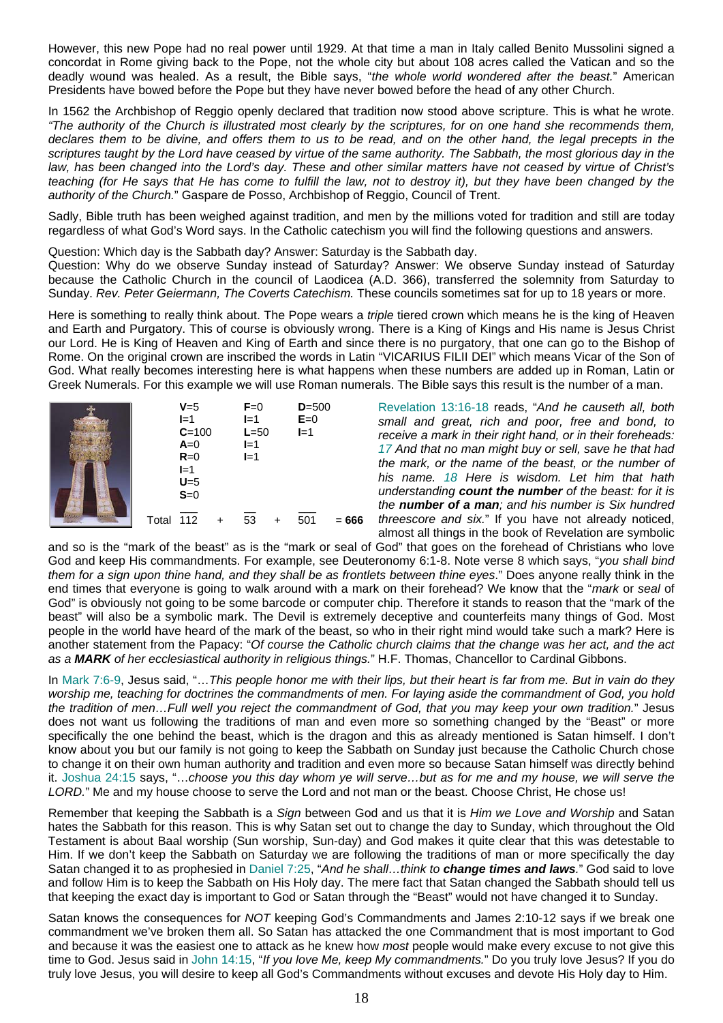However, this new Pope had no real power until 1929. At that time a man in Italy called Benito Mussolini signed a concordat in Rome giving back to the Pope, not the whole city but about 108 acres called the Vatican and so the deadly wound was healed. As a result, the Bible says, "*the whole world wondered after the beast.*" American Presidents have bowed before the Pope but they have never bowed before the head of any other Church.

In 1562 the Archbishop of Reggio openly declared that tradition now stood above scripture. This is what he wrote. *"The authority of the Church is illustrated most clearly by the scriptures, for on one hand she recommends them, declares them to be divine, and offers them to us to be read, and on the other hand, the legal precepts in the scriptures taught by the Lord have ceased by virtue of the same authority. The Sabbath, the most glorious day in the law, has been changed into the Lord's day. These and other similar matters have not ceased by virtue of Christ's teaching (for He says that He has come to fulfill the law, not to destroy it), but they have been changed by the authority of the Church.*" Gaspare de Posso, Archbishop of Reggio, Council of Trent.

Sadly, Bible truth has been weighed against tradition, and men by the millions voted for tradition and still are today regardless of what God's Word says. In the Catholic catechism you will find the following questions and answers.

Question: Which day is the Sabbath day? Answer: Saturday is the Sabbath day.

Question: Why do we observe Sunday instead of Saturday? Answer: We observe Sunday instead of Saturday because the Catholic Church in the council of Laodicea (A.D. 366), transferred the solemnity from Saturday to Sunday. *Rev. Peter Geiermann, The Coverts Catechism.* These councils sometimes sat for up to 18 years or more.

Here is something to really think about. The Pope wears a *triple* tiered crown which means he is the king of Heaven and Earth and Purgatory. This of course is obviously wrong. There is a King of Kings and His name is Jesus Christ our Lord. He is King of Heaven and King of Earth and since there is no purgatory, that one can go to the Bishop of Rome. On the original crown are inscribed the words in Latin "VICARIUS FILII DEI" which means Vicar of the Son of God. What really becomes interesting here is what happens when these numbers are added up in Roman, Latin or Greek Numerals. For this example we will use Roman numerals. The Bible says this result is the number of a man.

|           | $V = 5$<br>$I=1$<br>$C = 100$<br>$A=0$<br>$R=0$<br>$I=1$<br>$U=5$<br>$S=0$ | $F=0$<br>$I=1$<br>$L = 50$<br>$I=1$<br>$I=1$ | $D = 500$<br>$E=0$<br>$I=1$ |         |
|-----------|----------------------------------------------------------------------------|----------------------------------------------|-----------------------------|---------|
| Total 112 |                                                                            | 53                                           | 501                         | $= 666$ |

Revelation 13:16-18 reads, "*And he causeth all, both small and great, rich and poor, free and bond, to receive a mark in their right hand, or in their foreheads: 17 And that no man might buy or sell, save he that had the mark, or the name of the beast, or the number of his name. 18 Here is wisdom. Let him that hath understanding count the number of the beast: for it is the number of a man; and his number is Six hundred threescore and six.*" If you have not already noticed, almost all things in the book of Revelation are symbolic

and so is the "mark of the beast" as is the "mark or seal of God" that goes on the forehead of Christians who love God and keep His commandments. For example, see Deuteronomy 6:1-8. Note verse 8 which says, "*you shall bind them for a sign upon thine hand, and they shall be as frontlets between thine eyes*." Does anyone really think in the end times that everyone is going to walk around with a mark on their forehead? We know that the "*mark* or *seal* of God" is obviously not going to be some barcode or computer chip. Therefore it stands to reason that the "mark of the beast" will also be a symbolic mark. The Devil is extremely deceptive and counterfeits many things of God. Most people in the world have heard of the mark of the beast, so who in their right mind would take such a mark? Here is another statement from the Papacy: "*Of course the Catholic church claims that the change was her act, and the act as a MARK of her ecclesiastical authority in religious things.*" H.F. Thomas, Chancellor to Cardinal Gibbons.

In Mark 7:6-9, Jesus said, "…*This people honor me with their lips, but their heart is far from me. But in vain do they worship me, teaching for doctrines the commandments of men. For laying aside the commandment of God, you hold the tradition of men…Full well you reject the commandment of God, that you may keep your own tradition.*" Jesus does not want us following the traditions of man and even more so something changed by the "Beast" or more specifically the one behind the beast, which is the dragon and this as already mentioned is Satan himself. I don't know about you but our family is not going to keep the Sabbath on Sunday just because the Catholic Church chose to change it on their own human authority and tradition and even more so because Satan himself was directly behind it. Joshua 24:15 says, "…*choose you this day whom ye will serve…but as for me and my house, we will serve the LORD.*" Me and my house choose to serve the Lord and not man or the beast. Choose Christ, He chose us!

Remember that keeping the Sabbath is a *Sign* between God and us that it is *Him we Love and Worship* and Satan hates the Sabbath for this reason. This is why Satan set out to change the day to Sunday, which throughout the Old Testament is about Baal worship (Sun worship, Sun-day) and God makes it quite clear that this was detestable to Him. If we don't keep the Sabbath on Saturday we are following the traditions of man or more specifically the day Satan changed it to as prophesied in Daniel 7:25, "*And he shall…think to change times and laws.*" God said to love and follow Him is to keep the Sabbath on His Holy day. The mere fact that Satan changed the Sabbath should tell us that keeping the exact day is important to God or Satan through the "Beast" would not have changed it to Sunday.

Satan knows the consequences for *NOT* keeping God's Commandments and James 2:10-12 says if we break one commandment we've broken them all. So Satan has attacked the one Commandment that is most important to God and because it was the easiest one to attack as he knew how *most* people would make every excuse to not give this time to God. Jesus said in John 14:15, "*If you love Me, keep My commandments.*" Do you truly love Jesus? If you do truly love Jesus, you will desire to keep all God's Commandments without excuses and devote His Holy day to Him.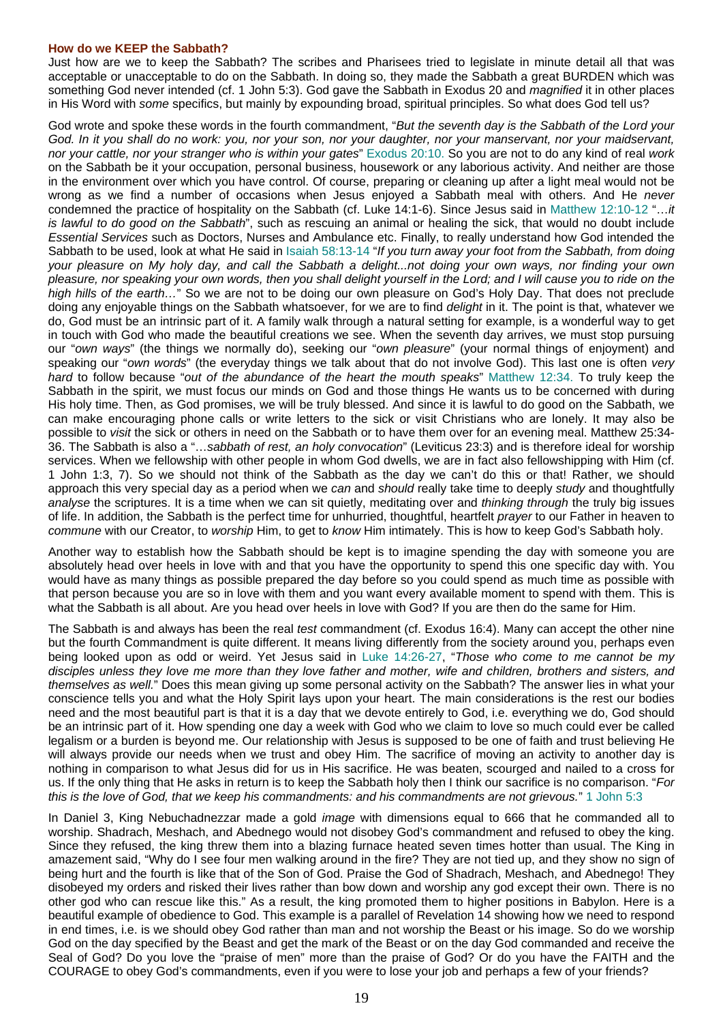#### **How do we KEEP the Sabbath?**

Just how are we to keep the Sabbath? The scribes and Pharisees tried to legislate in minute detail all that was acceptable or unacceptable to do on the Sabbath. In doing so, they made the Sabbath a great BURDEN which was something God never intended (cf. 1 John 5:3). God gave the Sabbath in Exodus 20 and *magnified* it in other places in His Word with *some* specifics, but mainly by expounding broad, spiritual principles. So what does God tell us?

God wrote and spoke these words in the fourth commandment, "*But the seventh day is the Sabbath of the Lord your God. In it you shall do no work: you, nor your son, nor your daughter, nor your manservant, nor your maidservant, nor your cattle, nor your stranger who is within your gates*" Exodus 20:10. So you are not to do any kind of real *work* on the Sabbath be it your occupation, personal business, housework or any laborious activity. And neither are those in the environment over which you have control. Of course, preparing or cleaning up after a light meal would not be wrong as we find a number of occasions when Jesus enjoyed a Sabbath meal with others. And He *never* condemned the practice of hospitality on the Sabbath (cf. Luke 14:1-6). Since Jesus said in Matthew 12:10-12 "…*it is lawful to do good on the Sabbath*", such as rescuing an animal or healing the sick, that would no doubt include *Essential Services* such as Doctors, Nurses and Ambulance etc. Finally, to really understand how God intended the Sabbath to be used, look at what He said in Isaiah 58:13-14 "*If you turn away your foot from the Sabbath, from doing your pleasure on My holy day, and call the Sabbath a delight...not doing your own ways, nor finding your own pleasure, nor speaking your own words, then you shall delight yourself in the Lord; and I will cause you to ride on the high hills of the earth…*" So we are not to be doing our own pleasure on God's Holy Day. That does not preclude doing any enjoyable things on the Sabbath whatsoever, for we are to find *delight* in it. The point is that, whatever we do, God must be an intrinsic part of it. A family walk through a natural setting for example, is a wonderful way to get in touch with God who made the beautiful creations we see. When the seventh day arrives, we must stop pursuing our "*own ways*" (the things we normally do), seeking our "*own pleasure*" (your normal things of enjoyment) and speaking our "*own words*" (the everyday things we talk about that do not involve God). This last one is often *very hard* to follow because "*out of the abundance of the heart the mouth speaks*" Matthew 12:34. To truly keep the Sabbath in the spirit, we must focus our minds on God and those things He wants us to be concerned with during His holy time. Then, as God promises, we will be truly blessed. And since it is lawful to do good on the Sabbath, we can make encouraging phone calls or write letters to the sick or visit Christians who are lonely. It may also be possible to *visit* the sick or others in need on the Sabbath or to have them over for an evening meal. Matthew 25:34- 36. The Sabbath is also a "…*sabbath of rest, an holy convocation*" (Leviticus 23:3) and is therefore ideal for worship services. When we fellowship with other people in whom God dwells, we are in fact also fellowshipping with Him (cf. 1 John 1:3, 7). So we should not think of the Sabbath as the day we can't do this or that! Rather, we should approach this very special day as a period when we *can* and *should* really take time to deeply *study* and thoughtfully *analyse* the scriptures. It is a time when we can sit quietly, meditating over and *thinking through* the truly big issues of life. In addition, the Sabbath is the perfect time for unhurried, thoughtful, heartfelt *prayer* to our Father in heaven to *commune* with our Creator, to *worship* Him, to get to *know* Him intimately. This is how to keep God's Sabbath holy.

Another way to establish how the Sabbath should be kept is to imagine spending the day with someone you are absolutely head over heels in love with and that you have the opportunity to spend this one specific day with. You would have as many things as possible prepared the day before so you could spend as much time as possible with that person because you are so in love with them and you want every available moment to spend with them. This is what the Sabbath is all about. Are you head over heels in love with God? If you are then do the same for Him.

The Sabbath is and always has been the real *test* commandment (cf. Exodus 16:4). Many can accept the other nine but the fourth Commandment is quite different. It means living differently from the society around you, perhaps even being looked upon as odd or weird. Yet Jesus said in Luke 14:26-27, "*Those who come to me cannot be my disciples unless they love me more than they love father and mother, wife and children, brothers and sisters, and themselves as well.*" Does this mean giving up some personal activity on the Sabbath? The answer lies in what your conscience tells you and what the Holy Spirit lays upon your heart. The main considerations is the rest our bodies need and the most beautiful part is that it is a day that we devote entirely to God, i.e. everything we do, God should be an intrinsic part of it. How spending one day a week with God who we claim to love so much could ever be called legalism or a burden is beyond me. Our relationship with Jesus is supposed to be one of faith and trust believing He will always provide our needs when we trust and obey Him. The sacrifice of moving an activity to another day is nothing in comparison to what Jesus did for us in His sacrifice. He was beaten, scourged and nailed to a cross for us. If the only thing that He asks in return is to keep the Sabbath holy then I think our sacrifice is no comparison. "*For this is the love of God, that we keep his commandments: and his commandments are not grievous.*" 1 John 5:3

In Daniel 3, King Nebuchadnezzar made a gold *image* with dimensions equal to 666 that he commanded all to worship. Shadrach, Meshach, and Abednego would not disobey God's commandment and refused to obey the king. Since they refused, the king threw them into a blazing furnace heated seven times hotter than usual. The King in amazement said, "Why do I see four men walking around in the fire? They are not tied up, and they show no sign of being hurt and the fourth is like that of the Son of God. Praise the God of Shadrach, Meshach, and Abednego! They disobeyed my orders and risked their lives rather than bow down and worship any god except their own. There is no other god who can rescue like this." As a result, the king promoted them to higher positions in Babylon. Here is a beautiful example of obedience to God. This example is a parallel of Revelation 14 showing how we need to respond in end times, i.e. is we should obey God rather than man and not worship the Beast or his image. So do we worship God on the day specified by the Beast and get the mark of the Beast or on the day God commanded and receive the Seal of God? Do you love the "praise of men" more than the praise of God? Or do you have the FAITH and the COURAGE to obey God's commandments, even if you were to lose your job and perhaps a few of your friends?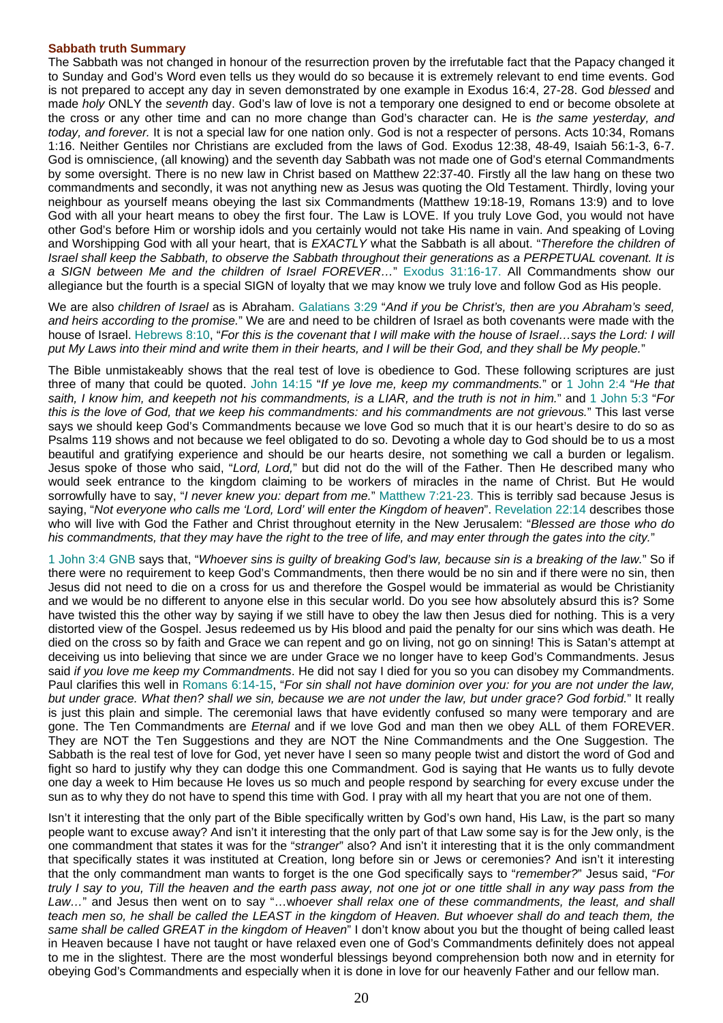## **Sabbath truth Summary**

The Sabbath was not changed in honour of the resurrection proven by the irrefutable fact that the Papacy changed it to Sunday and God's Word even tells us they would do so because it is extremely relevant to end time events. God is not prepared to accept any day in seven demonstrated by one example in Exodus 16:4, 27-28. God *blessed* and made *holy* ONLY the *seventh* day. God's law of love is not a temporary one designed to end or become obsolete at the cross or any other time and can no more change than God's character can. He is *the same yesterday, and today, and forever.* It is not a special law for one nation only. God is not a respecter of persons. Acts 10:34, Romans 1:16. Neither Gentiles nor Christians are excluded from the laws of God. Exodus 12:38, 48-49, Isaiah 56:1-3, 6-7. God is omniscience, (all knowing) and the seventh day Sabbath was not made one of God's eternal Commandments by some oversight. There is no new law in Christ based on Matthew 22:37-40. Firstly all the law hang on these two commandments and secondly, it was not anything new as Jesus was quoting the Old Testament. Thirdly, loving your neighbour as yourself means obeying the last six Commandments (Matthew 19:18-19, Romans 13:9) and to love God with all your heart means to obey the first four. The Law is LOVE. If you truly Love God, you would not have other God's before Him or worship idols and you certainly would not take His name in vain. And speaking of Loving and Worshipping God with all your heart, that is *EXACTLY* what the Sabbath is all about. "*Therefore the children of Israel shall keep the Sabbath, to observe the Sabbath throughout their generations as a PERPETUAL covenant. It is a SIGN between Me and the children of Israel FOREVER…*" Exodus 31:16-17. All Commandments show our allegiance but the fourth is a special SIGN of loyalty that we may know we truly love and follow God as His people.

We are also *children of Israel* as is Abraham. Galatians 3:29 "*And if you be Christ's, then are you Abraham's seed, and heirs according to the promise.*" We are and need to be children of Israel as both covenants were made with the house of Israel. Hebrews 8:10, "*For this is the covenant that I will make with the house of Israel…says the Lord: I will put My Laws into their mind and write them in their hearts, and I will be their God, and they shall be My people.*"

The Bible unmistakeably shows that the real test of love is obedience to God. These following scriptures are just three of many that could be quoted. John 14:15 "*If ye love me, keep my commandments.*" or 1 John 2:4 "*He that saith, I know him, and keepeth not his commandments, is a LIAR, and the truth is not in him.*" and 1 John 5:3 "*For this is the love of God, that we keep his commandments: and his commandments are not grievous.*" This last verse says we should keep God's Commandments because we love God so much that it is our heart's desire to do so as Psalms 119 shows and not because we feel obligated to do so. Devoting a whole day to God should be to us a most beautiful and gratifying experience and should be our hearts desire, not something we call a burden or legalism. Jesus spoke of those who said, "*Lord, Lord,*" but did not do the will of the Father. Then He described many who would seek entrance to the kingdom claiming to be workers of miracles in the name of Christ. But He would sorrowfully have to say, "*I never knew you: depart from me.*" Matthew 7:21-23. This is terribly sad because Jesus is saying, "*Not everyone who calls me 'Lord, Lord' will enter the Kingdom of heaven*". Revelation 22:14 describes those who will live with God the Father and Christ throughout eternity in the New Jerusalem: "*Blessed are those who do his commandments, that they may have the right to the tree of life, and may enter through the gates into the city.*"

1 John 3:4 GNB says that, "*Whoever sins is guilty of breaking God's law, because sin is a breaking of the law.*" So if there were no requirement to keep God's Commandments, then there would be no sin and if there were no sin, then Jesus did not need to die on a cross for us and therefore the Gospel would be immaterial as would be Christianity and we would be no different to anyone else in this secular world. Do you see how absolutely absurd this is? Some have twisted this the other way by saying if we still have to obey the law then Jesus died for nothing. This is a very distorted view of the Gospel. Jesus redeemed us by His blood and paid the penalty for our sins which was death. He died on the cross so by faith and Grace we can repent and go on living, not go on sinning! This is Satan's attempt at deceiving us into believing that since we are under Grace we no longer have to keep God's Commandments. Jesus said *if you love me keep my Commandments*. He did not say I died for you so you can disobey my Commandments. Paul clarifies this well in Romans 6:14-15, "*For sin shall not have dominion over you: for you are not under the law, but under grace. What then? shall we sin, because we are not under the law, but under grace? God forbid.*" It really is just this plain and simple. The ceremonial laws that have evidently confused so many were temporary and are gone. The Ten Commandments are *Eternal* and if we love God and man then we obey ALL of them FOREVER. They are NOT the Ten Suggestions and they are NOT the Nine Commandments and the One Suggestion. The Sabbath is the real test of love for God, yet never have I seen so many people twist and distort the word of God and fight so hard to justify why they can dodge this one Commandment. God is saying that He wants us to fully devote one day a week to Him because He loves us so much and people respond by searching for every excuse under the sun as to why they do not have to spend this time with God. I pray with all my heart that you are not one of them.

Isn't it interesting that the only part of the Bible specifically written by God's own hand, His Law, is the part so many people want to excuse away? And isn't it interesting that the only part of that Law some say is for the Jew only, is the one commandment that states it was for the "*stranger*" also? And isn't it interesting that it is the only commandment that specifically states it was instituted at Creation, long before sin or Jews or ceremonies? And isn't it interesting that the only commandment man wants to forget is the one God specifically says to "*remember?*" Jesus said, "*For truly I say to you, Till the heaven and the earth pass away, not one jot or one tittle shall in any way pass from the Law…*" and Jesus then went on to say "…w*hoever shall relax one of these commandments, the least, and shall teach men so, he shall be called the LEAST in the kingdom of Heaven. But whoever shall do and teach them, the same shall be called GREAT in the kingdom of Heaven*" I don't know about you but the thought of being called least in Heaven because I have not taught or have relaxed even one of God's Commandments definitely does not appeal to me in the slightest. There are the most wonderful blessings beyond comprehension both now and in eternity for obeying God's Commandments and especially when it is done in love for our heavenly Father and our fellow man.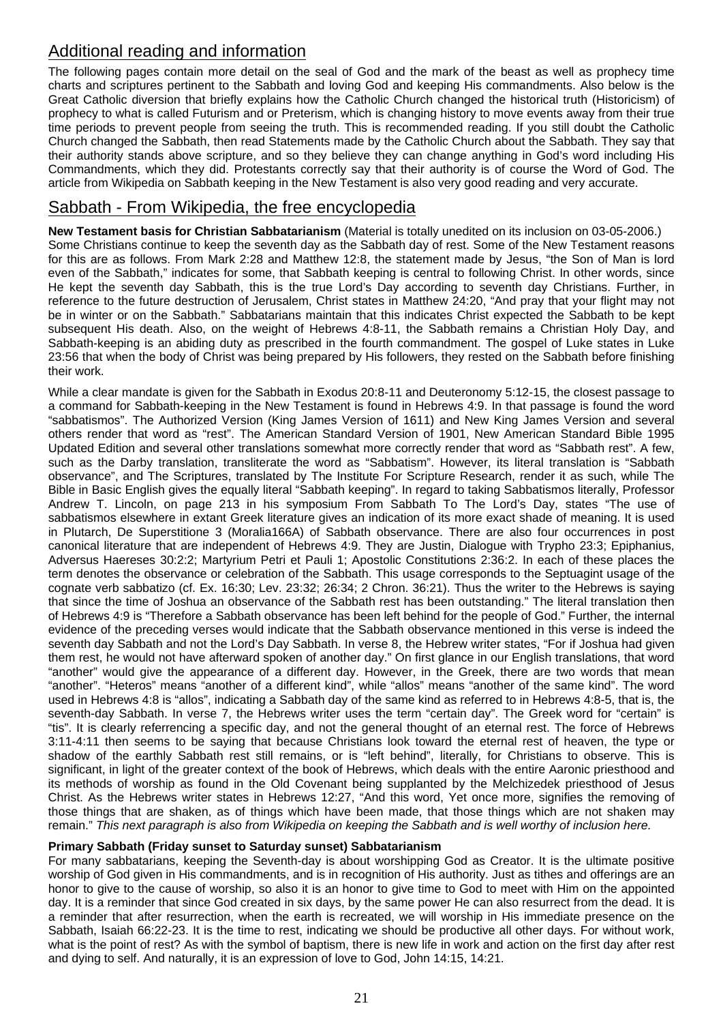# Additional reading and information

The following pages contain more detail on the seal of God and the mark of the beast as well as prophecy time charts and scriptures pertinent to the Sabbath and loving God and keeping His commandments. Also below is the Great Catholic diversion that briefly explains how the Catholic Church changed the historical truth (Historicism) of prophecy to what is called Futurism and or Preterism, which is changing history to move events away from their true time periods to prevent people from seeing the truth. This is recommended reading. If you still doubt the Catholic Church changed the Sabbath, then read Statements made by the Catholic Church about the Sabbath. They say that their authority stands above scripture, and so they believe they can change anything in God's word including His Commandments, which they did. Protestants correctly say that their authority is of course the Word of God. The article from Wikipedia on Sabbath keeping in the New Testament is also very good reading and very accurate.

# Sabbath - From Wikipedia, the free encyclopedia

**New Testament basis for Christian Sabbatarianism** (Material is totally unedited on its inclusion on 03-05-2006.) Some Christians continue to keep the seventh day as the Sabbath day of rest. Some of the New Testament reasons for this are as follows. From Mark 2:28 and Matthew 12:8, the statement made by Jesus, "the Son of Man is lord even of the Sabbath," indicates for some, that Sabbath keeping is central to following Christ. In other words, since He kept the seventh day Sabbath, this is the true Lord's Day according to seventh day Christians. Further, in reference to the future destruction of Jerusalem, Christ states in Matthew 24:20, "And pray that your flight may not be in winter or on the Sabbath." Sabbatarians maintain that this indicates Christ expected the Sabbath to be kept subsequent His death. Also, on the weight of Hebrews 4:8-11, the Sabbath remains a Christian Holy Day, and Sabbath-keeping is an abiding duty as prescribed in the fourth commandment. The gospel of Luke states in Luke 23:56 that when the body of Christ was being prepared by His followers, they rested on the Sabbath before finishing their work.

While a clear mandate is given for the Sabbath in Exodus 20:8-11 and Deuteronomy 5:12-15, the closest passage to a command for Sabbath-keeping in the New Testament is found in Hebrews 4:9. In that passage is found the word "sabbatismos". The Authorized Version (King James Version of 1611) and New King James Version and several others render that word as "rest". The American Standard Version of 1901, New American Standard Bible 1995 Updated Edition and several other translations somewhat more correctly render that word as "Sabbath rest". A few, such as the Darby translation, transliterate the word as "Sabbatism". However, its literal translation is "Sabbath observance", and The Scriptures, translated by The Institute For Scripture Research, render it as such, while The Bible in Basic English gives the equally literal "Sabbath keeping". In regard to taking Sabbatismos literally, Professor Andrew T. Lincoln, on page 213 in his symposium From Sabbath To The Lord's Day, states "The use of sabbatismos elsewhere in extant Greek literature gives an indication of its more exact shade of meaning. It is used in Plutarch, De Superstitione 3 (Moralia166A) of Sabbath observance. There are also four occurrences in post canonical literature that are independent of Hebrews 4:9. They are Justin, Dialogue with Trypho 23:3; Epiphanius, Adversus Haereses 30:2:2; Martyrium Petri et Pauli 1; Apostolic Constitutions 2:36:2. In each of these places the term denotes the observance or celebration of the Sabbath. This usage corresponds to the Septuagint usage of the cognate verb sabbatizo (cf. Ex. 16:30; Lev. 23:32; 26:34; 2 Chron. 36:21). Thus the writer to the Hebrews is saying that since the time of Joshua an observance of the Sabbath rest has been outstanding." The literal translation then of Hebrews 4:9 is "Therefore a Sabbath observance has been left behind for the people of God." Further, the internal evidence of the preceding verses would indicate that the Sabbath observance mentioned in this verse is indeed the seventh day Sabbath and not the Lord's Day Sabbath. In verse 8, the Hebrew writer states, "For if Joshua had given them rest, he would not have afterward spoken of another day." On first glance in our English translations, that word "another" would give the appearance of a different day. However, in the Greek, there are two words that mean "another". "Heteros" means "another of a different kind", while "allos" means "another of the same kind". The word used in Hebrews 4:8 is "allos", indicating a Sabbath day of the same kind as referred to in Hebrews 4:8-5, that is, the seventh-day Sabbath. In verse 7, the Hebrews writer uses the term "certain day". The Greek word for "certain" is "tis". It is clearly referrencing a specific day, and not the general thought of an eternal rest. The force of Hebrews 3:11-4:11 then seems to be saying that because Christians look toward the eternal rest of heaven, the type or shadow of the earthly Sabbath rest still remains, or is "left behind", literally, for Christians to observe. This is significant, in light of the greater context of the book of Hebrews, which deals with the entire Aaronic priesthood and its methods of worship as found in the Old Covenant being supplanted by the Melchizedek priesthood of Jesus Christ. As the Hebrews writer states in Hebrews 12:27, "And this word, Yet once more, signifies the removing of those things that are shaken, as of things which have been made, that those things which are not shaken may remain." *This next paragraph is also from Wikipedia on keeping the Sabbath and is well worthy of inclusion here.*

## **Primary Sabbath (Friday sunset to Saturday sunset) Sabbatarianism**

For many sabbatarians, keeping the Seventh-day is about worshipping God as Creator. It is the ultimate positive worship of God given in His commandments, and is in recognition of His authority. Just as tithes and offerings are an honor to give to the cause of worship, so also it is an honor to give time to God to meet with Him on the appointed day. It is a reminder that since God created in six days, by the same power He can also resurrect from the dead. It is a reminder that after resurrection, when the earth is recreated, we will worship in His immediate presence on the Sabbath, Isaiah 66:22-23. It is the time to rest, indicating we should be productive all other days. For without work, what is the point of rest? As with the symbol of baptism, there is new life in work and action on the first day after rest and dying to self. And naturally, it is an expression of love to God, John 14:15, 14:21.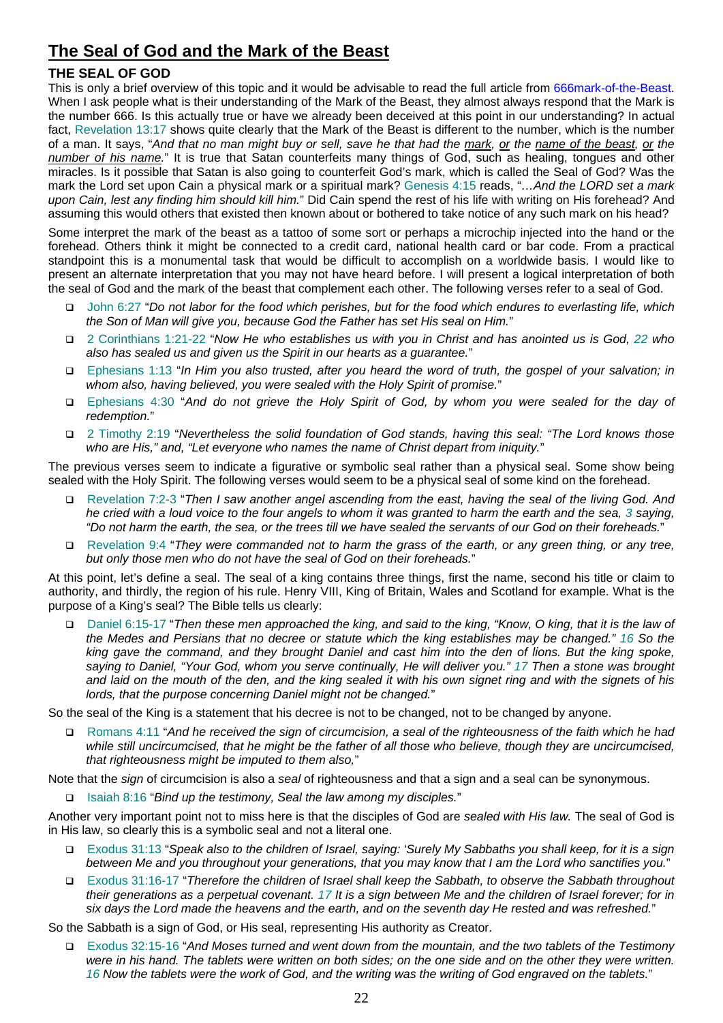# **The Seal of God and the Mark of the Beast**

## **THE SEAL OF GOD**

This is only a brief overview of this topic and it would be advisable to read the full article from [666mark-of-the-Beast.](http://www.666mark-of-the-beast.org/) When I ask people what is their understanding of the Mark of the Beast, they almost always respond that the Mark is the number 666. Is this actually true or have we already been deceived at this point in our understanding? In actual fact. Revelation 13:17 shows quite clearly that the Mark of the Beast is different to the number, which is the number of a man. It says, "*And that no man might buy or sell, save he that had the mark, or the name of the beast, or the number of his name.*" It is true that Satan counterfeits many things of God, such as healing, tongues and other miracles. Is it possible that Satan is also going to counterfeit God's mark, which is called the Seal of God? Was the mark the Lord set upon Cain a physical mark or a spiritual mark? Genesis 4:15 reads, "*…And the LORD set a mark upon Cain, lest any finding him should kill him.*" Did Cain spend the rest of his life with writing on His forehead? And assuming this would others that existed then known about or bothered to take notice of any such mark on his head?

Some interpret the mark of the beast as a tattoo of some sort or perhaps a microchip injected into the hand or the forehead. Others think it might be connected to a credit card, national health card or bar code. From a practical standpoint this is a monumental task that would be difficult to accomplish on a worldwide basis. I would like to present an alternate interpretation that you may not have heard before. I will present a logical interpretation of both the seal of God and the mark of the beast that complement each other. The following verses refer to a seal of God.

- John 6:27 "*Do not labor for the food which perishes, but for the food which endures to everlasting life, which the Son of Man will give you, because God the Father has set His seal on Him.*"
- 2 Corinthians 1:21-22 "*Now He who establishes us with you in Christ and has anointed us is God, 22 who also has sealed us and given us the Spirit in our hearts as a guarantee.*"
- Ephesians 1:13 "*In Him you also trusted, after you heard the word of truth, the gospel of your salvation; in whom also, having believed, you were sealed with the Holy Spirit of promise.*"
- Ephesians 4:30 "*And do not grieve the Holy Spirit of God, by whom you were sealed for the day of redemption.*"
- 2 Timothy 2:19 "*Nevertheless the solid foundation of God stands, having this seal: "The Lord knows those who are His," and, "Let everyone who names the name of Christ depart from iniquity.*"

The previous verses seem to indicate a figurative or symbolic seal rather than a physical seal. Some show being sealed with the Holy Spirit. The following verses would seem to be a physical seal of some kind on the forehead.

- Revelation 7:2-3 "*Then I saw another angel ascending from the east, having the seal of the living God. And he cried with a loud voice to the four angels to whom it was granted to harm the earth and the sea, 3 saying, "Do not harm the earth, the sea, or the trees till we have sealed the servants of our God on their foreheads.*"
- Revelation 9:4 "*They were commanded not to harm the grass of the earth, or any green thing, or any tree, but only those men who do not have the seal of God on their foreheads.*"

At this point, let's define a seal. The seal of a king contains three things, first the name, second his title or claim to authority, and thirdly, the region of his rule. Henry VIII, King of Britain, Wales and Scotland for example. What is the purpose of a King's seal? The Bible tells us clearly:

 Daniel 6:15-17 "*Then these men approached the king, and said to the king, "Know, O king, that it is the law of the Medes and Persians that no decree or statute which the king establishes may be changed." 16 So the king gave the command, and they brought Daniel and cast him into the den of lions. But the king spoke, saying to Daniel, "Your God, whom you serve continually, He will deliver you." 17 Then a stone was brought and laid on the mouth of the den, and the king sealed it with his own signet ring and with the signets of his lords, that the purpose concerning Daniel might not be changed.*"

So the seal of the King is a statement that his decree is not to be changed, not to be changed by anyone.

 Romans 4:11 "*And he received the sign of circumcision, a seal of the righteousness of the faith which he had while still uncircumcised, that he might be the father of all those who believe, though they are uncircumcised, that righteousness might be imputed to them also,*"

Note that the *sign* of circumcision is also a *seal* of righteousness and that a sign and a seal can be synonymous.

Isaiah 8:16 "*Bind up the testimony, Seal the law among my disciples.*"

Another very important point not to miss here is that the disciples of God are *sealed with His law.* The seal of God is in His law, so clearly this is a symbolic seal and not a literal one.

- Exodus 31:13 "*Speak also to the children of Israel, saying: 'Surely My Sabbaths you shall keep, for it is a sign between Me and you throughout your generations, that you may know that I am the Lord who sanctifies you.*"
- Exodus 31:16-17 "*Therefore the children of Israel shall keep the Sabbath, to observe the Sabbath throughout their generations as a perpetual covenant. 17 It is a sign between Me and the children of Israel forever; for in six days the Lord made the heavens and the earth, and on the seventh day He rested and was refreshed.*"

So the Sabbath is a sign of God, or His seal, representing His authority as Creator.

 Exodus 32:15-16 "*And Moses turned and went down from the mountain, and the two tablets of the Testimony were in his hand. The tablets were written on both sides; on the one side and on the other they were written. 16 Now the tablets were the work of God, and the writing was the writing of God engraved on the tablets.*"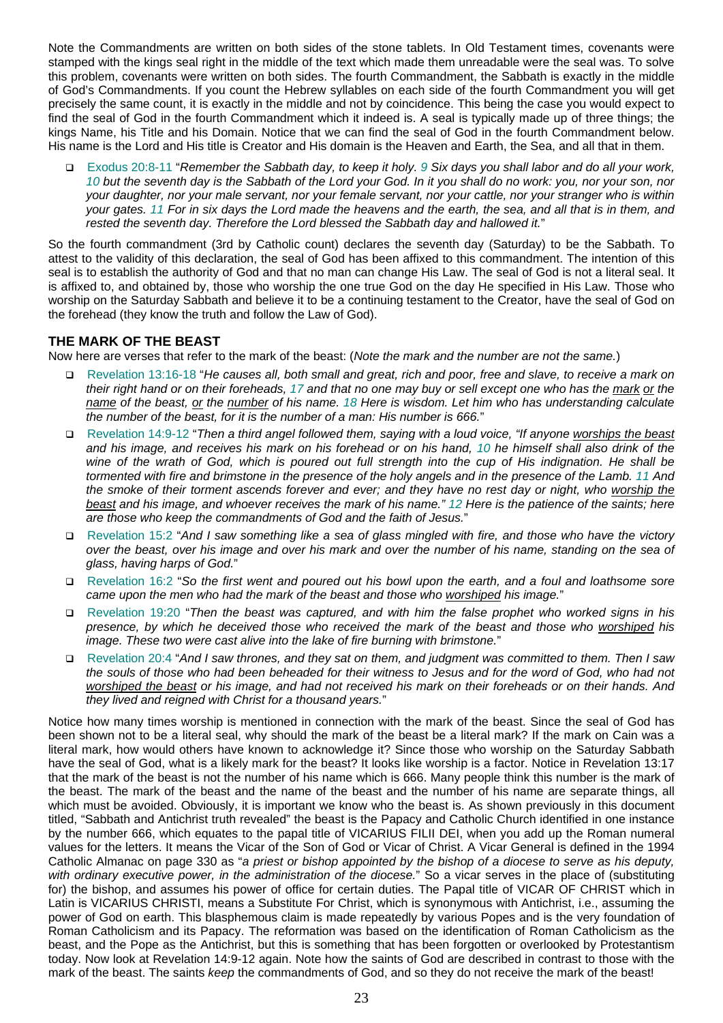Note the Commandments are written on both sides of the stone tablets. In Old Testament times, covenants were stamped with the kings seal right in the middle of the text which made them unreadable were the seal was. To solve this problem, covenants were written on both sides. The fourth Commandment, the Sabbath is exactly in the middle of God's Commandments. If you count the Hebrew syllables on each side of the fourth Commandment you will get precisely the same count, it is exactly in the middle and not by coincidence. This being the case you would expect to find the seal of God in the fourth Commandment which it indeed is. A seal is typically made up of three things; the kings Name, his Title and his Domain. Notice that we can find the seal of God in the fourth Commandment below. His name is the Lord and His title is Creator and His domain is the Heaven and Earth, the Sea, and all that in them.

 Exodus 20:8-11 "*Remember the Sabbath day, to keep it holy. 9 Six days you shall labor and do all your work, 10 but the seventh day is the Sabbath of the Lord your God. In it you shall do no work: you, nor your son, nor your daughter, nor your male servant, nor your female servant, nor your cattle, nor your stranger who is within your gates. 11 For in six days the Lord made the heavens and the earth, the sea, and all that is in them, and rested the seventh day. Therefore the Lord blessed the Sabbath day and hallowed it.*"

So the fourth commandment (3rd by Catholic count) declares the seventh day (Saturday) to be the Sabbath. To attest to the validity of this declaration, the seal of God has been affixed to this commandment. The intention of this seal is to establish the authority of God and that no man can change His Law. The seal of God is not a literal seal. It is affixed to, and obtained by, those who worship the one true God on the day He specified in His Law. Those who worship on the Saturday Sabbath and believe it to be a continuing testament to the Creator, have the seal of God on the forehead (they know the truth and follow the Law of God).

## **THE MARK OF THE BEAST**

Now here are verses that refer to the mark of the beast: (*Note the mark and the number are not the same.*)

- Revelation 13:16-18 "*He causes all, both small and great, rich and poor, free and slave, to receive a mark on their right hand or on their foreheads, 17 and that no one may buy or sell except one who has the mark or the name of the beast, or the number of his name. 18 Here is wisdom. Let him who has understanding calculate the number of the beast, for it is the number of a man: His number is 666.*"
- Revelation 14:9-12 "*Then a third angel followed them, saying with a loud voice, "If anyone worships the beast and his image, and receives his mark on his forehead or on his hand, 10 he himself shall also drink of the*  wine of the wrath of God, which is poured out full strength into the cup of His indignation. He shall be *tormented with fire and brimstone in the presence of the holy angels and in the presence of the Lamb. 11 And the smoke of their torment ascends forever and ever; and they have no rest day or night, who worship the beast and his image, and whoever receives the mark of his name." 12 Here is the patience of the saints; here are those who keep the commandments of God and the faith of Jesus.*"
- Revelation 15:2 "*And I saw something like a sea of glass mingled with fire, and those who have the victory over the beast, over his image and over his mark and over the number of his name, standing on the sea of glass, having harps of God.*"
- Revelation 16:2 "*So the first went and poured out his bowl upon the earth, and a foul and loathsome sore came upon the men who had the mark of the beast and those who worshiped his image.*"
- Revelation 19:20 "*Then the beast was captured, and with him the false prophet who worked signs in his presence, by which he deceived those who received the mark of the beast and those who worshiped his image. These two were cast alive into the lake of fire burning with brimstone.*"
- Revelation 20:4 "*And I saw thrones, and they sat on them, and judgment was committed to them. Then I saw the souls of those who had been beheaded for their witness to Jesus and for the word of God, who had not worshiped the beast or his image, and had not received his mark on their foreheads or on their hands. And they lived and reigned with Christ for a thousand years.*"

Notice how many times worship is mentioned in connection with the mark of the beast. Since the seal of God has been shown not to be a literal seal, why should the mark of the beast be a literal mark? If the mark on Cain was a literal mark, how would others have known to acknowledge it? Since those who worship on the Saturday Sabbath have the seal of God, what is a likely mark for the beast? It looks like worship is a factor. Notice in Revelation 13:17 that the mark of the beast is not the number of his name which is 666. Many people think this number is the mark of the beast. The mark of the beast and the name of the beast and the number of his name are separate things, all which must be avoided. Obviously, it is important we know who the beast is. As shown previously in this document titled, "Sabbath and Antichrist truth revealed" the beast is the Papacy and Catholic Church identified in one instance by the number 666, which equates to the papal title of VICARIUS FILII DEI, when you add up the Roman numeral values for the letters. It means the Vicar of the Son of God or Vicar of Christ. A Vicar General is defined in the 1994 Catholic Almanac on page 330 as "*a priest or bishop appointed by the bishop of a diocese to serve as his deputy, with ordinary executive power, in the administration of the diocese.*" So a vicar serves in the place of (substituting for) the bishop, and assumes his power of office for certain duties. The Papal title of VICAR OF CHRIST which in Latin is VICARIUS CHRISTI, means a Substitute For Christ, which is synonymous with Antichrist, i.e., assuming the power of God on earth. This blasphemous claim is made repeatedly by various Popes and is the very foundation of Roman Catholicism and its Papacy. The reformation was based on the identification of Roman Catholicism as the beast, and the Pope as the Antichrist, but this is something that has been forgotten or overlooked by Protestantism today. Now look at Revelation 14:9-12 again. Note how the saints of God are described in contrast to those with the mark of the beast. The saints *keep* the commandments of God, and so they do not receive the mark of the beast!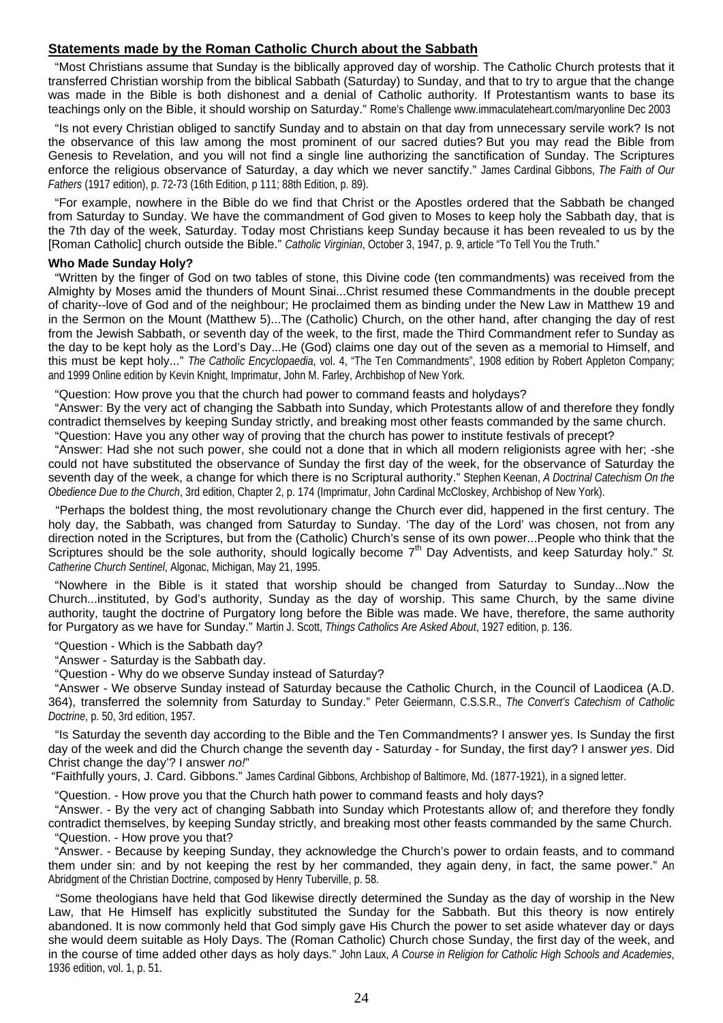## **Statements made by the Roman Catholic Church about the Sabbath**

 "Most Christians assume that Sunday is the biblically approved day of worship. The Catholic Church protests that it transferred Christian worship from the biblical Sabbath (Saturday) to Sunday, and that to try to argue that the change was made in the Bible is both dishonest and a denial of Catholic authority. If Protestantism wants to base its teachings only on the Bible, it should worship on Saturday." Rome's Challenge www.immaculateheart.com/maryonline Dec 2003

 "Is not every Christian obliged to sanctify Sunday and to abstain on that day from unnecessary servile work? Is not the observance of this law among the most prominent of our sacred duties? But you may read the Bible from Genesis to Revelation, and you will not find a single line authorizing the sanctification of Sunday. The Scriptures enforce the religious observance of Saturday, a day which we never sanctify." James Cardinal Gibbons, *The Faith of Our Fathers* (1917 edition), p. 72-73 (16th Edition, p 111; 88th Edition, p. 89).

 "For example, nowhere in the Bible do we find that Christ or the Apostles ordered that the Sabbath be changed from Saturday to Sunday. We have the commandment of God given to Moses to keep holy the Sabbath day, that is the 7th day of the week, Saturday. Today most Christians keep Sunday because it has been revealed to us by the [Roman Catholic] church outside the Bible." *Catholic Virginian*, October 3, 1947, p. 9, article "To Tell You the Truth."

#### **Who Made Sunday Holy?**

 "Written by the finger of God on two tables of stone, this Divine code (ten commandments) was received from the Almighty by Moses amid the thunders of Mount Sinai...Christ resumed these Commandments in the double precept of charity--love of God and of the neighbour; He proclaimed them as binding under the New Law in Matthew 19 and in the Sermon on the Mount (Matthew 5)...The (Catholic) Church, on the other hand, after changing the day of rest from the Jewish Sabbath, or seventh day of the week, to the first, made the Third Commandment refer to Sunday as the day to be kept holy as the Lord's Day...He (God) claims one day out of the seven as a memorial to Himself, and this must be kept holy..." *The Catholic Encyclopaedia*, vol. 4, "The Ten Commandments", 1908 edition by Robert Appleton Company; and 1999 Online edition by Kevin Knight, Imprimatur, John M. Farley, Archbishop of New York.

"Question: How prove you that the church had power to command feasts and holydays?

 "Answer: By the very act of changing the Sabbath into Sunday, which Protestants allow of and therefore they fondly contradict themselves by keeping Sunday strictly, and breaking most other feasts commanded by the same church. "Question: Have you any other way of proving that the church has power to institute festivals of precept?

 "Answer: Had she not such power, she could not a done that in which all modern religionists agree with her; -she could not have substituted the observance of Sunday the first day of the week, for the observance of Saturday the seventh day of the week, a change for which there is no Scriptural authority." Stephen Keenan, *A Doctrinal Catechism On the Obedience Due to the Church*, 3rd edition, Chapter 2, p. 174 (Imprimatur, John Cardinal McCloskey, Archbishop of New York).

 "Perhaps the boldest thing, the most revolutionary change the Church ever did, happened in the first century. The holy day, the Sabbath, was changed from Saturday to Sunday. 'The day of the Lord' was chosen, not from any direction noted in the Scriptures, but from the (Catholic) Church's sense of its own power...People who think that the Scriptures should be the sole authority, should logically become 7th Day Adventists, and keep Saturday holy." *St. Catherine Church Sentinel*, Algonac, Michigan, May 21, 1995.

 "Nowhere in the Bible is it stated that worship should be changed from Saturday to Sunday...Now the Church...instituted, by God's authority, Sunday as the day of worship. This same Church, by the same divine authority, taught the doctrine of Purgatory long before the Bible was made. We have, therefore, the same authority for Purgatory as we have for Sunday." Martin J. Scott, *Things Catholics Are Asked About*, 1927 edition, p. 136.

"Question - Which is the Sabbath day?

"Answer - Saturday is the Sabbath day.

"Question - Why do we observe Sunday instead of Saturday?

 "Answer - We observe Sunday instead of Saturday because the Catholic Church, in the Council of Laodicea (A.D. 364), transferred the solemnity from Saturday to Sunday." Peter Geiermann, C.S.S.R., *The Convert's Catechism of Catholic Doctrine*, p. 50, 3rd edition, 1957.

 "Is Saturday the seventh day according to the Bible and the Ten Commandments? I answer yes. Is Sunday the first day of the week and did the Church change the seventh day - Saturday - for Sunday, the first day? I answer *yes*. Did Christ change the day'? I answer *no!*"

"Faithfully yours, J. Card. Gibbons." James Cardinal Gibbons, Archbishop of Baltimore, Md. (1877-1921), in a signed letter.

"Question. - How prove you that the Church hath power to command feasts and holy days?

 "Answer. - By the very act of changing Sabbath into Sunday which Protestants allow of; and therefore they fondly contradict themselves, by keeping Sunday strictly, and breaking most other feasts commanded by the same Church. "Question. - How prove you that?

 "Answer. - Because by keeping Sunday, they acknowledge the Church's power to ordain feasts, and to command them under sin: and by not keeping the rest by her commanded, they again deny, in fact, the same power." An Abridgment of the Christian Doctrine, composed by Henry Tuberville, p. 58.

 "Some theologians have held that God likewise directly determined the Sunday as the day of worship in the New Law, that He Himself has explicitly substituted the Sunday for the Sabbath. But this theory is now entirely abandoned. It is now commonly held that God simply gave His Church the power to set aside whatever day or days she would deem suitable as Holy Days. The (Roman Catholic) Church chose Sunday, the first day of the week, and in the course of time added other days as holy days." John Laux, *A Course in Religion for Catholic High Schools and Academies*, 1936 edition, vol. 1, p. 51.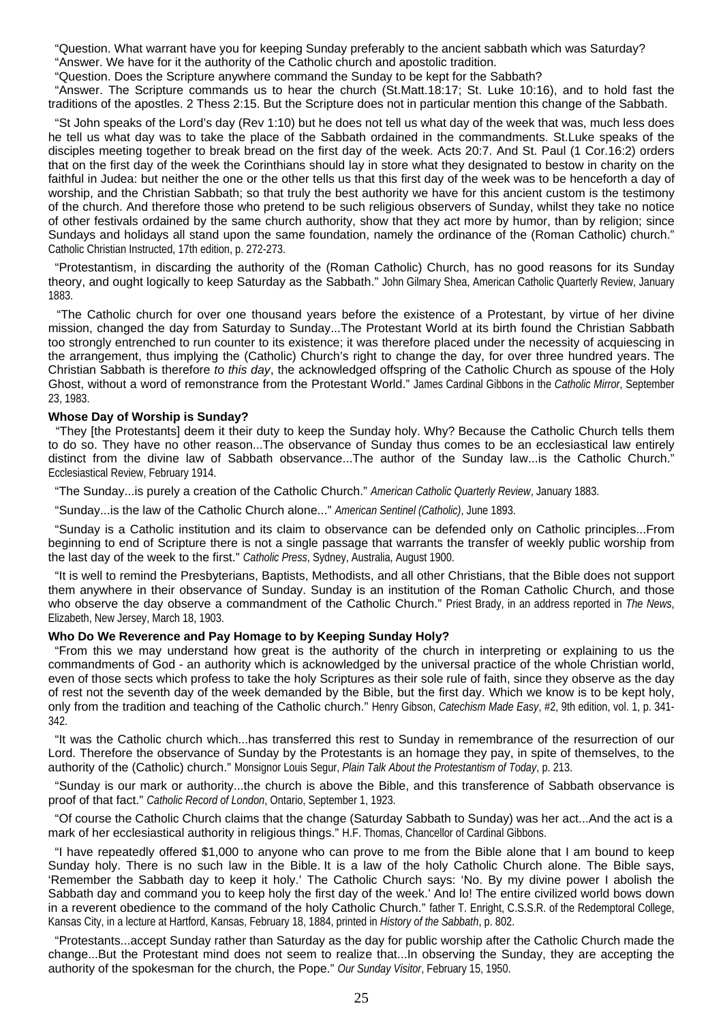"Question. What warrant have you for keeping Sunday preferably to the ancient sabbath which was Saturday? "Answer. We have for it the authority of the Catholic church and apostolic tradition.

"Question. Does the Scripture anywhere command the Sunday to be kept for the Sabbath?

 "Answer. The Scripture commands us to hear the church (St.Matt.18:17; St. Luke 10:16), and to hold fast the traditions of the apostles. 2 Thess 2:15. But the Scripture does not in particular mention this change of the Sabbath.

 "St John speaks of the Lord's day (Rev 1:10) but he does not tell us what day of the week that was, much less does he tell us what day was to take the place of the Sabbath ordained in the commandments. St.Luke speaks of the disciples meeting together to break bread on the first day of the week. Acts 20:7. And St. Paul (1 Cor.16:2) orders that on the first day of the week the Corinthians should lay in store what they designated to bestow in charity on the faithful in Judea: but neither the one or the other tells us that this first day of the week was to be henceforth a day of worship, and the Christian Sabbath; so that truly the best authority we have for this ancient custom is the testimony of the church. And therefore those who pretend to be such religious observers of Sunday, whilst they take no notice of other festivals ordained by the same church authority, show that they act more by humor, than by religion; since Sundays and holidays all stand upon the same foundation, namely the ordinance of the (Roman Catholic) church." Catholic Christian Instructed, 17th edition, p. 272-273.

 "Protestantism, in discarding the authority of the (Roman Catholic) Church, has no good reasons for its Sunday theory, and ought logically to keep Saturday as the Sabbath." John Gilmary Shea, American Catholic Quarterly Review, January 1883.

 "The Catholic church for over one thousand years before the existence of a Protestant, by virtue of her divine mission, changed the day from Saturday to Sunday...The Protestant World at its birth found the Christian Sabbath too strongly entrenched to run counter to its existence; it was therefore placed under the necessity of acquiescing in the arrangement, thus implying the (Catholic) Church's right to change the day, for over three hundred years. The Christian Sabbath is therefore *to this day*, the acknowledged offspring of the Catholic Church as spouse of the Holy Ghost, without a word of remonstrance from the Protestant World." James Cardinal Gibbons in the *Catholic Mirror*, September 23, 1983.

## **Whose Day of Worship is Sunday?**

 "They [the Protestants] deem it their duty to keep the Sunday holy. Why? Because the Catholic Church tells them to do so. They have no other reason...The observance of Sunday thus comes to be an ecclesiastical law entirely distinct from the divine law of Sabbath observance...The author of the Sunday law...is the Catholic Church." Ecclesiastical Review, February 1914.

"The Sunday...is purely a creation of the Catholic Church." *American Catholic Quarterly Review*, January 1883.

"Sunday...is the law of the Catholic Church alone..." *American Sentinel (Catholic)*, June 1893.

 "Sunday is a Catholic institution and its claim to observance can be defended only on Catholic principles...From beginning to end of Scripture there is not a single passage that warrants the transfer of weekly public worship from the last day of the week to the first." *Catholic Press*, Sydney, Australia, August 1900.

 "It is well to remind the Presbyterians, Baptists, Methodists, and all other Christians, that the Bible does not support them anywhere in their observance of Sunday. Sunday is an institution of the Roman Catholic Church, and those who observe the day observe a commandment of the Catholic Church." Priest Brady, in an address reported in *The News*, Elizabeth, New Jersey, March 18, 1903.

## **Who Do We Reverence and Pay Homage to by Keeping Sunday Holy?**

 "From this we may understand how great is the authority of the church in interpreting or explaining to us the commandments of God - an authority which is acknowledged by the universal practice of the whole Christian world, even of those sects which profess to take the holy Scriptures as their sole rule of faith, since they observe as the day of rest not the seventh day of the week demanded by the Bible, but the first day. Which we know is to be kept holy, only from the tradition and teaching of the Catholic church." Henry Gibson, *Catechism Made Easy*, #2, 9th edition, vol. 1, p. 341- 342.

 "It was the Catholic church which...has transferred this rest to Sunday in remembrance of the resurrection of our Lord. Therefore the observance of Sunday by the Protestants is an homage they pay, in spite of themselves, to the authority of the (Catholic) church." Monsignor Louis Segur, *Plain Talk About the Protestantism of Today*, p. 213.

 "Sunday is our mark or authority...the church is above the Bible, and this transference of Sabbath observance is proof of that fact." *Catholic Record of London*, Ontario, September 1, 1923.

 "Of course the Catholic Church claims that the change (Saturday Sabbath to Sunday) was her act...And the act is a mark of her ecclesiastical authority in religious things." H.F. Thomas, Chancellor of Cardinal Gibbons.

 "I have repeatedly offered \$1,000 to anyone who can prove to me from the Bible alone that I am bound to keep Sunday holy. There is no such law in the Bible. It is a law of the holy Catholic Church alone. The Bible says, 'Remember the Sabbath day to keep it holy.' The Catholic Church says: 'No. By my divine power I abolish the Sabbath day and command you to keep holy the first day of the week.' And lo! The entire civilized world bows down in a reverent obedience to the command of the holy Catholic Church." father T. Enright, C.S.S.R. of the Redemptoral College, Kansas City, in a lecture at Hartford, Kansas, February 18, 1884, printed in *History of the Sabbath*, p. 802.

 "Protestants...accept Sunday rather than Saturday as the day for public worship after the Catholic Church made the change...But the Protestant mind does not seem to realize that...In observing the Sunday, they are accepting the authority of the spokesman for the church, the Pope." *Our Sunday Visitor*, February 15, 1950.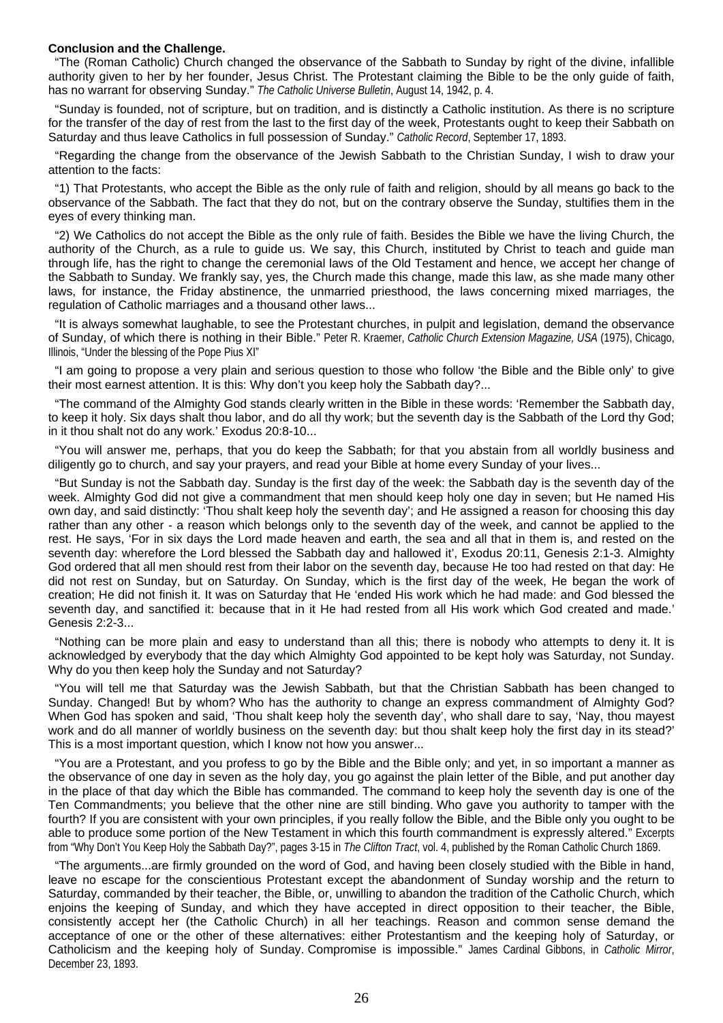#### **Conclusion and the Challenge.**

 "The (Roman Catholic) Church changed the observance of the Sabbath to Sunday by right of the divine, infallible authority given to her by her founder, Jesus Christ. The Protestant claiming the Bible to be the only guide of faith, has no warrant for observing Sunday." *The Catholic Universe Bulletin*, August 14, 1942, p. 4.

 "Sunday is founded, not of scripture, but on tradition, and is distinctly a Catholic institution. As there is no scripture for the transfer of the day of rest from the last to the first day of the week, Protestants ought to keep their Sabbath on Saturday and thus leave Catholics in full possession of Sunday." *Catholic Record*, September 17, 1893.

 "Regarding the change from the observance of the Jewish Sabbath to the Christian Sunday, I wish to draw your attention to the facts:

 "1) That Protestants, who accept the Bible as the only rule of faith and religion, should by all means go back to the observance of the Sabbath. The fact that they do not, but on the contrary observe the Sunday, stultifies them in the eyes of every thinking man.

 "2) We Catholics do not accept the Bible as the only rule of faith. Besides the Bible we have the living Church, the authority of the Church, as a rule to guide us. We say, this Church, instituted by Christ to teach and guide man through life, has the right to change the ceremonial laws of the Old Testament and hence, we accept her change of the Sabbath to Sunday. We frankly say, yes, the Church made this change, made this law, as she made many other laws, for instance, the Friday abstinence, the unmarried priesthood, the laws concerning mixed marriages, the regulation of Catholic marriages and a thousand other laws...

 "It is always somewhat laughable, to see the Protestant churches, in pulpit and legislation, demand the observance of Sunday, of which there is nothing in their Bible." Peter R. Kraemer, *Catholic Church Extension Magazine, USA* (1975), Chicago, Illinois, "Under the blessing of the Pope Pius XI"

 "I am going to propose a very plain and serious question to those who follow 'the Bible and the Bible only' to give their most earnest attention. It is this: Why don't you keep holy the Sabbath day?...

 "The command of the Almighty God stands clearly written in the Bible in these words: 'Remember the Sabbath day, to keep it holy. Six days shalt thou labor, and do all thy work; but the seventh day is the Sabbath of the Lord thy God; in it thou shalt not do any work.' Exodus 20:8-10...

 "You will answer me, perhaps, that you do keep the Sabbath; for that you abstain from all worldly business and diligently go to church, and say your prayers, and read your Bible at home every Sunday of your lives...

 "But Sunday is not the Sabbath day. Sunday is the first day of the week: the Sabbath day is the seventh day of the week. Almighty God did not give a commandment that men should keep holy one day in seven; but He named His own day, and said distinctly: 'Thou shalt keep holy the seventh day'; and He assigned a reason for choosing this day rather than any other - a reason which belongs only to the seventh day of the week, and cannot be applied to the rest. He says, 'For in six days the Lord made heaven and earth, the sea and all that in them is, and rested on the seventh day: wherefore the Lord blessed the Sabbath day and hallowed it', Exodus 20:11, Genesis 2:1-3. Almighty God ordered that all men should rest from their labor on the seventh day, because He too had rested on that day: He did not rest on Sunday, but on Saturday. On Sunday, which is the first day of the week, He began the work of creation; He did not finish it. It was on Saturday that He 'ended His work which he had made: and God blessed the seventh day, and sanctified it: because that in it He had rested from all His work which God created and made.' Genesis 2:2-3...

 "Nothing can be more plain and easy to understand than all this; there is nobody who attempts to deny it. It is acknowledged by everybody that the day which Almighty God appointed to be kept holy was Saturday, not Sunday. Why do you then keep holy the Sunday and not Saturday?

 "You will tell me that Saturday was the Jewish Sabbath, but that the Christian Sabbath has been changed to Sunday. Changed! But by whom? Who has the authority to change an express commandment of Almighty God? When God has spoken and said, 'Thou shalt keep holy the seventh day', who shall dare to say, 'Nay, thou mayest work and do all manner of worldly business on the seventh day: but thou shalt keep holy the first day in its stead?' This is a most important question, which I know not how you answer...

 "You are a Protestant, and you profess to go by the Bible and the Bible only; and yet, in so important a manner as the observance of one day in seven as the holy day, you go against the plain letter of the Bible, and put another day in the place of that day which the Bible has commanded. The command to keep holy the seventh day is one of the Ten Commandments; you believe that the other nine are still binding. Who gave you authority to tamper with the fourth? If you are consistent with your own principles, if you really follow the Bible, and the Bible only you ought to be able to produce some portion of the New Testament in which this fourth commandment is expressly altered." Excerpts from "Why Don't You Keep Holy the Sabbath Day?", pages 3-15 in *The Clifton Tract*, vol. 4, published by the Roman Catholic Church 1869.

 "The arguments...are firmly grounded on the word of God, and having been closely studied with the Bible in hand, leave no escape for the conscientious Protestant except the abandonment of Sunday worship and the return to Saturday, commanded by their teacher, the Bible, or, unwilling to abandon the tradition of the Catholic Church, which enjoins the keeping of Sunday, and which they have accepted in direct opposition to their teacher, the Bible, consistently accept her (the Catholic Church) in all her teachings. Reason and common sense demand the acceptance of one or the other of these alternatives: either Protestantism and the keeping holy of Saturday, or Catholicism and the keeping holy of Sunday. Compromise is impossible." James Cardinal Gibbons, in *Catholic Mirror*, December 23, 1893.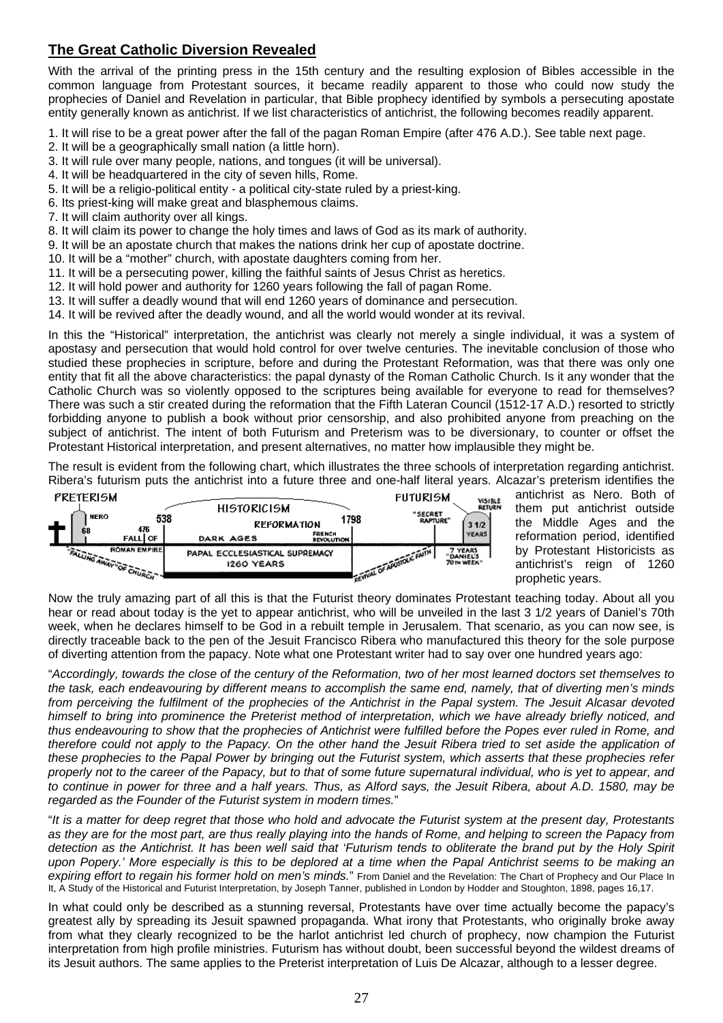# **The Great Catholic Diversion Revealed**

With the arrival of the printing press in the 15th century and the resulting explosion of Bibles accessible in the common language from Protestant sources, it became readily apparent to those who could now study the prophecies of Daniel and Revelation in particular, that Bible prophecy identified by symbols a persecuting apostate entity generally known as antichrist. If we list characteristics of antichrist, the following becomes readily apparent.

1. It will rise to be a great power after the fall of the pagan Roman Empire (after 476 A.D.). See table next page.

- 2. It will be a geographically small nation (a little horn).
- 3. It will rule over many people, nations, and tongues (it will be universal).
- 4. It will be headquartered in the city of seven hills, Rome.
- 5. It will be a religio-political entity a political city-state ruled by a priest-king.
- 6. Its priest-king will make great and blasphemous claims.
- 7. It will claim authority over all kings.
- 8. It will claim its power to change the holy times and laws of God as its mark of authority.
- 9. It will be an apostate church that makes the nations drink her cup of apostate doctrine.
- 10. It will be a "mother" church, with apostate daughters coming from her.
- 11. It will be a persecuting power, killing the faithful saints of Jesus Christ as heretics.
- 12. It will hold power and authority for 1260 years following the fall of pagan Rome.
- 13. It will suffer a deadly wound that will end 1260 years of dominance and persecution.
- 14. It will be revived after the deadly wound, and all the world would wonder at its revival.

In this the "Historical" interpretation, the antichrist was clearly not merely a single individual, it was a system of apostasy and persecution that would hold control for over twelve centuries. The inevitable conclusion of those who studied these prophecies in scripture, before and during the Protestant Reformation, was that there was only one entity that fit all the above characteristics: the papal dynasty of the Roman Catholic Church. Is it any wonder that the Catholic Church was so violently opposed to the scriptures being available for everyone to read for themselves? There was such a stir created during the reformation that the Fifth Lateran Council (1512-17 A.D.) resorted to strictly forbidding anyone to publish a book without prior censorship, and also prohibited anyone from preaching on the subject of antichrist. The intent of both Futurism and Preterism was to be diversionary, to counter or offset the Protestant Historical interpretation, and present alternatives, no matter how implausible they might be.

The result is evident from the following chart, which illustrates the three schools of interpretation regarding antichrist. Ribera's futurism puts the antichrist into a future three and one-half literal years. Alcazar's preterism identifies the



antichrist as Nero. Both of them put antichrist outside the Middle Ages and the reformation period, identified by Protestant Historicists as antichrist's reign of 1260 prophetic years.

Now the truly amazing part of all this is that the Futurist theory dominates Protestant teaching today. About all you hear or read about today is the yet to appear antichrist, who will be unveiled in the last 3 1/2 years of Daniel's 70th week, when he declares himself to be God in a rebuilt temple in Jerusalem. That scenario, as you can now see, is directly traceable back to the pen of the Jesuit Francisco Ribera who manufactured this theory for the sole purpose of diverting attention from the papacy. Note what one Protestant writer had to say over one hundred years ago:

"*Accordingly, towards the close of the century of the Reformation, two of her most learned doctors set themselves to the task, each endeavouring by different means to accomplish the same end, namely, that of diverting men's minds from perceiving the fulfilment of the prophecies of the Antichrist in the Papal system. The Jesuit Alcasar devoted himself to bring into prominence the Preterist method of interpretation, which we have already briefly noticed, and thus endeavouring to show that the prophecies of Antichrist were fulfilled before the Popes ever ruled in Rome, and therefore could not apply to the Papacy. On the other hand the Jesuit Ribera tried to set aside the application of these prophecies to the Papal Power by bringing out the Futurist system, which asserts that these prophecies refer properly not to the career of the Papacy, but to that of some future supernatural individual, who is yet to appear, and to continue in power for three and a half years. Thus, as Alford says, the Jesuit Ribera, about A.D. 1580, may be regarded as the Founder of the Futurist system in modern times.*"

"*It is a matter for deep regret that those who hold and advocate the Futurist system at the present day, Protestants*  as they are for the most part, are thus really playing into the hands of Rome, and helping to screen the Papacy from *detection as the Antichrist. It has been well said that 'Futurism tends to obliterate the brand put by the Holy Spirit upon Popery.' More especially is this to be deplored at a time when the Papal Antichrist seems to be making an expiring effort to regain his former hold on men's minds.*" From Daniel and the Revelation: The Chart of Prophecy and Our Place In It, A Study of the Historical and Futurist Interpretation, by Joseph Tanner, published in London by Hodder and Stoughton, 1898, pages 16,17.

In what could only be described as a stunning reversal, Protestants have over time actually become the papacy's greatest ally by spreading its Jesuit spawned propaganda. What irony that Protestants, who originally broke away from what they clearly recognized to be the harlot antichrist led church of prophecy, now champion the Futurist interpretation from high profile ministries. Futurism has without doubt, been successful beyond the wildest dreams of its Jesuit authors. The same applies to the Preterist interpretation of Luis De Alcazar, although to a lesser degree.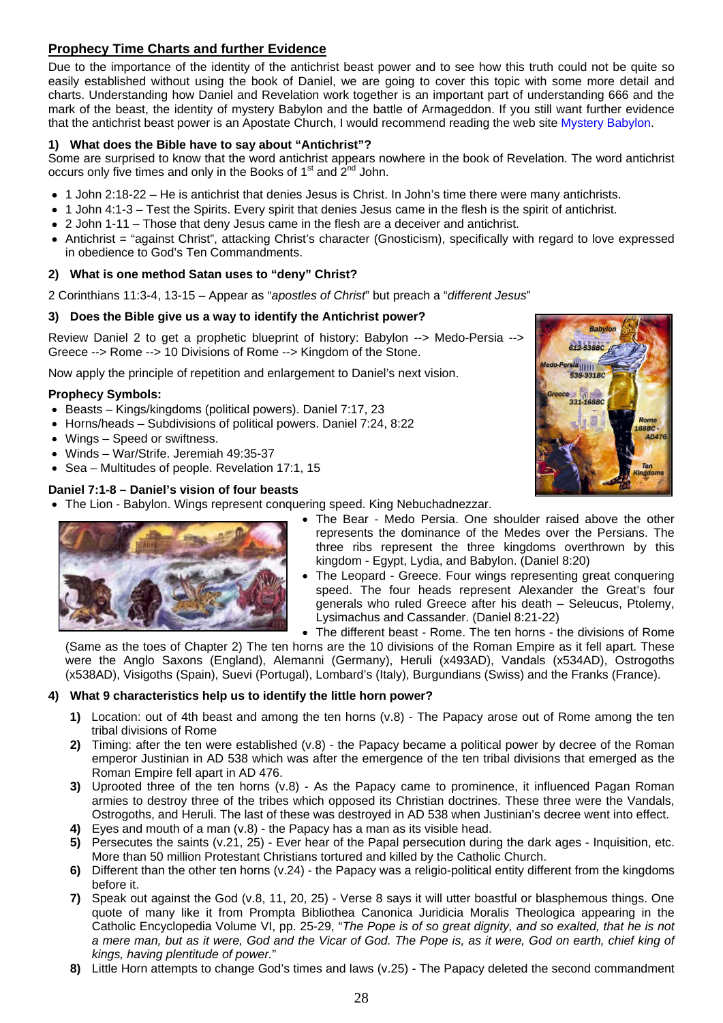## **Prophecy Time Charts and further Evidence**

Due to the importance of the identity of the antichrist beast power and to see how this truth could not be quite so easily established without using the book of Daniel, we are going to cover this topic with some more detail and charts. Understanding how Daniel and Revelation work together is an important part of understanding 666 and the mark of the beast, the identity of mystery Babylon and the battle of Armageddon. If you still want further evidence that the antichrist beast power is an Apostate Church, I would recommend reading the web site [Mystery Babylon](http://www.mystery-babylon.net/).

## **1) What does the Bible have to say about "Antichrist"?**

Some are surprised to know that the word antichrist appears nowhere in the book of Revelation. The word antichrist occurs only five times and only in the Books of  $1<sup>st</sup>$  and  $2<sup>nd</sup>$  John.

- 1 John 2:18-22 He is antichrist that denies Jesus is Christ. In John's time there were many antichrists.
- 1 John 4:1-3 Test the Spirits. Every spirit that denies Jesus came in the flesh is the spirit of antichrist.
- 2 John 1-11 Those that deny Jesus came in the flesh are a deceiver and antichrist.
- Antichrist = "against Christ", attacking Christ's character (Gnosticism), specifically with regard to love expressed in obedience to God's Ten Commandments.

## **2) What is one method Satan uses to "deny" Christ?**

2 Corinthians 11:3-4, 13-15 – Appear as "*apostles of Christ*" but preach a "*different Jesus*"

## **3) Does the Bible give us a way to identify the Antichrist power?**

Review Daniel 2 to get a prophetic blueprint of history: Babylon --> Medo-Persia --> Greece --> Rome --> 10 Divisions of Rome --> Kingdom of the Stone.

Now apply the principle of repetition and enlargement to Daniel's next vision.

## **Prophecy Symbols:**

- Beasts Kings/kingdoms (political powers). Daniel 7:17, 23
- Horns/heads Subdivisions of political powers. Daniel 7:24, 8:22
- Wings Speed or swiftness.
- Winds War/Strife. Jeremiah 49:35-37
- Sea Multitudes of people. Revelation 17:1, 15

## **Daniel 7:1-8 – Daniel's vision of four beasts**

• The Lion - Babylon. Wings represent conquering speed. King Nebuchadnezzar.



- The Bear Medo Persia. One shoulder raised above the other represents the dominance of the Medes over the Persians. The three ribs represent the three kingdoms overthrown by this kingdom - Egypt, Lydia, and Babylon. (Daniel 8:20)
- The Leopard Greece. Four wings representing great conquering speed. The four heads represent Alexander the Great's four generals who ruled Greece after his death – Seleucus, Ptolemy, Lysimachus and Cassander. (Daniel 8:21-22)
- The different beast Rome. The ten horns the divisions of Rome

(Same as the toes of Chapter 2) The ten horns are the 10 divisions of the Roman Empire as it fell apart. These were the Anglo Saxons (England), Alemanni (Germany), Heruli (x493AD), Vandals (x534AD), Ostrogoths (x538AD), Visigoths (Spain), Suevi (Portugal), Lombard's (Italy), Burgundians (Swiss) and the Franks (France).

## **4) What 9 characteristics help us to identify the little horn power?**

- **1)** Location: out of 4th beast and among the ten horns (v.8) The Papacy arose out of Rome among the ten tribal divisions of Rome
- **2)** Timing: after the ten were established (v.8) the Papacy became a political power by decree of the Roman emperor Justinian in AD 538 which was after the emergence of the ten tribal divisions that emerged as the Roman Empire fell apart in AD 476.
- **3)** Uprooted three of the ten horns (v.8) As the Papacy came to prominence, it influenced Pagan Roman armies to destroy three of the tribes which opposed its Christian doctrines. These three were the Vandals, Ostrogoths, and Heruli. The last of these was destroyed in AD 538 when Justinian's decree went into effect.
- **4)** Eyes and mouth of a man (v.8) the Papacy has a man as its visible head.
- **5)** Persecutes the saints (v.21, 25) Ever hear of the Papal persecution during the dark ages Inquisition, etc. More than 50 million Protestant Christians tortured and killed by the Catholic Church.
- **6)** Different than the other ten horns (v.24) the Papacy was a religio-political entity different from the kingdoms before it.
- **7)** Speak out against the God (v.8, 11, 20, 25) Verse 8 says it will utter boastful or blasphemous things. One quote of many like it from Prompta Bibliothea Canonica Juridicia Moralis Theologica appearing in the Catholic Encyclopedia Volume VI, pp. 25-29, "*The Pope is of so great dignity, and so exalted, that he is not a mere man, but as it were, God and the Vicar of God. The Pope is, as it were, God on earth, chief king of kings, having plentitude of power.*"
- **8)** Little Horn attempts to change God's times and laws (v.25) The Papacy deleted the second commandment

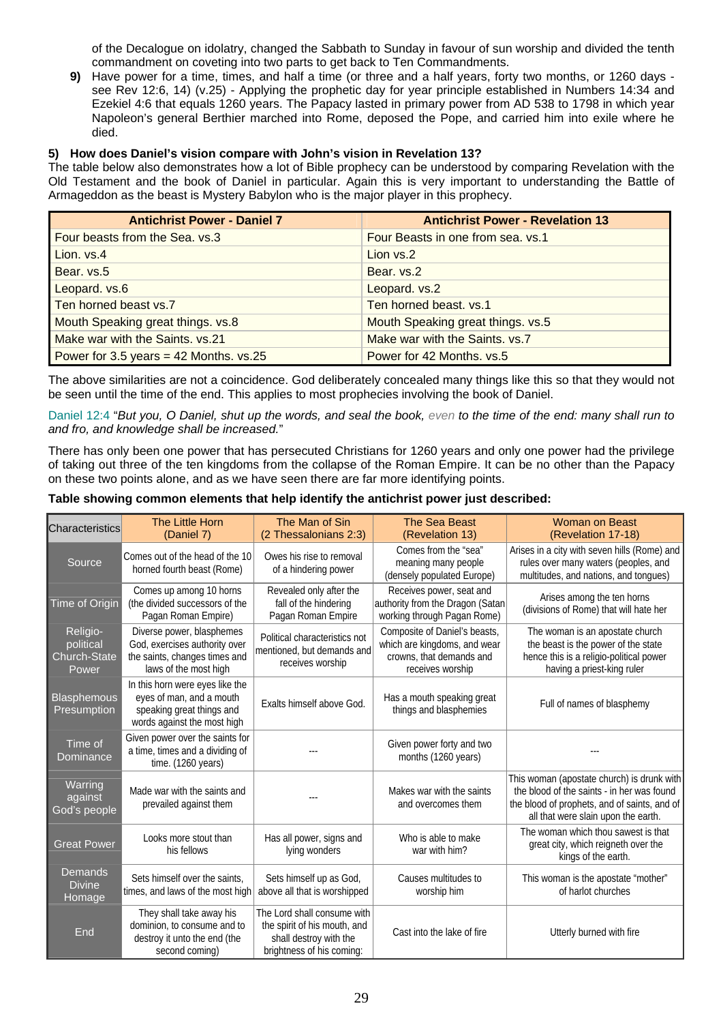of the Decalogue on idolatry, changed the Sabbath to Sunday in favour of sun worship and divided the tenth commandment on coveting into two parts to get back to Ten Commandments.

**9)** Have power for a time, times, and half a time (or three and a half years, forty two months, or 1260 days see Rev 12:6, 14) (v.25) - Applying the prophetic day for year principle established in Numbers 14:34 and Ezekiel 4:6 that equals 1260 years. The Papacy lasted in primary power from AD 538 to 1798 in which year Napoleon's general Berthier marched into Rome, deposed the Pope, and carried him into exile where he died.

## **5) How does Daniel's vision compare with John's vision in Revelation 13?**

The table below also demonstrates how a lot of Bible prophecy can be understood by comparing Revelation with the Old Testament and the book of Daniel in particular. Again this is very important to understanding the Battle of Armageddon as the beast is Mystery Babylon who is the major player in this prophecy.

| <b>Antichrist Power - Daniel 7</b>       | <b>Antichrist Power - Revelation 13</b> |
|------------------------------------------|-----------------------------------------|
| Four beasts from the Sea. vs.3           | Four Beasts in one from sea. vs.1       |
| Lion. vs.4                               | Lion vs.2                               |
| Bear. vs.5                               | Bear, vs.2                              |
| Leopard. vs.6                            | Leopard. vs.2                           |
| Ten horned beast vs.7                    | Ten horned beast. vs.1                  |
| Mouth Speaking great things. vs.8        | Mouth Speaking great things. vs.5       |
| Make war with the Saints. vs.21          | Make war with the Saints. vs.7          |
| Power for 3.5 years = 42 Months. $vs.25$ | Power for 42 Months, vs.5               |

The above similarities are not a coincidence. God deliberately concealed many things like this so that they would not be seen until the time of the end. This applies to most prophecies involving the book of Daniel.

Daniel 12:4 "*But you, O Daniel, shut up the words, and seal the book, even to the time of the end: many shall run to and fro, and knowledge shall be increased.*"

There has only been one power that has persecuted Christians for 1260 years and only one power had the privilege of taking out three of the ten kingdoms from the collapse of the Roman Empire. It can be no other than the Papacy on these two points alone, and as we have seen there are far more identifying points.

## **Table showing common elements that help identify the antichrist power just described:**

| <b>Characteristics</b>                                | The Little Horn<br>(Daniel 7)                                                                                                                              | The Man of Sin<br>(2 Thessalonians 2:3)                                                                            | The Sea Beast<br>(Revelation 13)                                                                              | <b>Woman on Beast</b><br>(Revelation 17-18)                                                                                                                                     |
|-------------------------------------------------------|------------------------------------------------------------------------------------------------------------------------------------------------------------|--------------------------------------------------------------------------------------------------------------------|---------------------------------------------------------------------------------------------------------------|---------------------------------------------------------------------------------------------------------------------------------------------------------------------------------|
| Source                                                | Comes out of the head of the 10<br>horned fourth beast (Rome)                                                                                              | Owes his rise to removal<br>of a hindering power                                                                   | Comes from the "sea"<br>meaning many people<br>(densely populated Europe)                                     | Arises in a city with seven hills (Rome) and<br>rules over many waters (peoples, and<br>multitudes, and nations, and tongues)                                                   |
| Time of Origin                                        | Revealed only after the<br>Comes up among 10 horns<br>(the divided successors of the<br>fall of the hindering<br>Pagan Roman Empire<br>Pagan Roman Empire) |                                                                                                                    | Receives power, seat and<br>authority from the Dragon (Satan<br>working through Pagan Rome)                   | Arises among the ten horns<br>(divisions of Rome) that will hate her                                                                                                            |
| Religio-<br>political<br><b>Church-State</b><br>Power | Diverse power, blasphemes<br>God, exercises authority over<br>the saints, changes times and<br>laws of the most high                                       | Political characteristics not<br>mentioned, but demands and<br>receives worship                                    | Composite of Daniel's beasts,<br>which are kingdoms, and wear<br>crowns, that demands and<br>receives worship | The woman is an apostate church<br>the beast is the power of the state<br>hence this is a religio-political power<br>having a priest-king ruler                                 |
| <b>Blasphemous</b><br>Presumption                     | In this horn were eyes like the<br>eyes of man, and a mouth<br>speaking great things and<br>words against the most high                                    | Exalts himself above God.                                                                                          | Has a mouth speaking great<br>things and blasphemies                                                          | Full of names of blasphemy                                                                                                                                                      |
| Time of<br>Dominance                                  | Given power over the saints for<br>a time, times and a dividing of<br>time. (1260 years)                                                                   |                                                                                                                    | Given power forty and two<br>months (1260 years)                                                              |                                                                                                                                                                                 |
| Warring<br>against<br>God's people                    | Made war with the saints and<br>prevailed against them                                                                                                     |                                                                                                                    | Makes war with the saints<br>and overcomes them                                                               | This woman (apostate church) is drunk with<br>the blood of the saints - in her was found<br>the blood of prophets, and of saints, and of<br>all that were slain upon the earth. |
| <b>Great Power</b>                                    | Looks more stout than<br>his fellows                                                                                                                       | Has all power, signs and<br>lying wonders                                                                          | Who is able to make<br>war with him?                                                                          | The woman which thou sawest is that<br>great city, which reigneth over the<br>kings of the earth.                                                                               |
| <b>Demands</b><br><b>Divine</b><br>Homage             | Sets himself over the saints.<br>times, and laws of the most high                                                                                          | Sets himself up as God,<br>above all that is worshipped                                                            | Causes multitudes to<br>worship him                                                                           | This woman is the apostate "mother"<br>of harlot churches                                                                                                                       |
| End                                                   | They shall take away his<br>dominion, to consume and to<br>destroy it unto the end (the<br>second coming)                                                  | The Lord shall consume with<br>the spirit of his mouth, and<br>shall destroy with the<br>brightness of his coming: | Cast into the lake of fire                                                                                    | Utterly burned with fire                                                                                                                                                        |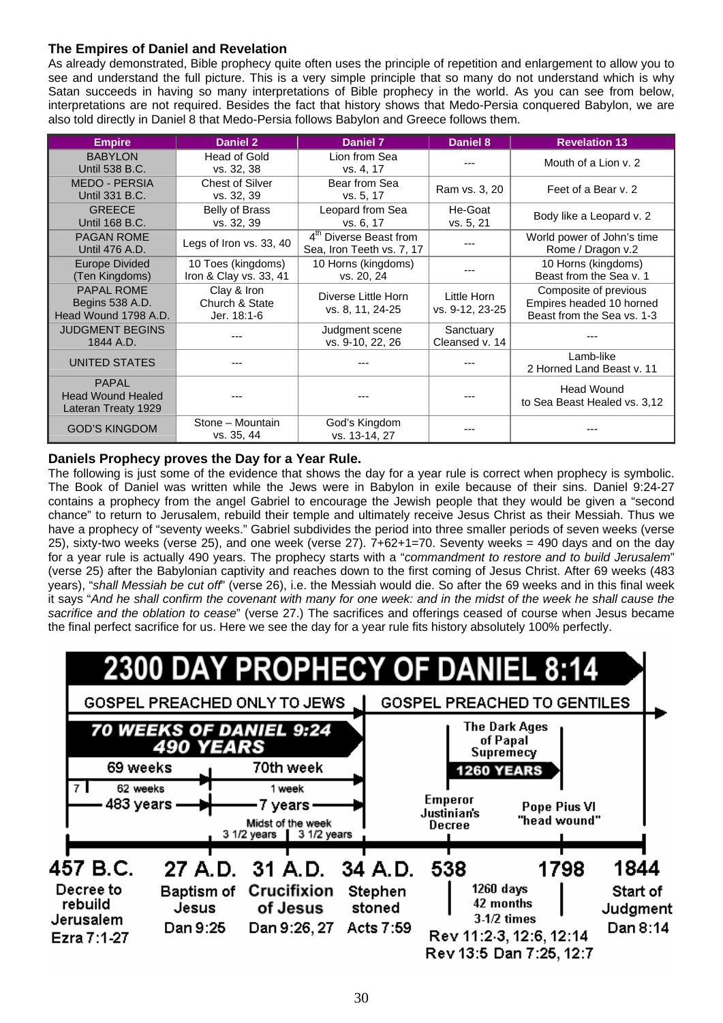## **The Empires of Daniel and Revelation**

As already demonstrated, Bible prophecy quite often uses the principle of repetition and enlargement to allow you to see and understand the full picture. This is a very simple principle that so many do not understand which is why Satan succeeds in having so many interpretations of Bible prophecy in the world. As you can see from below, interpretations are not required. Besides the fact that history shows that Medo-Persia conquered Babylon, we are also told directly in Daniel 8 that Medo-Persia follows Babylon and Greece follows them.

| <b>Empire</b>                                                   | Daniel 2                                     | Daniel 7                                                        | <b>Daniel 8</b>                | <b>Revelation 13</b>                                                            |  |
|-----------------------------------------------------------------|----------------------------------------------|-----------------------------------------------------------------|--------------------------------|---------------------------------------------------------------------------------|--|
| <b>BABYLON</b><br>Until 538 B.C.                                | Head of Gold<br>vs. 32, 38                   | Lion from Sea<br>vs. 4, 17                                      | ---                            | Mouth of a Lion v. 2                                                            |  |
| <b>MEDO - PERSIA</b><br>Until 331 B.C.                          | <b>Chest of Silver</b><br>vs. 32, 39         | Bear from Sea<br>Ram vs. 3, 20<br>vs. 5, 17                     |                                | Feet of a Bear v. 2                                                             |  |
| <b>GREECE</b><br><b>Until 168 B.C.</b>                          | Belly of Brass<br>vs. 32, 39                 | Leopard from Sea<br>vs. 6, 17                                   | He-Goat<br>vs. 5, 21           |                                                                                 |  |
| <b>PAGAN ROME</b><br>Until 476 A.D.                             | Legs of Iron vs. 33, 40                      | 4 <sup>th</sup> Diverse Beast from<br>Sea, Iron Teeth vs. 7, 17 | ---                            | World power of John's time<br>Rome / Dragon v.2                                 |  |
| <b>Europe Divided</b><br>(Ten Kingdoms)                         | 10 Toes (kingdoms)<br>Iron & Clay vs. 33, 41 | 10 Horns (kingdoms)<br>vs. 20, 24                               | ---                            | 10 Horns (kingdoms)<br>Beast from the Sea v. 1                                  |  |
| <b>PAPAL ROME</b><br>Begins 538 A.D.<br>Head Wound 1798 A.D.    | Clay & Iron<br>Church & State<br>Jer. 18:1-6 | Diverse Little Horn<br>vs. 8, 11, 24-25                         | Little Horn<br>vs. 9-12, 23-25 | Composite of previous<br>Empires headed 10 horned<br>Beast from the Sea vs. 1-3 |  |
| <b>JUDGMENT BEGINS</b><br>1844 A.D.                             |                                              | Judgment scene<br>vs. 9-10, 22, 26                              | Sanctuary<br>Cleansed v. 14    |                                                                                 |  |
| UNITED STATES                                                   |                                              |                                                                 |                                | Lamb-like<br>2 Horned Land Beast v. 11                                          |  |
| <b>PAPAL</b><br><b>Head Wound Healed</b><br>Lateran Treaty 1929 |                                              |                                                                 |                                | Head Wound<br>to Sea Beast Healed vs. 3,12                                      |  |
| <b>GOD'S KINGDOM</b>                                            | Stone - Mountain<br>vs. 35, 44               | God's Kingdom<br>vs. 13-14, 27                                  | ---                            |                                                                                 |  |

## **Daniels Prophecy proves the Day for a Year Rule.**

The following is just some of the evidence that shows the day for a year rule is correct when prophecy is symbolic. The Book of Daniel was written while the Jews were in Babylon in exile because of their sins. Daniel 9:24-27 contains a prophecy from the angel Gabriel to encourage the Jewish people that they would be given a "second chance" to return to Jerusalem, rebuild their temple and ultimately receive Jesus Christ as their Messiah. Thus we have a prophecy of "seventy weeks." Gabriel subdivides the period into three smaller periods of seven weeks (verse 25), sixty-two weeks (verse 25), and one week (verse 27). 7+62+1=70. Seventy weeks = 490 days and on the day for a year rule is actually 490 years. The prophecy starts with a "*commandment to restore and to build Jerusalem*" (verse 25) after the Babylonian captivity and reaches down to the first coming of Jesus Christ. After 69 weeks (483 years), "*shall Messiah be cut off*" (verse 26), i.e. the Messiah would die. So after the 69 weeks and in this final week it says "*And he shall confirm the covenant with many for one week: and in the midst of the week he shall cause the sacrifice and the oblation to cease*" (verse 27.) The sacrifices and offerings ceased of course when Jesus became the final perfect sacrifice for us. Here we see the day for a year rule fits history absolutely 100% perfectly.

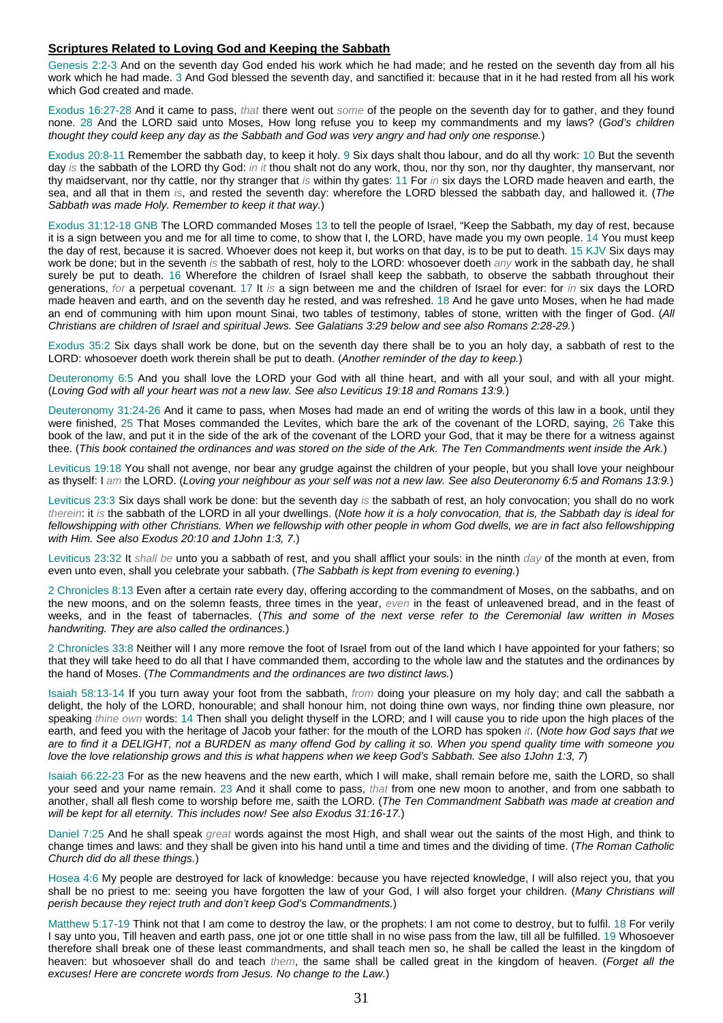## **Scriptures Related to Loving God and Keeping the Sabbath**

Genesis 2:2-3 And on the seventh day God ended his work which he had made; and he rested on the seventh day from all his work which he had made. 3 And God blessed the seventh day, and sanctified it: because that in it he had rested from all his work which God created and made.

Exodus 16:27-28 And it came to pass, *that* there went out *some* of the people on the seventh day for to gather, and they found none. 28 And the LORD said unto Moses, How long refuse you to keep my commandments and my laws? (*God's children thought they could keep any day as the Sabbath and God was very angry and had only one response.*)

Exodus 20:8-11 Remember the sabbath day, to keep it holy. 9 Six days shalt thou labour, and do all thy work: 10 But the seventh day *is* the sabbath of the LORD thy God: *in it* thou shalt not do any work, thou, nor thy son, nor thy daughter, thy manservant, nor thy maidservant, nor thy cattle, nor thy stranger that *is* within thy gates: 11 For *in* six days the LORD made heaven and earth, the sea, and all that in them *is*, and rested the seventh day: wherefore the LORD blessed the sabbath day, and hallowed it. (*The Sabbath was made Holy. Remember to keep it that way.*)

Exodus 31:12-18 GNB The LORD commanded Moses 13 to tell the people of Israel, "Keep the Sabbath, my day of rest, because it is a sign between you and me for all time to come, to show that I, the LORD, have made you my own people. 14 You must keep the day of rest, because it is sacred. Whoever does not keep it, but works on that day, is to be put to death. 15 KJV Six days may work be done; but in the seventh *is* the sabbath of rest, holy to the LORD: whosoever doeth *any* work in the sabbath day, he shall surely be put to death. 16 Wherefore the children of Israel shall keep the sabbath, to observe the sabbath throughout their generations, *for* a perpetual covenant. 17 It *is* a sign between me and the children of Israel for ever: for *in* six days the LORD made heaven and earth, and on the seventh day he rested, and was refreshed. 18 And he gave unto Moses, when he had made an end of communing with him upon mount Sinai, two tables of testimony, tables of stone, written with the finger of God. (*All Christians are children of Israel and spiritual Jews. See Galatians 3:29 below and see also Romans 2:28-29.*)

Exodus 35:2 Six days shall work be done, but on the seventh day there shall be to you an holy day, a sabbath of rest to the LORD: whosoever doeth work therein shall be put to death. (*Another reminder of the day to keep.*)

Deuteronomy 6:5 And you shall love the LORD your God with all thine heart, and with all your soul, and with all your might. (*Loving God with all your heart was not a new law. See also Leviticus 19:18 and Romans 13:9.*)

Deuteronomy 31:24-26 And it came to pass, when Moses had made an end of writing the words of this law in a book, until they were finished, 25 That Moses commanded the Levites, which bare the ark of the covenant of the LORD, saying, 26 Take this book of the law, and put it in the side of the ark of the covenant of the LORD your God, that it may be there for a witness against thee. (*This book contained the ordinances and was stored on the side of the Ark. The Ten Commandments went inside the Ark.*)

Leviticus 19:18 You shall not avenge, nor bear any grudge against the children of your people, but you shall love your neighbour as thyself: I *am* the LORD. (*Loving your neighbour as your self was not a new law. See also Deuteronomy 6:5 and Romans 13:9.*)

Leviticus 23:3 Six days shall work be done: but the seventh day *is* the sabbath of rest, an holy convocation; you shall do no work *therein*: it *is* the sabbath of the LORD in all your dwellings. (*Note how it is a holy convocation, that is, the Sabbath day is ideal for fellowshipping with other Christians. When we fellowship with other people in whom God dwells, we are in fact also fellowshipping with Him. See also Exodus 20:10 and 1John 1:3, 7.*)

Leviticus 23:32 It *shall be* unto you a sabbath of rest, and you shall afflict your souls: in the ninth *day* of the month at even, from even unto even, shall you celebrate your sabbath. (*The Sabbath is kept from evening to evening.*)

2 Chronicles 8:13 Even after a certain rate every day, offering according to the commandment of Moses, on the sabbaths, and on the new moons, and on the solemn feasts, three times in the year, *even* in the feast of unleavened bread, and in the feast of weeks, and in the feast of tabernacles. (*This and some of the next verse refer to the Ceremonial law written in Moses handwriting. They are also called the ordinances.*)

2 Chronicles 33:8 Neither will I any more remove the foot of Israel from out of the land which I have appointed for your fathers; so that they will take heed to do all that I have commanded them, according to the whole law and the statutes and the ordinances by the hand of Moses. (*The Commandments and the ordinances are two distinct laws.*)

Isaiah 58:13-14 If you turn away your foot from the sabbath, *from* doing your pleasure on my holy day; and call the sabbath a delight, the holy of the LORD, honourable; and shall honour him, not doing thine own ways, nor finding thine own pleasure, nor speaking *thine own* words: 14 Then shall you delight thyself in the LORD; and I will cause you to ride upon the high places of the earth, and feed you with the heritage of Jacob your father: for the mouth of the LORD has spoken *it*. (*Note how God says that we are to find it a DELIGHT, not a BURDEN as many offend God by calling it so. When you spend quality time with someone you love the love relationship grows and this is what happens when we keep God's Sabbath. See also 1John 1:3, 7*)

Isaiah 66:22-23 For as the new heavens and the new earth, which I will make, shall remain before me, saith the LORD, so shall your seed and your name remain. 23 And it shall come to pass, *that* from one new moon to another, and from one sabbath to another, shall all flesh come to worship before me, saith the LORD. (*The Ten Commandment Sabbath was made at creation and will be kept for all eternity. This includes now! See also Exodus 31:16-17.*)

Daniel 7:25 And he shall speak *great* words against the most High, and shall wear out the saints of the most High, and think to change times and laws: and they shall be given into his hand until a time and times and the dividing of time. (*The Roman Catholic Church did do all these things.*)

Hosea 4:6 My people are destroyed for lack of knowledge: because you have rejected knowledge, I will also reject you, that you shall be no priest to me: seeing you have forgotten the law of your God, I will also forget your children. (*Many Christians will perish because they reject truth and don't keep God's Commandments.*)

Matthew 5:17-19 Think not that I am come to destroy the law, or the prophets: I am not come to destroy, but to fulfil. 18 For verily I say unto you, Till heaven and earth pass, one jot or one tittle shall in no wise pass from the law, till all be fulfilled. 19 Whosoever therefore shall break one of these least commandments, and shall teach men so, he shall be called the least in the kingdom of heaven: but whosoever shall do and teach *them*, the same shall be called great in the kingdom of heaven. (*Forget all the excuses! Here are concrete words from Jesus. No change to the Law.*)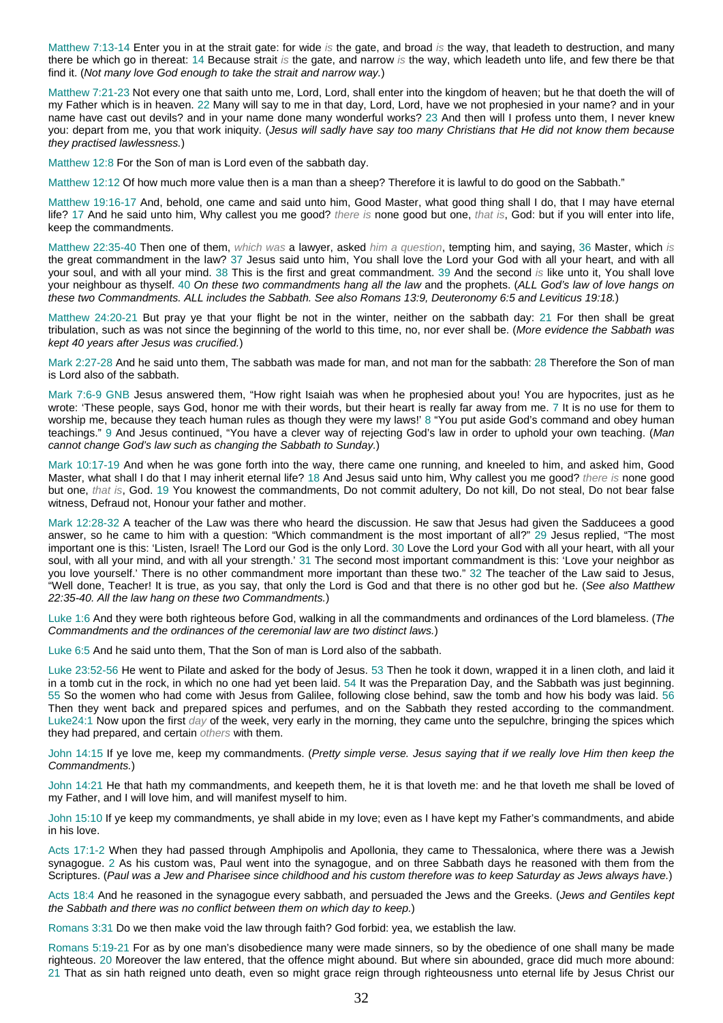Matthew 7:13-14 Enter you in at the strait gate: for wide *is* the gate, and broad *is* the way, that leadeth to destruction, and many there be which go in thereat: 14 Because strait *is* the gate, and narrow *is* the way, which leadeth unto life, and few there be that find it. (*Not many love God enough to take the strait and narrow way.*)

Matthew 7:21-23 Not every one that saith unto me, Lord, Lord, shall enter into the kingdom of heaven; but he that doeth the will of my Father which is in heaven. 22 Many will say to me in that day, Lord, Lord, have we not prophesied in your name? and in your name have cast out devils? and in your name done many wonderful works? 23 And then will I profess unto them, I never knew you: depart from me, you that work iniquity. (*Jesus will sadly have say too many Christians that He did not know them because they practised lawlessness.*)

Matthew 12:8 For the Son of man is Lord even of the sabbath day.

Matthew 12:12 Of how much more value then is a man than a sheep? Therefore it is lawful to do good on the Sabbath."

Matthew 19:16-17 And, behold, one came and said unto him, Good Master, what good thing shall I do, that I may have eternal life? 17 And he said unto him, Why callest you me good? *there is* none good but one, *that is*, God: but if you will enter into life, keep the commandments.

Matthew 22:35-40 Then one of them, *which was* a lawyer, asked *him a question*, tempting him, and saying, 36 Master, which *is* the great commandment in the law? 37 Jesus said unto him, You shall love the Lord your God with all your heart, and with all your soul, and with all your mind. 38 This is the first and great commandment. 39 And the second *is* like unto it, You shall love your neighbour as thyself. 40 *On these two commandments hang all the law* and the prophets. (*ALL God's law of love hangs on these two Commandments. ALL includes the Sabbath. See also Romans 13:9, Deuteronomy 6:5 and Leviticus 19:18.*)

Matthew 24:20-21 But pray ye that your flight be not in the winter, neither on the sabbath day: 21 For then shall be great tribulation, such as was not since the beginning of the world to this time, no, nor ever shall be. (*More evidence the Sabbath was kept 40 years after Jesus was crucified.*)

Mark 2:27-28 And he said unto them, The sabbath was made for man, and not man for the sabbath: 28 Therefore the Son of man is Lord also of the sabbath.

Mark 7:6-9 GNB Jesus answered them, "How right Isaiah was when he prophesied about you! You are hypocrites, just as he wrote: 'These people, says God, honor me with their words, but their heart is really far away from me. 7 It is no use for them to worship me, because they teach human rules as though they were my laws!' 8 "You put aside God's command and obey human teachings." 9 And Jesus continued, "You have a clever way of rejecting God's law in order to uphold your own teaching. (*Man cannot change God's law such as changing the Sabbath to Sunday.*)

Mark 10:17-19 And when he was gone forth into the way, there came one running, and kneeled to him, and asked him, Good Master, what shall I do that I may inherit eternal life? 18 And Jesus said unto him, Why callest you me good? *there is* none good but one, *that is*, God. 19 You knowest the commandments, Do not commit adultery, Do not kill, Do not steal, Do not bear false witness, Defraud not, Honour your father and mother.

Mark 12:28-32 A teacher of the Law was there who heard the discussion. He saw that Jesus had given the Sadducees a good answer, so he came to him with a question: "Which commandment is the most important of all?" 29 Jesus replied, "The most important one is this: 'Listen, Israel! The Lord our God is the only Lord. 30 Love the Lord your God with all your heart, with all your soul, with all your mind, and with all your strength.' 31 The second most important commandment is this: 'Love your neighbor as you love yourself.' There is no other commandment more important than these two." 32 The teacher of the Law said to Jesus, "Well done, Teacher! It is true, as you say, that only the Lord is God and that there is no other god but he. (*See also Matthew 22:35-40. All the law hang on these two Commandments.*)

Luke 1:6 And they were both righteous before God, walking in all the commandments and ordinances of the Lord blameless. (*The Commandments and the ordinances of the ceremonial law are two distinct laws.*)

Luke 6:5 And he said unto them, That the Son of man is Lord also of the sabbath.

Luke 23:52-56 He went to Pilate and asked for the body of Jesus. 53 Then he took it down, wrapped it in a linen cloth, and laid it in a tomb cut in the rock, in which no one had yet been laid. 54 It was the Preparation Day, and the Sabbath was just beginning. 55 So the women who had come with Jesus from Galilee, following close behind, saw the tomb and how his body was laid. 56 Then they went back and prepared spices and perfumes, and on the Sabbath they rested according to the commandment. Luke24:1 Now upon the first *day* of the week, very early in the morning, they came unto the sepulchre, bringing the spices which they had prepared, and certain *others* with them.

John 14:15 If ye love me, keep my commandments. (*Pretty simple verse. Jesus saying that if we really love Him then keep the Commandments.*)

John 14:21 He that hath my commandments, and keepeth them, he it is that loveth me: and he that loveth me shall be loved of my Father, and I will love him, and will manifest myself to him.

John 15:10 If ye keep my commandments, ye shall abide in my love; even as I have kept my Father's commandments, and abide in his love.

Acts 17:1-2 When they had passed through Amphipolis and Apollonia, they came to Thessalonica, where there was a Jewish synagogue. 2 As his custom was, Paul went into the synagogue, and on three Sabbath days he reasoned with them from the Scriptures. (*Paul was a Jew and Pharisee since childhood and his custom therefore was to keep Saturday as Jews always have.*)

Acts 18:4 And he reasoned in the synagogue every sabbath, and persuaded the Jews and the Greeks. (*Jews and Gentiles kept the Sabbath and there was no conflict between them on which day to keep.*)

Romans 3:31 Do we then make void the law through faith? God forbid: yea, we establish the law.

Romans 5:19-21 For as by one man's disobedience many were made sinners, so by the obedience of one shall many be made righteous. 20 Moreover the law entered, that the offence might abound. But where sin abounded, grace did much more abound: 21 That as sin hath reigned unto death, even so might grace reign through righteousness unto eternal life by Jesus Christ our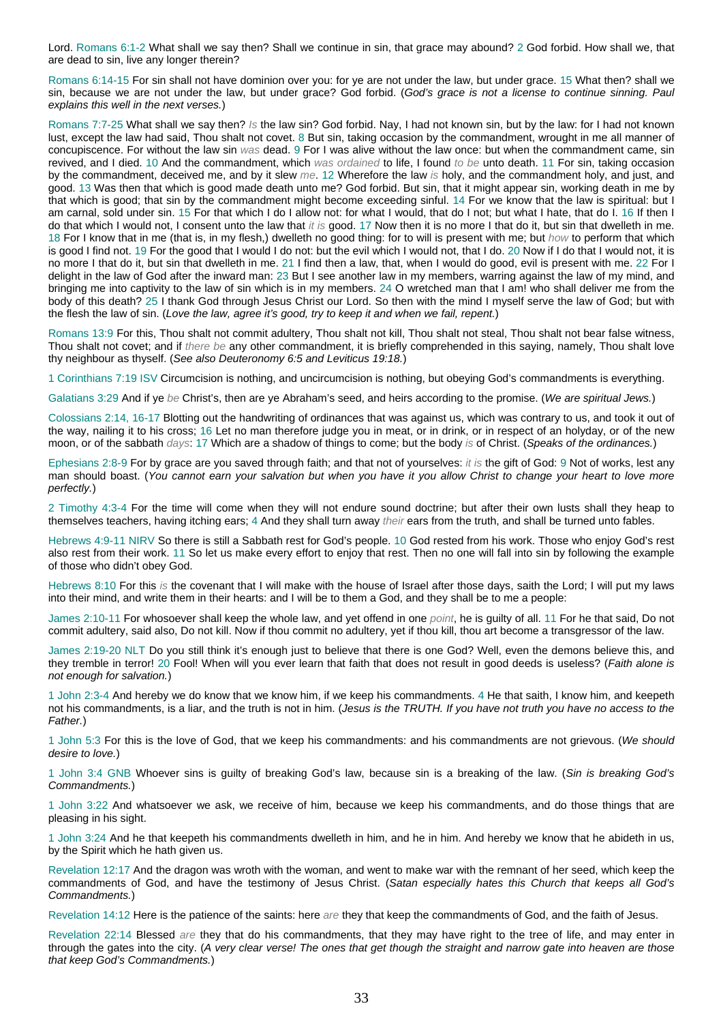Lord. Romans 6:1-2 What shall we say then? Shall we continue in sin, that grace may abound? 2 God forbid. How shall we, that are dead to sin, live any longer therein?

Romans 6:14-15 For sin shall not have dominion over you: for ye are not under the law, but under grace. 15 What then? shall we sin, because we are not under the law, but under grace? God forbid. (*God's grace is not a license to continue sinning. Paul explains this well in the next verses.*)

Romans 7:7-25 What shall we say then? *Is* the law sin? God forbid. Nay, I had not known sin, but by the law: for I had not known lust, except the law had said, Thou shalt not covet. 8 But sin, taking occasion by the commandment, wrought in me all manner of concupiscence. For without the law sin *was* dead. 9 For I was alive without the law once: but when the commandment came, sin revived, and I died. 10 And the commandment, which *was ordained* to life, I found *to be* unto death. 11 For sin, taking occasion by the commandment, deceived me, and by it slew *me*. 12 Wherefore the law *is* holy, and the commandment holy, and just, and good. 13 Was then that which is good made death unto me? God forbid. But sin, that it might appear sin, working death in me by that which is good; that sin by the commandment might become exceeding sinful. 14 For we know that the law is spiritual: but I am carnal, sold under sin. 15 For that which I do I allow not: for what I would, that do I not; but what I hate, that do I. 16 If then I do that which I would not, I consent unto the law that *it is* good. 17 Now then it is no more I that do it, but sin that dwelleth in me. 18 For I know that in me (that is, in my flesh,) dwelleth no good thing: for to will is present with me; but *how* to perform that which is good I find not. 19 For the good that I would I do not: but the evil which I would not, that I do. 20 Now if I do that I would not, it is no more I that do it, but sin that dwelleth in me. 21 I find then a law, that, when I would do good, evil is present with me. 22 For I delight in the law of God after the inward man: 23 But I see another law in my members, warring against the law of my mind, and bringing me into captivity to the law of sin which is in my members. 24 O wretched man that I am! who shall deliver me from the body of this death? 25 I thank God through Jesus Christ our Lord. So then with the mind I myself serve the law of God; but with the flesh the law of sin. (*Love the law, agree it's good, try to keep it and when we fail, repent.*)

Romans 13:9 For this, Thou shalt not commit adultery, Thou shalt not kill, Thou shalt not steal, Thou shalt not bear false witness, Thou shalt not covet; and if *there be* any other commandment, it is briefly comprehended in this saying, namely, Thou shalt love thy neighbour as thyself. (*See also Deuteronomy 6:5 and Leviticus 19:18.*)

1 Corinthians 7:19 ISV Circumcision is nothing, and uncircumcision is nothing, but obeying God's commandments is everything.

Galatians 3:29 And if ye *be* Christ's, then are ye Abraham's seed, and heirs according to the promise. (*We are spiritual Jews.*)

Colossians 2:14, 16-17 Blotting out the handwriting of ordinances that was against us, which was contrary to us, and took it out of the way, nailing it to his cross; 16 Let no man therefore judge you in meat, or in drink, or in respect of an holyday, or of the new moon, or of the sabbath *days*: 17 Which are a shadow of things to come; but the body *is* of Christ. (*Speaks of the ordinances.*)

Ephesians 2:8-9 For by grace are you saved through faith; and that not of yourselves: *it is* the gift of God: 9 Not of works, lest any man should boast. (*You cannot earn your salvation but when you have it you allow Christ to change your heart to love more perfectly.*)

2 Timothy 4:3-4 For the time will come when they will not endure sound doctrine; but after their own lusts shall they heap to themselves teachers, having itching ears; 4 And they shall turn away *their* ears from the truth, and shall be turned unto fables.

Hebrews 4:9-11 NIRV So there is still a Sabbath rest for God's people. 10 God rested from his work. Those who enjoy God's rest also rest from their work. 11 So let us make every effort to enjoy that rest. Then no one will fall into sin by following the example of those who didn't obey God.

Hebrews 8:10 For this *is* the covenant that I will make with the house of Israel after those days, saith the Lord; I will put my laws into their mind, and write them in their hearts: and I will be to them a God, and they shall be to me a people:

James 2:10-11 For whosoever shall keep the whole law, and yet offend in one *point*, he is guilty of all. 11 For he that said, Do not commit adultery, said also, Do not kill. Now if thou commit no adultery, yet if thou kill, thou art become a transgressor of the law.

James 2:19-20 NLT Do you still think it's enough just to believe that there is one God? Well, even the demons believe this, and they tremble in terror! 20 Fool! When will you ever learn that faith that does not result in good deeds is useless? (*Faith alone is not enough for salvation.*)

1 John 2:3-4 And hereby we do know that we know him, if we keep his commandments. 4 He that saith, I know him, and keepeth not his commandments, is a liar, and the truth is not in him. (*Jesus is the TRUTH. If you have not truth you have no access to the Father.*)

1 John 5:3 For this is the love of God, that we keep his commandments: and his commandments are not grievous. (*We should desire to love.*)

1 John 3:4 GNB Whoever sins is guilty of breaking God's law, because sin is a breaking of the law. (*Sin is breaking God's Commandments.*)

1 John 3:22 And whatsoever we ask, we receive of him, because we keep his commandments, and do those things that are pleasing in his sight.

1 John 3:24 And he that keepeth his commandments dwelleth in him, and he in him. And hereby we know that he abideth in us, by the Spirit which he hath given us.

Revelation 12:17 And the dragon was wroth with the woman, and went to make war with the remnant of her seed, which keep the commandments of God, and have the testimony of Jesus Christ. (*Satan especially hates this Church that keeps all God's Commandments.*)

Revelation 14:12 Here is the patience of the saints: here *are* they that keep the commandments of God, and the faith of Jesus.

Revelation 22:14 Blessed *are* they that do his commandments, that they may have right to the tree of life, and may enter in through the gates into the city. (*A very clear verse! The ones that get though the straight and narrow gate into heaven are those that keep God's Commandments.*)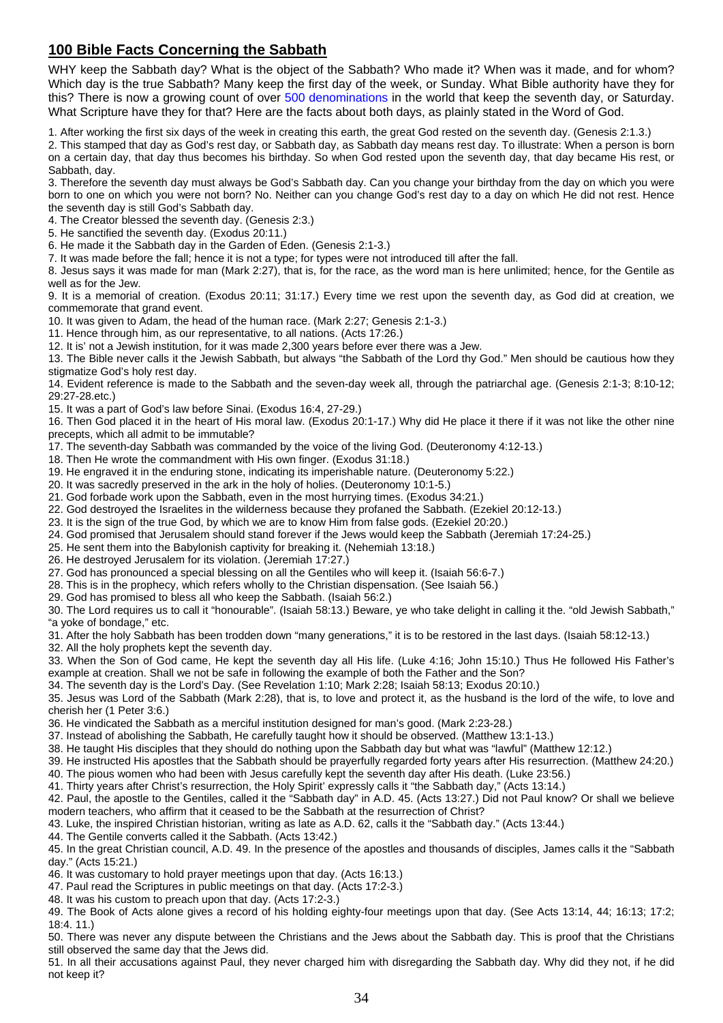## **100 Bible Facts Concerning the Sabbath**

WHY keep the Sabbath day? What is the object of the Sabbath? Who made it? When was it made, and for whom? Which day is the true Sabbath? Many keep the first day of the week, or Sunday. What Bible authority have they for this? There is now a growing count of over [500 denominations](http://www.the-ten-commandments.org/sabbathkeepingchurches.html) in the world that keep the seventh day, or Saturday. What Scripture have they for that? Here are the facts about both days, as plainly stated in the Word of God.

1. After working the first six days of the week in creating this earth, the great God rested on the seventh day. (Genesis 2:1.3.)

2. This stamped that day as God's rest day, or Sabbath day, as Sabbath day means rest day. To illustrate: When a person is born on a certain day, that day thus becomes his birthday. So when God rested upon the seventh day, that day became His rest, or Sabbath, day.

3. Therefore the seventh day must always be God's Sabbath day. Can you change your birthday from the day on which you were born to one on which you were not born? No. Neither can you change God's rest day to a day on which He did not rest. Hence the seventh day is still God's Sabbath day.

4. The Creator blessed the seventh day. (Genesis 2:3.)

5. He sanctified the seventh day. (Exodus 20:11.)

6. He made it the Sabbath day in the Garden of Eden. (Genesis 2:1-3.)

7. It was made before the fall; hence it is not a type; for types were not introduced till after the fall.

8. Jesus says it was made for man (Mark 2:27), that is, for the race, as the word man is here unlimited; hence, for the Gentile as well as for the Jew.

9. It is a memorial of creation. (Exodus 20:11; 31:17.) Every time we rest upon the seventh day, as God did at creation, we commemorate that grand event.

10. It was given to Adam, the head of the human race. (Mark 2:27; Genesis 2:1-3.)

11. Hence through him, as our representative, to all nations. (Acts 17:26.)

12. It is' not a Jewish institution, for it was made 2,300 years before ever there was a Jew.

13. The Bible never calls it the Jewish Sabbath, but always "the Sabbath of the Lord thy God." Men should be cautious how they stigmatize God's holy rest day.

14. Evident reference is made to the Sabbath and the seven-day week all, through the patriarchal age. (Genesis 2:1-3; 8:10-12; 29:27-28.etc.)

15. It was a part of God's law before Sinai. (Exodus 16:4, 27-29.)

16. Then God placed it in the heart of His moral law. (Exodus 20:1-17.) Why did He place it there if it was not like the other nine precepts, which all admit to be immutable?

17. The seventh-day Sabbath was commanded by the voice of the living God. (Deuteronomy 4:12-13.)

18. Then He wrote the commandment with His own finger. (Exodus 31:18.)

19. He engraved it in the enduring stone, indicating its imperishable nature. (Deuteronomy 5:22.)

- 20. It was sacredly preserved in the ark in the holy of holies. (Deuteronomy 10:1-5.)
- 21. God forbade work upon the Sabbath, even in the most hurrying times. (Exodus 34:21.)
- 22. God destroyed the Israelites in the wilderness because they profaned the Sabbath. (Ezekiel 20:12-13.)
- 23. It is the sign of the true God, by which we are to know Him from false gods. (Ezekiel 20:20.)
- 24. God promised that Jerusalem should stand forever if the Jews would keep the Sabbath (Jeremiah 17:24-25.)
- 25. He sent them into the Babylonish captivity for breaking it. (Nehemiah 13:18.)

26. He destroyed Jerusalem for its violation. (Jeremiah 17:27.)

27. God has pronounced a special blessing on all the Gentiles who will keep it. (Isaiah 56:6-7.)

28. This is in the prophecy, which refers wholly to the Christian dispensation. (See Isaiah 56.)

29. God has promised to bless all who keep the Sabbath. (Isaiah 56:2.)

30. The Lord requires us to call it "honourable". (Isaiah 58:13.) Beware, ye who take delight in calling it the. "old Jewish Sabbath," "a yoke of bondage," etc.

31. After the holy Sabbath has been trodden down "many generations," it is to be restored in the last days. (Isaiah 58:12-13.)

32. All the holy prophets kept the seventh day.

33. When the Son of God came, He kept the seventh day all His life. (Luke 4:16; John 15:10.) Thus He followed His Father's example at creation. Shall we not be safe in following the example of both the Father and the Son?

34. The seventh day is the Lord's Day. (See Revelation 1:10; Mark 2:28; Isaiah 58:13; Exodus 20:10.)

35. Jesus was Lord of the Sabbath (Mark 2:28), that is, to love and protect it, as the husband is the lord of the wife, to love and cherish her (1 Peter 3:6.)

36. He vindicated the Sabbath as a merciful institution designed for man's good. (Mark 2:23-28.)

37. Instead of abolishing the Sabbath, He carefully taught how it should be observed. (Matthew 13:1-13.)

38. He taught His disciples that they should do nothing upon the Sabbath day but what was "lawful" (Matthew 12:12.)

39. He instructed His apostles that the Sabbath should be prayerfully regarded forty years after His resurrection. (Matthew 24:20.) 40. The pious women who had been with Jesus carefully kept the seventh day after His death. (Luke 23:56.)

41. Thirty years after Christ's resurrection, the Holy Spirit' expressly calls it "the Sabbath day," (Acts 13:14.)

42. Paul, the apostle to the Gentiles, called it the "Sabbath day" in A.D. 45. (Acts 13:27.) Did not Paul know? Or shall we believe

modern teachers, who affirm that it ceased to be the Sabbath at the resurrection of Christ?

43. Luke, the inspired Christian historian, writing as late as A.D. 62, calls it the "Sabbath day." (Acts 13:44.)

44. The Gentile converts called it the Sabbath. (Acts 13:42.)

45. In the great Christian council, A.D. 49. In the presence of the apostles and thousands of disciples, James calls it the "Sabbath day." (Acts 15:21.)

46. It was customary to hold prayer meetings upon that day. (Acts 16:13.)

47. Paul read the Scriptures in public meetings on that day. (Acts 17:2-3.)

48. It was his custom to preach upon that day. (Acts 17:2-3.)

49. The Book of Acts alone gives a record of his holding eighty-four meetings upon that day. (See Acts 13:14, 44; 16:13; 17:2; 18:4. 11.)

50. There was never any dispute between the Christians and the Jews about the Sabbath day. This is proof that the Christians still observed the same day that the Jews did.

51. In all their accusations against Paul, they never charged him with disregarding the Sabbath day. Why did they not, if he did not keep it?